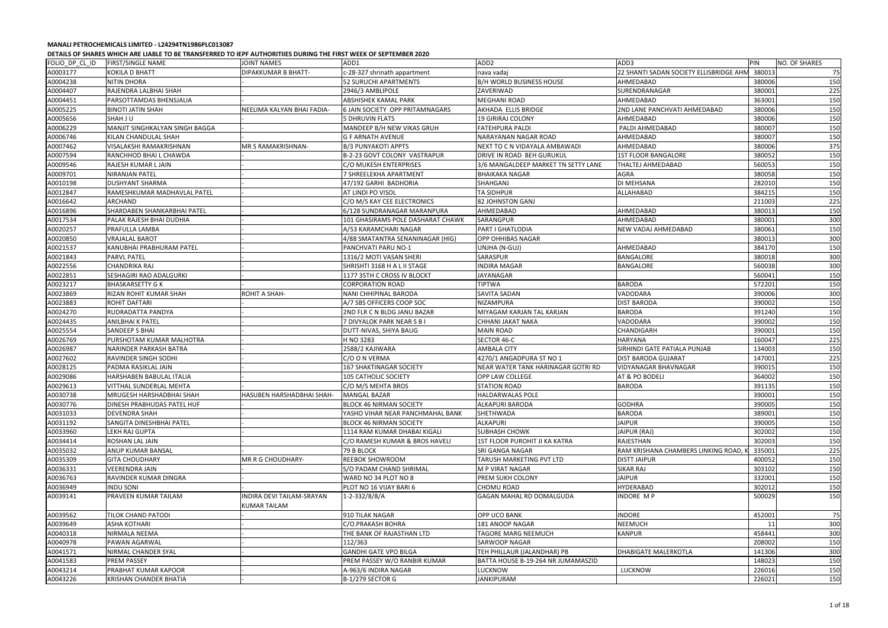| FOLIO_DP_CL_ID | <b>FIRST/SINGLE NAME</b>          | <b>JOINT NAMES</b>         | ADD1                                   | ADD <sub>2</sub>                     | ADD3                                    | PIN    | NO. OF SHARES |
|----------------|-----------------------------------|----------------------------|----------------------------------------|--------------------------------------|-----------------------------------------|--------|---------------|
| A0003177       | <b>KOKILA D BHATT</b>             | <b>DIPAKKUMAR B BHATT-</b> | c-28-327 shrinath appartment           | nava vadaj                           | 22 SHANTI SADAN SOCIETY ELLISBRIDGE AHN | 380013 | 75            |
| A0004238       | <b>NITIN DHORA</b>                |                            | <b>52 SURUCHI APARTMENTS</b>           | <b>B/H WORLD BUSINESS HOUSE</b>      | AHMEDABAD                               | 380006 | 150           |
| A0004407       | RAJENDRA LALBHAI SHAH             |                            | 2946/3 AMBLIPOLE                       | ZAVERIWAD                            | SURENDRANAGAR                           | 380001 | 225           |
| A0004451       | PARSOTTAMDAS BHENSJALIA           |                            | <b>ABSHISHEK KAMAL PARK</b>            | <b>MEGHANI ROAD</b>                  | AHMEDABAD                               | 363001 | 150           |
| A0005225       | <b>BINOTI JATIN SHAH</b>          | NEELIMA KALYAN BHAI FADIA- | <b>6 JAIN SOCIETY OPP PRITAMNAGARS</b> | AKHADA ELLIS BRIDGE                  | 2ND LANE PANCHVATI AHMEDABAD            | 380006 | 150           |
| A0005656       | SHAH J U                          |                            | <b>5 DHRUVIN FLATS</b>                 | 19 GIRIRAJ COLONY                    | AHMEDABAD                               | 380006 | 150           |
| A0006229       | MANJIT SINGHKALYAN SINGH BAGGA    |                            | MANDEEP B/H NEW VIKAS GRUH             | <b>FATEHPURA PALDI</b>               | PALDI AHMEDABAD                         | 380007 | 150           |
| A0006746       | KILAN CHANDULAL SHAH              |                            | <b>G F ARNATH AVENUE</b>               | NARAYANAN NAGAR ROAD                 | AHMEDABAD                               | 380007 | 150           |
| A0007462       | VISALAKSHI RAMAKRISHNAN           | <b>MR S RAMAKRISHNAN-</b>  | <b>B/3 PUNYAKOTI APPTS</b>             | NEXT TO C N VIDAYALA AMBAWADI        | AHMEDABAD                               | 380006 | 375           |
| A0007594       | RANCHHOD BHAI L CHAWDA            |                            | B-2-23 GOVT COLONY VASTRAPUR           | DRIVE IN ROAD BEH GURUKUL            | <b>1ST FLOOR BANGALORE</b>              | 380052 | 150           |
| A0009546       | RAJESH KUMAR L JAIN               |                            | C/O MUKESH ENTERPRISES                 | 3/6 MANGALDEEP MARKET TN SETTY LANE  | THALTEJ AHMEDABAD                       | 560053 | 150           |
| A0009701       | NIRANJAN PATEL                    |                            | 7 SHREELEKHA APARTMENT                 | <b>BHAIKAKA NAGAR</b>                | AGRA                                    | 380058 | 150           |
| A0010198       | <b>DUSHYANT SHARMA</b>            |                            | 47/192 GARHI BADHORIA                  | SHAHGANJ                             | DI MEHSANA                              | 282010 | 150           |
| A0012847       | RAMESHKUMAR MADHAVLAL PATEL       |                            | AT LINDI PO VISOL                      | <b>TA SIDHPUR</b>                    | ALLAHABAD                               | 384215 | 150           |
| A0016642       | ARCHAND                           |                            | C/O M/S KAY CEE ELECTRONICS            | 82 JOHNSTON GANJ                     |                                         | 211003 | 225           |
| A0016896       | SHARDABEN SHANKARBHAI PATEL       |                            | 6/128 SUNDRANAGAR MARANPURA            | AHMEDABAD                            | AHMEDABAD                               | 380013 | 150           |
| A0017534       | PALAK RAJESH BHAI DUDHIA          |                            | 101 GHASIRAMS POLE DASHARAT CHAWK      | SARANGPUR                            | AHMEDABAD                               | 380001 | 300           |
| A0020257       | PRAFULLA LAMBA                    |                            | A/53 KARAMCHARI NAGAR                  | PART I GHATLODIA                     | NEW VADAJ AHMEDABAD                     | 380061 | 150           |
| A0020850       | <b>VRAJALAL BAROT</b>             |                            | 4/88 SMATANTRA SENANINAGAR (HIG)       | <b>OPP OHHIBAS NAGAR</b>             |                                         | 380013 | 300           |
| A0021537       | KANUBHAI PRABHURAM PATEL          |                            | PANCHVATI PARU NO-1                    | UNJHA (N-GUJ)                        | AHMEDABAD                               | 384170 | 150           |
| A0021843       | <b>PARVL PATEL</b>                |                            | 1316/2 MOTI VASAN SHERI                | SARASPUR                             | <b>BANGALORE</b>                        | 380018 | 300           |
| A0022556       | <b>CHANDRIKA RAJ</b>              |                            | SHRISHTI 3168 H A L II STAGE           | <b>INDIRA MAGAR</b>                  | <b>BANGALORE</b>                        | 560038 | 300           |
| A0022851       | SESHAGIRI RAO ADALGURKI           |                            | 1177 35TH C CROSS IV BLOCKT            | JAYANAGAR                            |                                         | 560041 | 150           |
| A0023217       | <b>BHASKARSETTY GK</b>            |                            | <b>CORPORATION ROAD</b>                | <b>TIPTWA</b>                        | <b>BARODA</b>                           | 572201 | 150           |
| A0023869       | RIZAN ROHIT KUMAR SHAH            | ROHIT A SHAH-              | <b>NANI CHHIPINAL BARODA</b>           | SAVITA SADAN                         | VADODARA                                | 390006 | 300           |
| A0023883       | <b>ROHIT DAFTARI</b>              |                            | A/7 SBS OFFICERS COOP SOC              | <b>NIZAMPURA</b>                     | <b>DIST BARODA</b>                      | 390002 | 150           |
| A0024270       | RUDRADATTA PANDYA                 |                            | 2ND FLR C N BLDG JANU BAZAR            | MIYAGAM KARJAN TAL KARJAN            | <b>BARODA</b>                           | 391240 | 150           |
| A0024435       | ANILBHAI K PATEL                  |                            | 7 DIVYALOK PARK NEAR S B I             | CHHANI JAKAT NAKA                    | VADODARA                                | 390002 | 150           |
| A0025554       | SANDEEP S BHAI                    |                            | DUTT-NIVAS, SHIYA BAUG                 | <b>MAIN ROAD</b>                     | CHANDIGARH                              | 390001 | 150           |
| A0026769       | PURSHOTAM KUMAR MALHOTRA          |                            | H NO 3283                              | SECTOR 46-C                          | <b>HARYANA</b>                          | 160047 | 225           |
| A0026987       | NARINDER PARKASH BATRA            |                            | 2588/2 KAJIWARA                        | AMBALA CITY                          | SIRHINDI GATE PATIALA PUNJAB            | 134003 | 150           |
| A0027602       | RAVINDER SINGH SODHI              |                            | C/O O N VERMA                          | 4270/1 ANGADPURA ST NO 1             | <b>DIST BARODA GUJARAT</b>              | 147001 | 225           |
| A0028125       | PADMA RASIKLAL JAIN               |                            | 167 SHAKTINAGAR SOCIETY                | NEAR WATER TANK HARINAGAR GOTRI RD   | <b>VIDYANAGAR BHAVNAGAR</b>             | 390015 | 150           |
| A0029086       | HARSHABEN BABULAL ITALIA          |                            | 105 CATHOLIC SOCIETY                   | OPP LAW COLLEGE                      | AT & PO BODELI                          | 364002 | 150           |
| A0029613       | VITTHAL SUNDERLAL MEHTA           |                            | C/O M/S MEHTA BROS                     | <b>STATION ROAD</b>                  | <b>BARODA</b>                           | 391135 | 150           |
| A0030738       | MRUGESH HARSHADBHAI SHAH          | HASUBEN HARSHADBHAI SHAH-  | MANGAL BAZAR                           | <b>HALDARWALAS POLE</b>              |                                         | 390001 | 150           |
| A0030776       | <b>DINESH PRABHUDAS PATEL HUF</b> |                            | <b>BLOCK 46 NIRMAN SOCIETY</b>         | ALKAPURI BARODA                      | <b>GODHRA</b>                           | 390005 | 150           |
| A0031033       | <b>DEVENDRA SHAH</b>              |                            | YASHO VIHAR NEAR PANCHMAHAL BANK       | SHETHWADA                            | <b>BARODA</b>                           | 389001 | 150           |
| A0031192       | SANGITA DINESHBHAI PATEL          |                            | <b>BLOCK 46 NIRMAN SOCIETY</b>         | <b>ALKAPURI</b>                      | <b>JAIPUR</b>                           | 390005 | 150           |
| A0033960       | LEKH RAJ GUPTA                    |                            | 1114 RAM KUMAR DHABAI KIGALI           | <b>SUBHASH CHOWK</b>                 | JAIPUR (RAJ)                            | 302002 | 150           |
| A0034414       | ROSHAN LAL JAIN                   |                            | C/O RAMESH KUMAR & BROS HAVELI         | <b>1ST FLOOR PUROHIT JI KA KATRA</b> | <b>RAJESTHAN</b>                        | 302003 | 150           |
| A0035032       | ANUP KUMAR BANSAL                 |                            | 79 B BLOCK                             | SRI GANGA NAGAR                      | RAM KRISHANA CHAMBERS LINKING ROAD,     | 335001 | 225           |
| A0035309       | <b>GITA CHOUDHARY</b>             | MR R G CHOUDHARY-          | <b>REEBOK SHOWROOM</b>                 | TARUSH MARKETING PVT LTD             | <b>DISTT JAIPUR</b>                     | 400052 | 150           |
| A0036331       | <b>VEERENDRA JAIN</b>             |                            | S/O PADAM CHAND SHRIMAL                | M P VIRAT NAGAR                      | SIKAR RAJ                               | 303102 | 150           |
| A0036763       | RAVINDER KUMAR DINGRA             |                            | WARD NO 34 PLOT NO 8                   | <b>PREM SUKH COLONY</b>              | JAIPUR                                  | 332001 | 150           |
| A0036949       | <b>INDU SONI</b>                  |                            | PLOT NO 16 VIJAY BARI 6                | <b>CHOMU ROAD</b>                    | HYDERABAD                               | 302012 | 150           |
| A0039141       | PRAVEEN KUMAR TAILAM              | INDIRA DEVI TAILAM-SRAYAN  | $1 - 2 - 332/8/8/A$                    | GAGAN MAHAL RD DOMALGUDA             | INDORE MP                               | 500029 | 150           |
|                |                                   | KUMAR TAILAM               |                                        |                                      |                                         |        |               |
| A0039562       | TILOK CHAND PATODI                |                            | 910 TILAK NAGAR                        | <b>OPP UCO BANK</b>                  | <b>INDORE</b>                           | 452001 | 75            |
| A0039649       | <b>ASHA KOTHARI</b>               |                            | C/O.PRAKASH BOHRA                      | 181 ANOOP NAGAR                      | <b>NEEMUCH</b>                          | 11     | 300           |
| A0040318       | NIRMALA NEEMA                     |                            | THE BANK OF RAJASTHAN LTD              | <b>TAGORE MARG NEEMUCH</b>           | <b>KANPUR</b>                           | 458441 | 300           |
| A0040978       | PAWAN AGARWAL                     |                            | 112/363                                | <b>SARWOOP NAGAR</b>                 |                                         | 208002 | 150           |
| A0041571       | NIRMAL CHANDER SYAL               |                            | <b>GANDHI GATE VPO BILGA</b>           | TEH PHILLAUR (JALANDHAR) PB          | <b>DHABIGATE MALERKOTLA</b>             | 141306 | 300           |
| A0041583       | <b>PREM PASSEY</b>                |                            | PREM PASSEY W/O RANBIR KUMAR           | BATTA HOUSE B-19-264 NR JUMAMASZID   |                                         | 148023 | 150           |
| A0043214       | PRABHAT KUMAR KAPOOR              |                            | A-963/6 INDIRA NAGAR                   | LUCKNOW                              | LUCKNOW                                 | 226016 | 150           |
| A0043226       | KRISHAN CHANDER BHATIA            |                            | B-1/279 SECTOR G                       | <b>JANKIPURAM</b>                    |                                         | 226021 | 150           |
|                |                                   |                            |                                        |                                      |                                         |        |               |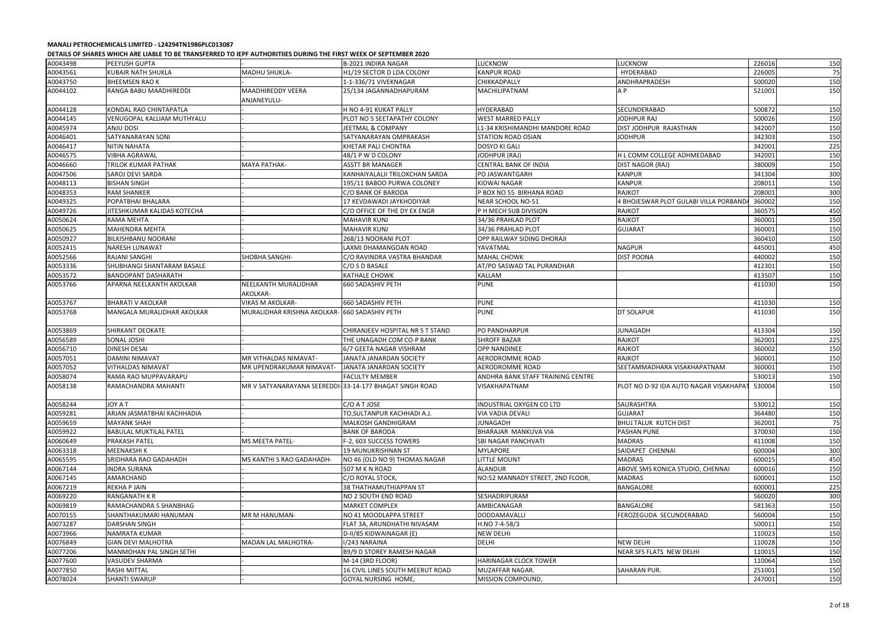|          | DETAILS OF SHAKES WHICH ANE LIADLE TO DE TRANSFERNED TO IEFF AUTHUNITIES DUNING THE FINST WEEK OF SEFTENIDEN 2020 |                                                         |                                  |                                   |                                        |        |     |
|----------|-------------------------------------------------------------------------------------------------------------------|---------------------------------------------------------|----------------------------------|-----------------------------------|----------------------------------------|--------|-----|
| A0043498 | <b>PEEYUSH GUPTA</b>                                                                                              |                                                         | B-2021 INDIRA NAGAR              | <b>LUCKNOW</b>                    | LUCKNOW                                | 226016 | 150 |
| A0043561 | <b>KUBAIR NATH SHUKLA</b>                                                                                         | MADHU SHUKLA-                                           | H1/19 SECTOR D LDA COLONY        | <b>KANPUR ROAD</b>                | HYDERABAD                              | 226005 | 75  |
| A0043750 | <b>BHEEMSEN RAOK</b>                                                                                              |                                                         | 1-1-336/71 VIVEKNAGAR            | CHIKKADPALLY                      | ANDHRAPRADESH                          | 500020 | 150 |
| A0044102 | RANGA BABU MAADHIREDDI                                                                                            | <b>MAADHIREDDY VEERA</b><br>ANJANEYULU-                 | 25/134 JAGANNADHAPURAM           | MACHILIPATNAM                     | A P                                    | 521001 | 150 |
| A0044128 | KONDAL RAO CHINTAPATLA                                                                                            |                                                         | H NO 4-91 KUKAT PALLY            | <b>HYDERABAD</b>                  | SECUNDERABAD                           | 500872 | 150 |
| A0044145 | VENUGOPAL KALLIAM MUTHYALU                                                                                        |                                                         | PLOT NO 5 SEETAPATHY COLONY      | <b>WEST MARRED PALLY</b>          | JODHPUR RAJ                            | 500026 | 150 |
| A0045974 | ANJU DOSI                                                                                                         |                                                         | JEETMAL & COMPANY                | L1-34 KRISHIMANDHI MANDORE ROAD   | DIST JODHPUR RAJASTHAN                 | 342007 | 150 |
| A0046401 | SATYANARAYAN SONI                                                                                                 |                                                         | SATYANARAYAN OMPRAKASH           | <b>STATION ROAD OSIAN</b>         | <b>JODHPUR</b>                         | 342303 | 150 |
| A0046417 | <b>NITIN NAHATA</b>                                                                                               |                                                         | KHETAR PALI CHONTRA              | <b>DOSYO KI GALI</b>              |                                        | 342001 | 225 |
| A0046575 | <b>VIBHA AGRAWAL</b>                                                                                              |                                                         | 48/1 P W D COLONY                | JODHPUR (RAJ)                     | H L COMM COLLEGE ADHMEDABAD            | 342001 | 150 |
| A0046660 | <b>TRILOK KUMAR PATHAK</b>                                                                                        | <b>MAYA PATHAK-</b>                                     | <b>ASSTT BR MANAGER</b>          | <b>CENTRAL BANK OF INDIA</b>      | DIST NAGOR (RAJ)                       | 380009 | 150 |
| A0047506 | <b>SAROJ DEVI SARDA</b>                                                                                           |                                                         | KANHAIYALALJI TRILOKCHAN SARDA   | PO JASWANTGARH                    | <b>KANPUR</b>                          | 341304 | 300 |
| A0048113 | <b>BISHAN SINGH</b>                                                                                               |                                                         | 195/11 BABOO PURWA COLONEY       | <b>KIDWAI NAGAR</b>               | <b>KANPUR</b>                          | 208011 | 150 |
| A0048353 | <b>RAM SHANKER</b>                                                                                                |                                                         | C/O BANK OF BARODA               | P BOX NO 55 BIRHANA ROAD          | <b>RAJKOT</b>                          | 208001 | 300 |
| A0049325 | POPATBHAI BHALARA                                                                                                 |                                                         | 17 KEVDAWADI JAYKHODIYAR         | NEAR SCHOOL NO-51                 | 4 BHOJESWAR PLOT GULABI VILLA PORBAND  | 360002 | 150 |
| A0049726 | JITESHKUMAR KALIDAS KOTECHA                                                                                       |                                                         | C/O OFFICE OF THE DY EX ENGR     | P H MECH SUB DIVISION             | RAJKOT                                 | 360575 | 450 |
| A0050624 | RAMA MEHTA                                                                                                        |                                                         | MAHAVIR KUNJ                     | 34/36 PRAHLAD PLOT                | RAJKOT                                 | 360001 | 150 |
| A0050625 | <b>MAHENDRA MEHTA</b>                                                                                             |                                                         | <b>MAHAVIR KUNJ</b>              | 34/36 PRAHLAD PLOT                | <b>GUJARAT</b>                         | 360001 | 150 |
| A0050927 | <b>BILKISHBANU NOORANI</b>                                                                                        |                                                         | 268/13 NOORANI PLOT              | OPP RAILWAY SIDING DHORAJI        |                                        | 360410 | 150 |
| A0052415 | <b>NARESH LUNAWAT</b>                                                                                             |                                                         | LAXMI DHAMANGOAN ROAD            | YAVATMAL                          | <b>NAGPUR</b>                          | 445001 | 450 |
| A0052566 | <b>RAJANI SANGHI</b>                                                                                              | <b>SHOBHA SANGHI-</b>                                   | C/O RAVINDRA VASTRA BHANDAR      | <b>MAHAL CHOWK</b>                | <b>DIST POONA</b>                      | 440002 | 150 |
| A0053336 | SHUBHANGI SHANTARAM BASALE                                                                                        |                                                         | C/O S D BASALE                   | AT/PO SASWAD TAL PURANDHAR        |                                        | 412301 | 150 |
| A0053572 | <b>BANDOPANT DASHARATH</b>                                                                                        |                                                         | <b>KATHALE CHOWK</b>             | <b>KALLAM</b>                     |                                        | 413507 | 150 |
| A0053766 | APARNA NEELKANTH AKOLKAR                                                                                          | NEELKANTH MURALIDHAR<br>AKOLKAR-                        | <b>660 SADASHIV PETH</b>         | <b>PUNE</b>                       |                                        | 411030 | 150 |
| A0053767 | <b>BHARATI V AKOLKAR</b>                                                                                          | <b>VIKAS M AKOLKAR-</b>                                 | <b>660 SADASHIV PETH</b>         | <b>PUNE</b>                       |                                        | 411030 | 150 |
| A0053768 | MANGALA MURALIDHAR AKOLKAR                                                                                        | MURALIDHAR KRISHNA AKOLKAR- 660 SADASHIV PETH           |                                  | <b>PUNE</b>                       | DT SOLAPUR                             | 411030 | 150 |
| A0053869 | SHIRKANT DEOKATE                                                                                                  |                                                         | CHIRANJEEV HOSPITAL NR S T STAND | PO PANDHARPUR                     | JUNAGADH                               | 413304 | 150 |
| A0056589 | <b>SONAL JOSHI</b>                                                                                                |                                                         | THE UNAGADH COM CO-P BANK        | <b>SHROFF BAZAR</b>               | <b>RAJKOT</b>                          | 362001 | 225 |
| A0056710 | <b>DINESH DESAI</b>                                                                                               |                                                         | 6/7 GEETA NAGAR VISHRAM          | <b>OPP NANDINEE</b>               | <b>RAJKOT</b>                          | 360002 | 150 |
| A0057051 | <b>DAMINI NIMAVAT</b>                                                                                             | MR VITHALDAS NIMAVAT-                                   | JANATA JANARDAN SOCIETY          | AERODROMME ROAD                   | <b>RAJKOT</b>                          | 360001 | 150 |
| A0057052 | <b>VITHALDAS NIMAVAT</b>                                                                                          | MR UPENDRAKUMAR NIMAVAT-                                | JANATA JANARDAN SOCIETY          | <b>AERODROMME ROAD</b>            | SEETAMMADHARA VISAKHAPATNAM            | 360001 | 150 |
| A0058074 | RAMA RAO MUPPAVARAPU                                                                                              |                                                         | <b>FACULTY MEMBER</b>            | ANDHRA BANK STAFF TRAINING CENTRE |                                        | 530013 | 150 |
| A0058138 | RAMACHANDRA MAHANTI                                                                                               | MR V SATYANARAYANA SEEREDDI-33-14-177 BHAGAT SINGH ROAD |                                  | <b>VISAKHAPATNAM</b>              | PLOT NO D-92 IDA AUTO NAGAR VISAKHAPAT | 530004 | 150 |
| A0058244 | <b>JOY A T</b>                                                                                                    |                                                         | C/O A T JOSE                     | INDUSTRIAL OXYGEN CO LTD          | SAURASHTRA                             | 530012 | 150 |
| A0059281 | ARJAN JASMATBHAI KACHHADIA                                                                                        |                                                         | TO, SULTANPUR KACHHADI A.J.      | <b>VIA VADIA DEVALI</b>           | <b>GUJARAT</b>                         | 364480 | 150 |
| A0059659 | <b>MAYANK SHAH</b>                                                                                                |                                                         | <b>MALKOSH GANDHIGRAM</b>        | <b>JUNAGADH</b>                   | <b>BHUJ TALUK KUTCH DIST</b>           | 362001 | 75  |
| A0059922 | <b>BABULAL MUKTILAL PATEL</b>                                                                                     |                                                         | BANK OF BARODA                   | BHARAJAR MANKUVA VIA              | PASHAN PUNE                            | 370030 | 150 |
| A0060649 | <b>PRAKASH PATEL</b>                                                                                              | <b>MS MEETA PATEL-</b>                                  | F-2, 603 SUCCESS TOWERS          | <b>SBI NAGAR PANCHVATI</b>        | MADRAS                                 | 411008 | 150 |
| A0063318 | <b>MEENAKSHIK</b>                                                                                                 |                                                         | <b>19 MUNUKRISHNAN ST</b>        | <b>MYLAPORE</b>                   | SAIDAPET CHENNAI                       | 600004 | 300 |
| A0065595 | SRIDHARA RAO GADAHADH                                                                                             | MS KANTHI S RAO GADAHADH-                               | NO 46 (OLD NO 9) THOMAS NAGAR    | <b>LITTLE MOUNT</b>               | <b>MADRAS</b>                          | 600015 | 450 |
| A0067144 | <b>INDRA SURANA</b>                                                                                               |                                                         | 507 M K N ROAD                   | <b>ALANDUR</b>                    | ABOVE SMS KONICA STUDIO, CHENNAI       | 600016 | 150 |
| A0067145 | AMARCHAND                                                                                                         |                                                         | C/O ROYAL STOCK,                 | NO:52 MANNADY STREET, 2ND FLOOR,  | <b>MADRAS</b>                          | 600001 | 150 |
| A0067219 | <b>REKHA P JAIN</b>                                                                                               |                                                         | 38 THATHAMUTHIAPPAN ST           |                                   | BANGALORE                              | 600001 | 225 |
| A0069220 | <b>RANGANATH K R</b>                                                                                              |                                                         | NO 2 SOUTH END ROAD              | <b>SESHADRIPURAM</b>              |                                        | 560020 | 300 |
| A0069819 | RAMACHANDRA S SHANBHAG                                                                                            |                                                         | <b>MARKET COMPLEX</b>            | AMBICANAGAR                       | BANGALORE                              | 581363 | 150 |
| A0070155 | SHANTHAKUMARI HANUMAN                                                                                             | MR M HANUMAN-                                           | NO 41 MOODLAPPA STREET           | DODDAMAVALLI                      | FEROZEGUDA SECUNDERABAD                | 560004 | 150 |
| A0073287 | <b>DARSHAN SINGH</b>                                                                                              |                                                         | FLAT 3A, ARUNDHATHI NIVASAM      | H.NO 7-4-58/3                     |                                        | 500011 | 150 |
| A0073966 | <b>NAMRATA KUMAR</b>                                                                                              |                                                         | D-II/85 KIDWAINAGAR (E)          | <b>NEW DELHI</b>                  |                                        | 110023 | 150 |
| A0076849 | <b>GIAN DEVI MALHOTRA</b>                                                                                         | MADAN LAL MALHOTRA-                                     | I/243 NARAINA                    | <b>DELHI</b>                      | <b>NEW DELHI</b>                       | 110028 | 150 |
| A0077206 | MANMOHAN PAL SINGH SETHI                                                                                          |                                                         | B9/9 D STOREY RAMESH NAGAR       |                                   | NEAR SFS FLATS NEW DELHI               | 110015 | 150 |
| A0077600 | <b>VASUDEV SHARMA</b>                                                                                             |                                                         | M-14 (3RD FLOOR)                 | HARINAGAR CLOCK TOWER             |                                        | 110064 | 150 |
| A0077850 | <b>RASHI MITTAL</b>                                                                                               |                                                         | 16 CIVIL LINES SOUTH MEERUT ROAD | MUZAFFAR NAGAR.                   | SAHARAN PUR.                           | 251001 | 150 |
| A0078024 | <b>SHANTI SWARUP</b>                                                                                              |                                                         | GOYAL NURSING HOME,              | MISSION COMPOUND,                 |                                        | 247001 | 150 |
|          |                                                                                                                   |                                                         |                                  |                                   |                                        |        |     |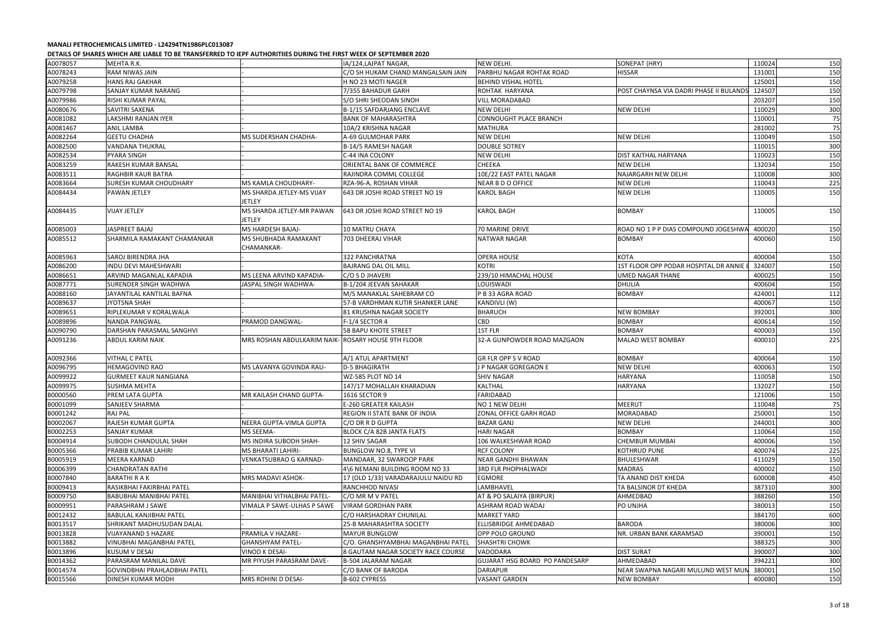|          | DETAILS OF SHARES WHICH ARE LIADLE TO DE TRANSI ERRED TO IEFT AUTHORITIES DORING THE HRST WEEK OF SEFTENDER 2020 |                                                    |                                     |                                       |                                         |        |     |
|----------|------------------------------------------------------------------------------------------------------------------|----------------------------------------------------|-------------------------------------|---------------------------------------|-----------------------------------------|--------|-----|
| A0078057 | MEHTA R.K.                                                                                                       |                                                    | IA/124, LAJPAT NAGAR,               | NEW DELHI.                            | SONEPAT (HRY)                           | 110024 | 150 |
| A0078243 | RAM NIWAS JAIN                                                                                                   |                                                    | C/O SH HUKAM CHAND MANGALSAIN JAIN  | PARBHU NAGAR ROHTAK ROAD              | <b>HISSAR</b>                           | 131001 | 150 |
| A0079258 | <b>HANS RAJ GAKHAR</b>                                                                                           |                                                    | H NO 23 MOTI NAGER                  | <b>BEHIND VISHAL HOTEL</b>            |                                         | 125001 | 150 |
| A0079798 | <b>SANJAY KUMAR NARANG</b>                                                                                       |                                                    | 7/355 BAHADUR GARH                  | ROHTAK HARYANA                        | POST CHAYNSA VIA DADRI PHASE II BULANDS | 124507 | 150 |
| A0079986 | RISHI KUMAR PAYAL                                                                                                |                                                    | S/O SHRI SHEODAN SINOH              | <b>VILL MORADABAD</b>                 |                                         | 203207 | 150 |
| A0080676 | SAVITRI SAXENA                                                                                                   |                                                    | B-1/15 SAFDARJANG ENCLAVE           | NEW DELHI                             | <b>NEW DELHI</b>                        | 110029 | 300 |
| A0081082 | LAKSHMI RANJAN IYER                                                                                              |                                                    | <b>BANK OF MAHARASHTRA</b>          | CONNOUGHT PLACE BRANCH                |                                         | 110001 | 75  |
| A0081467 | <b>ANIL LAMBA</b>                                                                                                |                                                    | 10A/2 KRISHNA NAGAR                 | <b>MATHURA</b>                        |                                         | 281002 | 75  |
| A0082264 | <b>GEETU CHADHA</b>                                                                                              | MS SUDERSHAN CHADHA-                               | A-69 GULMOHAR PARK                  | <b>NEW DELHI</b>                      | <b>NEW DELHI</b>                        | 110049 | 150 |
| A0082500 | VANDANA THUKRAL                                                                                                  |                                                    | B-14/5 RAMESH NAGAR                 | <b>DOUBLE SOTREY</b>                  |                                         | 110015 | 300 |
| A0082534 | <b>PYARA SINGH</b>                                                                                               |                                                    | C-44 INA COLONY                     | <b>NEW DELHI</b>                      | DIST KAITHAL HARYANA                    | 110023 | 150 |
| A0083259 | RAKESH KUMAR BANSAL                                                                                              |                                                    | ORIENTAL BANK OF COMMERCE           | <b>CHEEKA</b>                         | <b>NEW DELHI</b>                        | 132034 | 150 |
| A0083511 | <b>RAGHBIR KAUR BATRA</b>                                                                                        |                                                    | RAJINDRA COMML COLLEGE              | 10E/22 EAST PATEL NAGAR               | <b>NAJARGARH NEW DELHI</b>              | 110008 | 300 |
| A0083664 | <b>SURESH KUMAR CHOUDHARY</b>                                                                                    | MS KAMLA CHOUDHARY-                                | RZA-96-A, ROSHAN VIHAR              | NEAR B D O OFFICE                     | <b>NEW DELHI</b>                        | 110043 | 225 |
| A0084434 | <b>PAWAN JETLEY</b>                                                                                              | MS SHARDA JETLEY-MS VIJAY                          | 643 DR JOSHI ROAD STREET NO 19      | <b>KAROL BAGH</b>                     | <b>NEW DELHI</b>                        | 110005 | 150 |
|          |                                                                                                                  | <b>JETLEY</b>                                      |                                     |                                       |                                         |        |     |
| A0084435 | <b>VIJAY JETLEY</b>                                                                                              | MS SHARDA JETLEY-MR PAWAN                          | 643 DR JOSHI ROAD STREET NO 19      | <b>KAROL BAGH</b>                     | <b>BOMBAY</b>                           | 110005 | 150 |
|          |                                                                                                                  | JETLEY                                             |                                     |                                       |                                         |        |     |
| A0085003 | JASPREET BAJAJ                                                                                                   | MS HARDESH BAJAJ-                                  |                                     |                                       |                                         | 400020 |     |
|          |                                                                                                                  |                                                    | 10 MATRU CHAYA                      | 70 MARINE DRIVE                       | ROAD NO 1 P P DIAS COMPOUND JOGESHWA    |        | 150 |
| A0085512 | SHARMILA RAMAKANT CHAMANKAR                                                                                      | MS SHUBHADA RAMAKANT                               | 703 DHEERAJ VIHAR                   | NATWAR NAGAR                          | <b>BOMBAY</b>                           | 400060 | 150 |
|          |                                                                                                                  | CHAMANKAR-                                         |                                     |                                       |                                         |        |     |
| A0085963 | SAROJ BIRENDRA JHA                                                                                               |                                                    | 322 PANCHRATNA                      | <b>OPERA HOUSE</b>                    | <b>KOTA</b>                             | 400004 | 150 |
| A0086200 | INDU DEVI MAHESHWARI                                                                                             |                                                    | <b>BAJRANG DAL OIL MILL</b>         | KOTRI                                 | 1ST FLOOR OPP PODAR HOSPITAL DR ANNIE   | 324007 | 150 |
| A0086651 | ARVIND MAGANLAL KAPADIA                                                                                          | MS LEENA ARVIND KAPADIA-                           | C/O S D JHAVERI                     | 239/10 HIMACHAL HOUSE                 | UMED NAGAR THANE                        | 400025 | 150 |
| A0087771 | <b>SURENDER SINGH WADHWA</b>                                                                                     | JASPAL SINGH WADHWA-                               | B-1/204 JEEVAN SAHAKAR              | <b>LOUISWADI</b>                      | <b>DHULIA</b>                           | 400604 | 150 |
| A0088160 | JAYANTILAL KANTILAL BAFNA                                                                                        |                                                    | M/S MANAKLAL SAHEBRAM CO            | P B 33 AGRA ROAD                      | <b>BOMBAY</b>                           | 424001 | 112 |
| A0089637 | <b>JYOTSNA SHAH</b>                                                                                              |                                                    | 57-B VARDHMAN KUTIR SHANKER LANE    | KANDIVLI (W)                          |                                         | 400067 | 150 |
| A0089651 | RIPLEKUMAR V KORALWALA                                                                                           |                                                    | 81 KRUSHNA NAGAR SOCIETY            | <b>BHARUCH</b>                        | <b>NEW BOMBAY</b>                       | 392001 | 300 |
| A0089896 | <b>NANDA PANGWAL</b>                                                                                             | PRAMOD DANGWAL-                                    | F-1/4 SECTOR 4                      | <b>CBD</b>                            | <b>BOMBAY</b>                           | 400614 | 150 |
| A0090790 | DARSHAN PARASMAL SANGHVI                                                                                         |                                                    | 58 BAPU KHOTE STREET                | 1ST FLR                               | <b>BOMBAY</b>                           | 400003 | 150 |
| A0091236 | ABDUL KARIM NAIK                                                                                                 | MRS ROSHAN ABDULKARIM NAIK- ROSARY HOUSE 9TH FLOOR |                                     | 32-A GUNPOWDER ROAD MAZGAON           | <b>MALAD WEST BOMBAY</b>                | 400010 | 225 |
| A0092366 | <b>VITHAL C PATEL</b>                                                                                            |                                                    | A/1 ATUL APARTMENT                  | <b>GR FLR OPP S V ROAD</b>            | <b>BOMBAY</b>                           | 400064 | 150 |
| A0096795 | <b>HEMAGOVIND RAO</b>                                                                                            | MS LAVANYA GOVINDA RAU-                            | <b>D-5 BHAGIRATH</b>                | J P NAGAR GOREGAON E                  | <b>NEW DELHI</b>                        | 400063 | 150 |
| A0099922 | <b>GURMEET KAUR NANGIANA</b>                                                                                     |                                                    | WZ-585 PLOT NO 14                   | <b>SHIV NAGAR</b>                     | <b>HARYANA</b>                          | 110058 | 150 |
| A0099975 | <b>SUSHMA MEHTA</b>                                                                                              |                                                    | 147/17 MOHALLAH KHARADIAN           | KALTHAL                               | <b>HARYANA</b>                          | 132027 | 150 |
| B0000560 | PREM LATA GUPTA                                                                                                  | MR KAILASH CHAND GUPTA-                            | 1616 SECTOR 9                       | FARIDABAD                             |                                         | 121006 | 150 |
| B0001099 | SANJEEV SHARMA                                                                                                   |                                                    | E-260 GREATER KAILASH               | NO 1 NEW DELHI                        | <b>MEERUT</b>                           | 110048 | 75  |
| B0001242 | <b>RAJ PAL</b>                                                                                                   |                                                    | REGION II STATE BANK OF INDIA       | ZONAL OFFICE GARH ROAD                | MORADABAD                               | 250001 | 150 |
| B0002067 | RAJESH KUMAR GUPTA                                                                                               | NEERA GUPTA-VIMLA GUPTA                            | C/O DR R D GUPTA                    | BAZAR GANJ                            | <b>NEW DELHI</b>                        | 244001 | 300 |
| B0002253 | <b>SANJAY KUMAR</b>                                                                                              | MS SEEMA-                                          | BLOCK C/A 82B JANTA FLATS           | <b>HARI NAGAR</b>                     | <b>BOMBAY</b>                           | 110064 | 150 |
| B0004914 | SUBODH CHANDULAL SHAH                                                                                            | MS INDIRA SUBODH SHAH-                             | <b>12 SHIV SAGAR</b>                | 106 WALKESHWAR ROAD                   | <b>CHEMBUR MUMBAI</b>                   | 400006 | 150 |
| B0005366 | PRABIB KUMAR LAHIRI                                                                                              | MS BHARATI LAHIRI-                                 | BUNGLOW NO.8, TYPE VI               | <b>RCF COLONY</b>                     | KOTHRUD PUNE                            | 400074 | 225 |
|          |                                                                                                                  |                                                    |                                     |                                       |                                         |        |     |
| B0005919 | MEERA KARNAD                                                                                                     | VENKATSUBRAO G KARNAD-                             | MANDAAR, 32 SWAROOP PARK            | <b>NEAR GANDHI BHAWAN</b>             | <b>BHULESHWAR</b>                       | 411029 | 150 |
| B0006399 | <b>CHANDRATAN RATHI</b>                                                                                          |                                                    | 4\6 NEMANI BUILDING ROOM NO 33      | <b>3RD FLR PHOPHALWADI</b>            | <b>MADRAS</b>                           | 400002 | 150 |
| B0007840 | <b>BARATHI R A K</b>                                                                                             | MRS MADAVI ASHOK-                                  | 17 (OLD 1/33) VARADARAJULU NAIDU RD | <b>EGMORE</b>                         | TA ANAND DIST KHEDA                     | 600008 | 450 |
| B0009413 | RASIKBHAI FAKIRBHAI PATEL                                                                                        |                                                    | RANCHHOD NIVASI                     | LAMBHAVEL                             | TA BALSINOR DT KHEDA                    | 387310 | 300 |
| B0009750 | <b>BABUBHAI MANIBHAI PATEL</b>                                                                                   | MANIBHAI VITHALBHAI PATEL-                         | C/O MR M V PATEL                    | AT & PO SALAIYA (BIRPUR)              | AHMEDBAD                                | 388260 | 150 |
| B0009951 | PARASHRAM J SAWE                                                                                                 | VIMALA P SAWE-ULHAS P SAWE                         | <b>VIRAM GORDHAN PARK</b>           | ASHRAM ROAD WADAJ                     | PO UNJHA                                | 380013 | 150 |
| B0012432 | <b>BABULAL KANJIBHAI PATEL</b>                                                                                   |                                                    | C/O HARSHADRAY CHUNILAL             | <b>MARKET YARD</b>                    |                                         | 384170 | 600 |
| B0013517 | SHRIKANT MADHUSUDAN DALAL                                                                                        |                                                    | <b>25-B MAHARASHTRA SOCIETY</b>     | <b>ELLISBRIDGE AHMEDABAD</b>          | <b>BARODA</b>                           | 380006 | 300 |
| B0013828 | <b>VIJAYANAND S HAZARE</b>                                                                                       | PRAMILA V HAZARE-                                  | <b>MAYUR BUNGLOW</b>                | OPP POLO GROUND                       | NR. URBAN BANK KARAMSAD                 | 390001 | 150 |
| B0013882 | <b>VINUBHAI MAGANBHAI PATEL</b>                                                                                  | <b>GHANSHYAM PATEL-</b>                            | C/O. GHANSHYAMBHAI MAGANBHAI PATEL  | <b>SHASHTRI CHOWK</b>                 |                                         | 388325 | 300 |
| B0013896 | KUSUM V DESAI                                                                                                    | <b>VINOD K DESAI-</b>                              | 8 GAUTAM NAGAR SOCIETY RACE COURSE  | <b>VADODARA</b>                       | <b>DIST SURAT</b>                       | 390007 | 300 |
| B0014362 | PARASRAM MANILAL DAVE                                                                                            | MR PIYUSH PARASRAM DAVE-                           | <b>B-504 JALARAM NAGAR</b>          | <b>GUJARAT HSG BOARD PO PANDESARP</b> | AHMEDABAD                               | 394221 | 300 |
| B0014574 | GOVINDBHAI PRAHLADBHAI PATEL                                                                                     |                                                    | C/O BANK OF BARODA                  | <b>DARIAPUR</b>                       | NEAR SWAPNA NAGARI MULUND WEST MUI      | 380001 | 150 |
| B0015566 | <b>DINESH KUMAR MODH</b>                                                                                         | MRS ROHINI D DESAI-                                | B-602 CYPRESS                       | <b>VASANT GARDEN</b>                  | <b>NEW BOMBAY</b>                       | 400080 | 150 |
|          |                                                                                                                  |                                                    |                                     |                                       |                                         |        |     |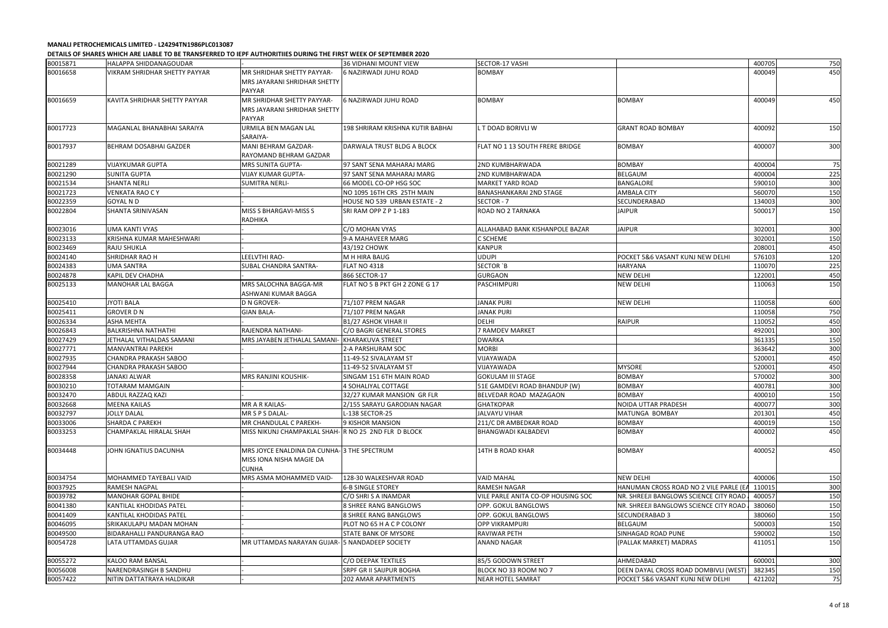|          | שבורחנט טו טוויחיונט וועדה בורוטפו ומיוחד טו שהוועד ומיוחד ומותח ומיוחד של היה ומיוחד שהוויחד שהוויחד ומיוחד ש |                                                        |                                  |                                    |                                        |        |     |
|----------|----------------------------------------------------------------------------------------------------------------|--------------------------------------------------------|----------------------------------|------------------------------------|----------------------------------------|--------|-----|
| B0015871 | HALAPPA SHIDDANAGOUDAR                                                                                         |                                                        | 36 VIDHANI MOUNT VIEW            | SECTOR-17 VASHI                    |                                        | 400705 | 750 |
| B0016658 | VIKRAM SHRIDHAR SHETTY PAYYAR                                                                                  | MR SHRIDHAR SHETTY PAYYAR-                             | <b>6 NAZIRWADI JUHU ROAD</b>     | <b>BOMBAY</b>                      |                                        | 400049 | 450 |
|          |                                                                                                                | <b>MRS JAYARANI SHRIDHAR SHETTY</b>                    |                                  |                                    |                                        |        |     |
|          |                                                                                                                | PAYYAR                                                 |                                  |                                    |                                        |        |     |
| B0016659 | KAVITA SHRIDHAR SHETTY PAYYAR                                                                                  | MR SHRIDHAR SHETTY PAYYAR-                             | <b>6 NAZIRWADI JUHU ROAD</b>     | <b>BOMBAY</b>                      | <b>BOMBAY</b>                          | 400049 | 450 |
|          |                                                                                                                | ARS JAYARANI SHRIDHAR SHETTY                           |                                  |                                    |                                        |        |     |
|          |                                                                                                                | PAYYAR                                                 |                                  |                                    |                                        |        |     |
| B0017723 | MAGANLAL BHANABHAI SARAIYA                                                                                     | URMILA BEN MAGAN LAL                                   | 198 SHRIRAM KRISHNA KUTIR BABHAI | . T DOAD BORIVLI W                 | <b>GRANT ROAD BOMBAY</b>               | 400092 | 150 |
|          |                                                                                                                | SARAIYA-                                               |                                  |                                    |                                        |        |     |
| B0017937 | <b>BEHRAM DOSABHAI GAZDER</b>                                                                                  | MANI BEHRAM GAZDAR-                                    | DARWALA TRUST BLDG A BLOCK       | FLAT NO 1 13 SOUTH FRERE BRIDGE    | <b>BOMBAY</b>                          | 400007 | 300 |
|          |                                                                                                                | RAYOMAND BEHRAM GAZDAR                                 |                                  |                                    |                                        |        |     |
| B0021289 | <b>VIJAYKUMAR GUPTA</b>                                                                                        | MRS SUNITA GUPTA-                                      | 97 SANT SENA MAHARAJ MARG        | <b>2ND KUMBHARWADA</b>             | <b>BOMBAY</b>                          | 400004 | 75  |
| B0021290 | <b>SUNITA GUPTA</b>                                                                                            | <b>VIJAY KUMAR GUPTA-</b>                              | 97 SANT SENA MAHARAJ MARG        | 2ND KUMBHARWADA                    | <b>BELGAUM</b>                         | 400004 | 225 |
| B0021534 | <b>SHANTA NERLI</b>                                                                                            | <b>SUMITRA NERLI-</b>                                  | 66 MODEL CO-OP HSG SOC           | <b>MARKET YARD ROAD</b>            | <b>BANGALORE</b>                       | 590010 | 300 |
| B0021723 | <b>VENKATA RAO CY</b>                                                                                          |                                                        | NO 1095 16TH CRS 25TH MAIN       | <b>BANASHANKARAI 2ND STAGE</b>     | <b>AMBALA CITY</b>                     | 560070 | 150 |
| B0022359 | <b>GOYAL N D</b>                                                                                               |                                                        | HOUSE NO 539 URBAN ESTATE - 2    | SECTOR - 7                         | SECUNDERABAD                           | 134003 | 300 |
| B0022804 | <b>SHANTA SRINIVASAN</b>                                                                                       | MISS S BHARGAVI-MISS S                                 | SRI RAM OPP Z P 1-183            | ROAD NO 2 TARNAKA                  | <b>JAIPUR</b>                          | 500017 | 150 |
|          |                                                                                                                | RADHIKA                                                |                                  |                                    |                                        |        |     |
| B0023016 | <b>UMA KANTI VYAS</b>                                                                                          |                                                        | C/O MOHAN VYAS                   | ALLAHABAD BANK KISHANPOLE BAZAR    | <b>JAIPUR</b>                          | 302001 | 300 |
| B0023133 | KRISHNA KUMAR MAHESHWARI                                                                                       |                                                        | 9-A MAHAVEER MARG                | C SCHEME                           |                                        | 302001 | 150 |
| B0023469 | <b>RAJU SHUKLA</b>                                                                                             |                                                        | 43/192 CHOWK                     | <b>KANPUR</b>                      |                                        | 208001 | 450 |
| B0024140 | SHRIDHAR RAO H                                                                                                 | LEELVTHI RAO-                                          | M H HIRA BAUG                    | <b>UDUPI</b>                       | POCKET 5&6 VASANT KUNJ NEW DELHI       | 576103 | 120 |
| B0024383 | <b>UMA SANTRA</b>                                                                                              | SUBAL CHANDRA SANTRA-                                  | <b>FLAT NO 4318</b>              | SECTOR `B                          | <b>HARYANA</b>                         | 110070 | 225 |
| B0024878 | KAPIL DEV CHADHA                                                                                               |                                                        | 866 SECTOR-17                    | <b>GURGAON</b>                     | <b>NEW DELHI</b>                       | 122001 | 450 |
| B0025133 | MANOHAR LAL BAGGA                                                                                              | <b>MRS SALOCHNA BAGGA-MR</b>                           | FLAT NO 5 B PKT GH 2 ZONE G 17   | PASCHIMPURI                        | <b>NEW DELHI</b>                       | 110063 | 150 |
|          |                                                                                                                | ASHWANI KUMAR BAGGA                                    |                                  |                                    |                                        |        |     |
| B0025410 | <b>JYOTI BALA</b>                                                                                              | <b>D N GROVER-</b>                                     | 71/107 PREM NAGAR                | <b>JANAK PURI</b>                  | <b>NEW DELHI</b>                       | 110058 | 600 |
| B0025411 | <b>GROVER D N</b>                                                                                              | <b>GIAN BALA-</b>                                      | 71/107 PREM NAGAR                | <b>JANAK PURI</b>                  |                                        | 110058 | 750 |
| B0026334 | <b>ASHA MEHTA</b>                                                                                              |                                                        | <b>B1/27 ASHOK VIHAR II</b>      | <b>DELHI</b>                       | <b>RAIPUR</b>                          | 110052 | 450 |
| B0026843 | <b>BALKRISHNA NATHATHI</b>                                                                                     | RAJENDRA NATHANI-                                      | C/O BAGRI GENERAL STORES         | 7 RAMDEV MARKET                    |                                        | 492001 | 300 |
| B0027429 | JETHALAL VITHALDAS SAMANI                                                                                      | MRS JAYABEN JETHALAL SAMAN                             | <b>KHARAKUVA STREET</b>          | <b>DWARKA</b>                      |                                        | 361335 | 150 |
| B0027771 | MANVANTRAI PAREKH                                                                                              |                                                        | 2-A PARSHURAM SOC                | <b>MORBI</b>                       |                                        | 363642 | 300 |
| B0027935 | CHANDRA PRAKASH SABOO                                                                                          |                                                        | 11-49-52 SIVALAYAM ST            | VIJAYAWADA                         |                                        | 520001 | 450 |
| B0027944 | CHANDRA PRAKASH SABOO                                                                                          |                                                        | 11-49-52 SIVALAYAM ST            | VIJAYAWADA                         | <b>MYSORE</b>                          | 520001 | 450 |
| B0028358 | <b>JANAKI ALWAR</b>                                                                                            | MRS RANJINI KOUSHIK-                                   | SINGAM 151 6TH MAIN ROAD         | <b>GOKULAM III STAGE</b>           | <b>BOMBAY</b>                          | 570002 | 300 |
| B0030210 | <b>TOTARAM MAMGAIN</b>                                                                                         |                                                        | 4 SOHALIYAL COTTAGE              | 51E GAMDEVI ROAD BHANDUP (W)       | <b>BOMBAY</b>                          | 400781 | 300 |
| B0032470 | ABDUL RAZZAQ KAZI                                                                                              |                                                        | 32/27 KUMAR MANSION GR FLR       | BELVEDAR ROAD MAZAGAON             | <b>BOMBAY</b>                          | 400010 | 150 |
| B0032668 | <b>MEENA KAILAS</b>                                                                                            | MR A R KAILAS-                                         | 2/155 SARAYU GARODIAN NAGAR      | <b>GHATKOPAR</b>                   | NOIDA UTTAR PRADESH                    | 400077 | 300 |
| B0032797 | <b>JOLLY DALAL</b>                                                                                             | MR S P S DALAL-                                        | L-138 SECTOR-25                  | <b>JALVAYU VIHAR</b>               | MATUNGA BOMBAY                         | 201301 | 450 |
| B0033006 | <b>SHARDA C PAREKH</b>                                                                                         | MR CHANDULAL C PAREKH-                                 | 9 KISHOR MANSION                 | 211/C DR AMBEDKAR ROAD             | <b>BOMBAY</b>                          | 400019 | 150 |
| B0033253 | CHAMPAKLAL HIRALAL SHAH                                                                                        | MISS NIKUNJ CHAMPAKLAL SHAH- R NO 25  2ND FLR  D BLOCK |                                  | <b>BHANGWADI KALBADEVI</b>         | <b>BOMBAY</b>                          | 400002 | 450 |
|          |                                                                                                                |                                                        |                                  |                                    |                                        |        |     |
| B0034448 | JOHN IGNATIUS DACUNHA                                                                                          | MRS JOYCE ENALDINA DA CUNHA-3 THE SPECTRUM             |                                  | 14TH B ROAD KHAR                   | <b>BOMBAY</b>                          | 400052 | 450 |
|          |                                                                                                                | MISS IONA NISHA MAGIE DA                               |                                  |                                    |                                        |        |     |
|          |                                                                                                                | CUNHA                                                  |                                  |                                    |                                        |        |     |
| B0034754 | MOHAMMED TAYEBALI VAID                                                                                         | MRS ASMA MOHAMMED VAID-                                | 128-30 WALKESHVAR ROAD           | <b>VAID MAHAL</b>                  | <b>NEW DELHI</b>                       | 400006 | 150 |
| B0037925 | <b>RAMESH NAGPAL</b>                                                                                           |                                                        | <b>6-B SINGLE STOREY</b>         | <b>RAMESH NAGAR</b>                | HANUMAN CROSS ROAD NO 2 VILE PARLE (EA | 110015 | 300 |
| B0039782 | <b>MANOHAR GOPAL BHIDE</b>                                                                                     |                                                        | C/O SHRISA INAMDAR               | VILE PARLE ANITA CO-OP HOUSING SOC | NR. SHREEJI BANGLOWS SCIENCE CITY ROAD | 400057 | 150 |
| B0041380 | KANTILAL KHODIDAS PATEL                                                                                        |                                                        | 8 SHREE RANG BANGLOWS            | OPP. GOKUL BANGLOWS                | NR. SHREEJI BANGLOWS SCIENCE CITY ROAD | 380060 | 150 |
| B0041409 | KANTILAL KHODIDAS PATEL                                                                                        |                                                        | 8 SHREE RANG BANGLOWS            | OPP. GOKUL BANGLOWS                | SECUNDERABAD 3                         | 380060 | 150 |
| B0046095 | SRIKAKULAPU MADAN MOHAN                                                                                        |                                                        | PLOT NO 65 H A C P COLONY        | <b>OPP VIKRAMPURI</b>              | BELGAUM                                | 500003 | 150 |
| B0049500 | <b>BIDARAHALLI PANDURANGA RAO</b>                                                                              |                                                        | STATE BANK OF MYSORE             | RAVIWAR PETH                       | SINHAGAD ROAD PUNE                     | 590002 | 150 |
| B0054728 | LATA UTTAMDAS GUJAR                                                                                            | MR UTTAMDAS NARAYAN GUJAR- 5 NANDADEEP SOCIETY         |                                  | ANAND NAGAR                        | (PALLAK MARKET) MADRAS                 | 411051 | 150 |
|          |                                                                                                                |                                                        |                                  |                                    |                                        |        |     |
| B0055272 | KALOO RAM BANSAL                                                                                               |                                                        | C/O DEEPAK TEXTILES              | 85/5 GODOWN STREET                 | AHMEDABAD                              | 600001 | 300 |
| B0056008 | NARENDRASINGH B SANDHU                                                                                         |                                                        | SRPF GR II SAIJPUR BOGHA         | BLOCK NO 33 ROOM NO 7              | DEEN DAYAL CROSS ROAD DOMBIVLI (WEST)  | 382345 | 150 |
| B0057422 | NITIN DATTATRAYA HALDIKAR                                                                                      |                                                        | 202 AMAR APARTMENTS              | <b>NEAR HOTEL SAMRAT</b>           | POCKET 5&6 VASANT KUNJ NEW DELHI       | 421202 | 75  |
|          |                                                                                                                |                                                        |                                  |                                    |                                        |        |     |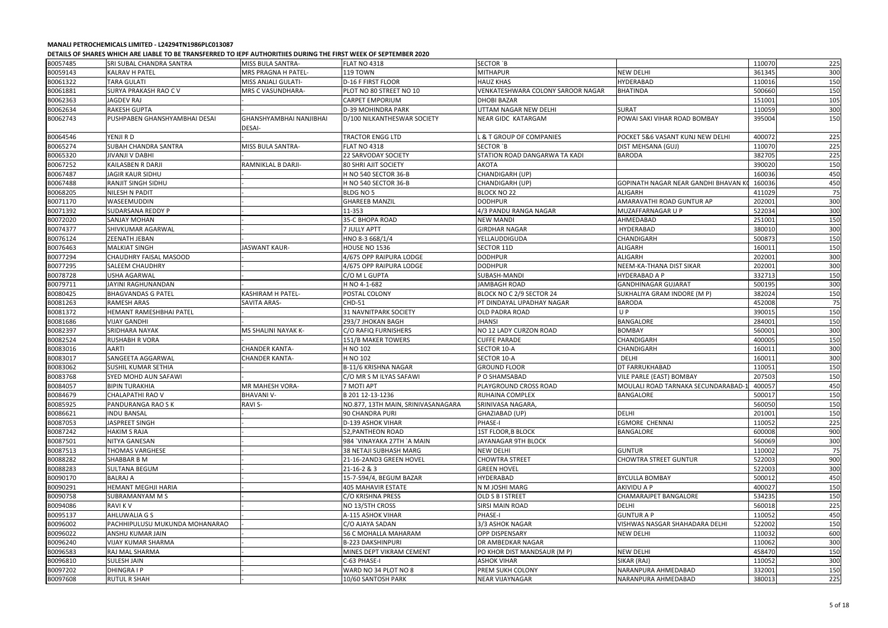|                      | פנואומן טו אוואזוכ ואוויפון אוויפון און פון פער האט אינט וויפון אינט א פון א די האט וויפון וויפון אינט א פון ה |                                          |                                    |                                             |                                                                 |                  |            |
|----------------------|----------------------------------------------------------------------------------------------------------------|------------------------------------------|------------------------------------|---------------------------------------------|-----------------------------------------------------------------|------------------|------------|
| B0057485             | <b>SRI SUBAL CHANDRA SANTRA</b>                                                                                | MISS BULA SANTRA-                        | FLAT NO 4318                       | SECTOR `B                                   |                                                                 | 110070           | 225        |
| B0059143             | <b>KALRAV H PATEL</b>                                                                                          | MRS PRAGNA H PATEL-                      | <b>119 TOWN</b>                    | <b>MITHAPUR</b>                             | <b>NEW DELHI</b>                                                | 361345           | 300        |
| B0061322             | <b>TARA GULATI</b>                                                                                             | <b>MISS ANJALI GULATI-</b>               | <b>D-16 F FIRST FLOOR</b>          | <b>HAUZ KHAS</b>                            | <b>HYDERABAD</b>                                                | 110016           | 150        |
| B0061881             | SURYA PRAKASH RAO CV                                                                                           | MRS C VASUNDHARA-                        | PLOT NO 80 STREET NO 10            | VENKATESHWARA COLONY SAROOR NAGAR           | <b>BHATINDA</b>                                                 | 500660           | 150        |
| B0062363             | JAGDEV RAJ                                                                                                     |                                          | CARPET EMPORIUM                    | <b>DHOBI BAZAR</b>                          |                                                                 | 151001           | 105        |
| B0062634             | RAKESH GUPTA                                                                                                   |                                          | D-39 MOHINDRA PARK                 | UTTAM NAGAR NEW DELHI                       | <b>SURAT</b>                                                    | 110059           | 300        |
| B0062743             | PUSHPABEN GHANSHYAMBHAI DESAI                                                                                  | GHANSHYAMBHAI NANJIBHAI<br><b>DESAI-</b> | D/100 NILKANTHESWAR SOCIETY        | <b>NEAR GIDC KATARGAM</b>                   | POWAI SAKI VIHAR ROAD BOMBAY                                    | 395004           | 150        |
| B0064546             | YENJI R D                                                                                                      |                                          | <b>TRACTOR ENGG LTD</b>            | L & T GROUP OF COMPANIES                    | POCKET 5&6 VASANT KUNJ NEW DELHI                                | 400072           | 225        |
| B0065274             | SUBAH CHANDRA SANTRA                                                                                           | <b>MISS BULA SANTRA-</b>                 | <b>FLAT NO 4318</b>                | SECTOR `B                                   | DIST MEHSANA (GUJ)                                              | 110070           | 225        |
| B0065320             | <b>JIVANJI V DABHI</b>                                                                                         |                                          | 22 SARVODAY SOCIETY                | STATION ROAD DANGARWA TA KADI               | <b>BARODA</b>                                                   | 382705           | 225        |
| B0067252             | KAILASBEN R DARJI                                                                                              | RAMNIKLAL B DARJI-                       | <b>80 SHRI AJIT SOCIETY</b>        | <b>AKOTA</b>                                |                                                                 | 390020           | 150        |
| B0067487             | <b>JAGIR KAUR SIDHU</b>                                                                                        |                                          | H NO 540 SECTOR 36-B               | CHANDIGARH (UP)                             |                                                                 | 160036           | 450        |
| B0067488             | RANJIT SINGH SIDHU                                                                                             |                                          | H NO 540 SECTOR 36-B               | CHANDIGARH (UP)                             | GOPINATH NAGAR NEAR GANDHI BHAVAN K                             | 160036           | 450        |
| B0068205             | NILESH N PADIT                                                                                                 |                                          | <b>BLDG NO 5</b>                   | <b>BLOCK NO 22</b>                          | <b>ALIGARH</b>                                                  | 411029           | 75         |
| B0071170             | WASEEMUDDIN                                                                                                    |                                          | <b>GHAREEB MANZIL</b>              | <b>DODHPUR</b>                              | AMARAVATHI ROAD GUNTUR AP                                       | 202001           | 300        |
| B0071392             | SUDARSANA REDDY P                                                                                              |                                          | 11-353                             | 4/3 PANDU RANGA NAGAR                       | MUZAFFARNAGAR U P                                               | 522034           | 300        |
| B0072020             | <b>SANJAY MOHAN</b>                                                                                            |                                          | 35-C BHOPA ROAD                    | <b>NEW MANDI</b>                            | AHMEDABAD                                                       | 251001           | 150        |
| B0074377             | SHIVKUMAR AGARWAL                                                                                              |                                          | 7 JULLY APTT                       | <b>GIRDHAR NAGAR</b>                        | HYDERABAD                                                       | 380010           | 300        |
| B0076124             | ZEENATH JEBAN                                                                                                  |                                          | HNO 8-3 668/1/4                    | YELLAUDDIGUDA                               | <b>CHANDIGARH</b>                                               | 500873           | 150        |
| B0076463             | <b>MALKIAT SINGH</b>                                                                                           | <b>JASWANT KAUR-</b>                     | HOUSE NO 1536                      | SECTOR 11D                                  | ALIGARH                                                         | 160011           | 150        |
| B0077294             | CHAUDHRY FAISAL MASOOD                                                                                         |                                          | 4/675 OPP RAIPURA LODGE            | <b>DODHPUR</b>                              | ALIGARH                                                         | 202001           | 300        |
| B0077295             | SALEEM CHAUDHRY                                                                                                |                                          | 4/675 OPP RAIPURA LODGE            | <b>DODHPUR</b>                              | NEEM-KA-THANA DIST SIKAR                                        | 202001           | 300        |
| B0078728             | <b>USHA AGARWAL</b>                                                                                            |                                          | C/O M L GUPTA                      | SUBASH-MANDI                                | HYDERABAD A P                                                   | 332713           | 150        |
| B0079711             | JAYINI RAGHUNANDAN                                                                                             |                                          | H NO 4-1-682                       | <b>JAMBAGH ROAD</b>                         | GANDHINAGAR GUJARAT                                             | 500195           | 300        |
| B0080425             | <b>BHAGVANDAS G PATEL</b>                                                                                      | <b>KASHIRAM H PATEL-</b>                 | POSTAL COLONY                      | BLOCK NO C 2/9 SECTOR 24                    | SUKHALIYA GRAM INDORE (M P)                                     | 382024           | 150        |
| B0081263             | <b>RAMESH ARAS</b>                                                                                             | <b>SAVITA ARAS-</b>                      | CHD-51                             | PT DINDAYAL UPADHAY NAGAR                   | <b>BARODA</b>                                                   | 452008           | 75         |
| B0081372             | HEMANT RAMESHBHAI PATEL                                                                                        |                                          | <b>31 NAVNITPARK SOCIETY</b>       | OLD PADRA ROAD                              | UP                                                              | 390015           | 150        |
| B0081686             | <b>VIJAY GANDHI</b>                                                                                            |                                          | 293/7 JHOKAN BAGH                  | <b>JHANSI</b>                               | <b>BANGALORE</b>                                                | 284001           | 150        |
| B0082397             | SRIDHARA NAYAK                                                                                                 | MS SHALINI NAYAK K-                      | C/O RAFIQ FURNISHERS               | NO 12 LADY CURZON ROAD                      | <b>BOMBAY</b>                                                   | 560001           | 300        |
| B0082524             | RUSHABH R VORA                                                                                                 |                                          | 151/B MAKER TOWERS                 | <b>CUFFE PARADE</b>                         | CHANDIGARH                                                      | 400005           | 150        |
| B0083016             | AARTI                                                                                                          | <b>CHANDER KANTA-</b>                    | H NO 102                           |                                             |                                                                 | 160011           | 300        |
|                      | SANGEETA AGGARWAL                                                                                              | <b>CHANDER KANTA-</b>                    | H NO 102                           | SECTOR 10-A                                 | CHANDIGARH<br>DELHI                                             | 160011           | 300        |
| B0083017<br>B0083062 | SUSHIL KUMAR SETHIA                                                                                            |                                          | B-11/6 KRISHNA NAGAR               | SECTOR 10-A                                 | DT FARRUKHABAD                                                  |                  | 150        |
|                      |                                                                                                                |                                          |                                    | <b>GROUND FLOOR</b>                         |                                                                 | 110051           |            |
| B0083768             | SYED MOHD AUN SAFAWI                                                                                           |                                          | C/O MR S M ILYAS SAFAWI            | P O SHAMSABAD                               | VILE PARLE (EAST) BOMBAY<br>MOULALI ROAD TARNAKA SECUNDARABAD-1 | 207503           | 150<br>450 |
| B0084057             | <b>BIPIN TURAKHIA</b>                                                                                          | MR MAHESH VORA-                          | 7 MOTI APT                         | PLAYGROUND CROSS ROAD                       |                                                                 | 400057           |            |
| B0084679             | <b>CHALAPATHI RAO V</b><br>PANDURANGA RAO S K                                                                  | <b>BHAVANI V-</b>                        | B 201 12-13-1236                   | <b>RUHAINA COMPLEX</b><br>SRINIVASA NAGARA, | <b>BANGALORE</b>                                                | 500017<br>560050 | 150        |
| B0085925             |                                                                                                                | <b>RAVI S-</b>                           | NO.877, 13TH MAIN, SRINIVASANAGARA |                                             |                                                                 |                  | 150        |
| B0086621             | <b>INDU BANSAL</b>                                                                                             |                                          | 90 CHANDRA PURI                    | GHAZIABAD (UP)                              | <b>DELHI</b>                                                    | 201001           | 150        |
| B0087053             | JASPREET SINGH                                                                                                 |                                          | D-139 ASHOK VIHAR                  | PHASE-I                                     | EGMORE CHENNAI                                                  | 110052           | 225        |
| B0087242             | <b>HAKIM S RAJA</b>                                                                                            |                                          | 52, PANTHEON ROAD                  | <b>1ST FLOOR, B BLOCK</b>                   | BANGALORE                                                       | 600008           | 900        |
| B0087501             | <b>NITYA GANESAN</b>                                                                                           |                                          | 984 `VINAYAKA 27TH `A MAIN         | JAYANAGAR 9TH BLOCK                         |                                                                 | 560069           | 300        |
| B0087513             | <b>THOMAS VARGHESE</b>                                                                                         |                                          | 38 NETAJI SUBHASH MARG             | <b>NEW DELHI</b>                            | <b>GUNTUR</b>                                                   | 110002           | 75         |
| B0088282             | SHABBAR B M                                                                                                    |                                          | 21-16-2AND3 GREEN HOVEL            | <b>CHOWTRA STREET</b>                       | <b>CHOWTRA STREET GUNTUR</b>                                    | 522003           | 900        |
| B0088283             | <b>SULTANA BEGUM</b>                                                                                           |                                          | 21-16-2 & 3                        | <b>GREEN HOVEL</b>                          |                                                                 | 522003           | 300        |
| B0090170             | <b>BALRAJ A</b>                                                                                                |                                          | 15-7-594/4, BEGUM BAZAR            | <b>HYDERABAD</b>                            | <b>BYCULLA BOMBAY</b>                                           | 500012           | 450        |
| B0090291             | <b>HEMANT MEGHJI HARIA</b>                                                                                     |                                          | <b>405 MAHAVIR ESTATE</b>          | N M JOSHI MARG                              | AKIVIDU A P                                                     | 400027           | 150        |
| B0090758             | SUBRAMANYAM M S                                                                                                |                                          | C/O KRISHNA PRESS                  | OLD S B I STREET                            | CHAMARAJPET BANGALORE                                           | 534235           | 150        |
| B0094086             | <b>RAVIKV</b>                                                                                                  |                                          | NO 13/5TH CROSS                    | <b>SIRSI MAIN ROAD</b>                      | <b>DELHI</b>                                                    | 560018           | 225        |
| B0095137             | AHLUWALIA G S                                                                                                  |                                          | A-115 ASHOK VIHAR                  | <b>PHASE-I</b>                              | <b>GUNTURAP</b>                                                 | 110052           | 450        |
| B0096002             | PACHHIPULUSU MUKUNDA MOHANARAO                                                                                 |                                          | C/O AJAYA SADAN                    | 3/3 ASHOK NAGAR                             | VISHWAS NASGAR SHAHADARA DELHI                                  | 522002           | 150        |
| B0096022             | ANSHU KUMAR JAIN                                                                                               |                                          | 56 C MOHALLA MAHARAM               | OPP DISPENSARY                              | <b>NEW DELHI</b>                                                | 110032           | 600        |
| B0096240             | <b>VIJAY KUMAR SHARMA</b>                                                                                      |                                          | <b>B-223 DAKSHINPURI</b>           | DR AMBEDKAR NAGAR                           |                                                                 | 110062           | 300        |
| B0096583             | RAJ MAL SHARMA                                                                                                 |                                          | MINES DEPT VIKRAM CEMENT           | PO KHOR DIST MANDSAUR (M P)                 | <b>NEW DELHI</b>                                                | 458470           | 150        |
| B0096810             | <b>SULESH JAIN</b>                                                                                             |                                          | C-63 PHASE-I                       | <b>ASHOK VIHAR</b>                          | SIKAR (RAJ)                                                     | 110052           | 300        |
| B0097202             | <b>DHINGRAIP</b>                                                                                               |                                          | WARD NO 34 PLOT NO 8               | PREM SUKH COLONY                            | NARANPURA AHMEDABAD                                             | 332001           | 150        |
| B0097608             | <b>RUTUL R SHAH</b>                                                                                            |                                          | 10/60 SANTOSH PARK                 | <b>NEAR VIJAYNAGAR</b>                      | NARANPURA AHMEDABAD                                             | 380013           | 225        |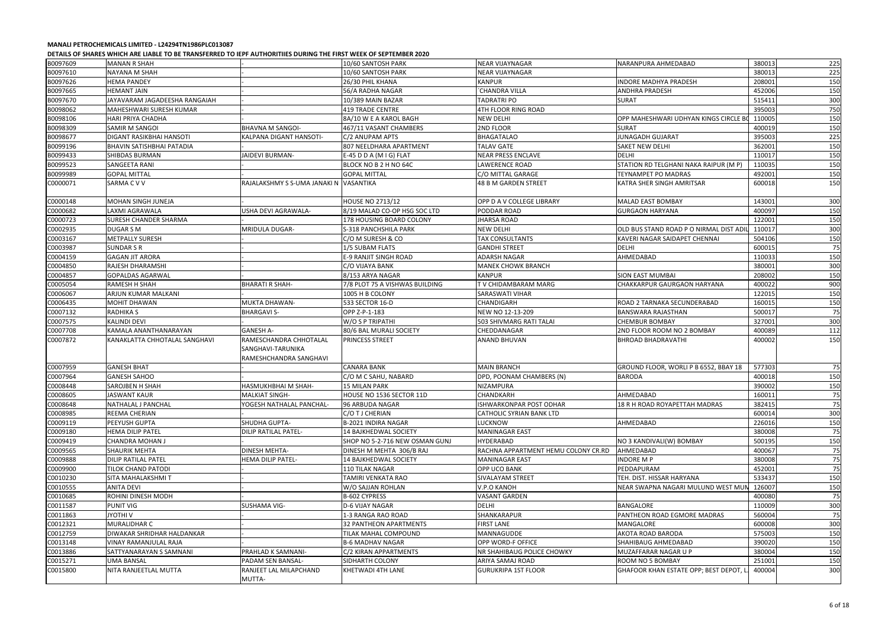| B0097609 | <b>MANAN R SHAH</b>           |                              | 10/60 SANTOSH PARK             | <b>NEAR VIJAYNAGAR</b>              | NARANPURA AHMEDABAD                   | 380013 | 225      |
|----------|-------------------------------|------------------------------|--------------------------------|-------------------------------------|---------------------------------------|--------|----------|
| B0097610 | <b>NAYANA M SHAH</b>          |                              | 10/60 SANTOSH PARK             | NEAR VIJAYNAGAR                     |                                       | 380013 | 225      |
|          |                               |                              |                                |                                     |                                       |        |          |
| B0097626 | HEMA PANDEY                   |                              | 26/30 PHIL KHANA               | <b>KANPUR</b>                       | INDORE MADHYA PRADESH                 | 208001 | 150      |
| B0097665 | <b>HEMANT JAIN</b>            |                              | 56/A RADHA NAGAR               | <b>CHANDRA VILLA</b>                | <b>ANDHRA PRADESH</b>                 | 452006 | 150      |
| B0097670 | JAYAVARAM JAGADEESHA RANGAIAH |                              | 10/389 MAIN BAZAR              | <b>TADRATRI PO</b>                  | <b>SURAT</b>                          | 515411 | 300      |
| B0098062 | MAHESHWARI SURESH KUMAR       |                              | <b>419 TRADE CENTRE</b>        | 4TH FLOOR RING ROAD                 |                                       | 395003 | 750      |
| B0098106 | HARI PRIYA CHADHA             |                              | 8A/10 W E A KAROL BAGH         | <b>NEW DELHI</b>                    | OPP MAHESHWARI UDHYAN KINGS CIRCLE    | 110005 | 150      |
| B0098309 | SAMIR M SANGOI                | BHAVNA M SANGOI-             | 467/11 VASANT CHAMBERS         | 2ND FLOOR                           | <b>SURAT</b>                          | 400019 | 150      |
| B0098677 | DIGANT RASIKBHAI HANSOTI      | KALPANA DIGANT HANSOTI-      | C/2 ANUPAM APTS                | <b>BHAGATALAO</b>                   | <b>JUNAGADH GUJARAT</b>               | 395003 | 225      |
| B0099196 | BHAVIN SATISHBHAI PATADIA     |                              | 807 NEELDHARA APARTMENT        | <b>TALAV GATE</b>                   | SAKET NEW DELHI                       | 362001 | 150      |
| B0099433 | SHIBDAS BURMAN                | JAIDEVI BURMAN-              | E-45 D D A (M I G) FLAT        | NEAR PRESS ENCLAVE                  | DELHI                                 | 110017 | 150      |
| B0099523 | SANGEETA RANI                 |                              | BLOCK NO B 2 H NO 64C          | LAWERENCE ROAD                      | STATION RD TELGHANI NAKA RAIPUR (M P) | 110035 | 150      |
| B0099989 | <b>GOPAL MITTAL</b>           |                              | <b>GOPAL MITTAL</b>            | C/O MITTAL GARAGE                   | TEYNAMPET PO MADRAS                   | 492001 | 150      |
| C0000071 | SARMA C V V                   | RAJALAKSHMY S S-UMA JANAKI N | VASANTIKA                      | 48 B M GARDEN STREET                | KATRA SHER SINGH AMRITSAR             | 600018 | 150      |
|          |                               |                              |                                |                                     |                                       |        |          |
| C0000148 | MOHAN SINGH JUNEJA            |                              | <b>HOUSE NO 2713/12</b>        | OPP D A V COLLEGE LIBRARY           | <b>MALAD EAST BOMBAY</b>              | 143001 | 300      |
| C0000682 | LAXMI AGRAWALA                | USHA DEVI AGRAWALA-          | 8/19 MALAD CO-OP HSG SOC LTD   | PODDAR ROAD                         | <b>GURGAON HARYANA</b>                | 400097 | 150      |
| C0000723 | SURESH CHANDER SHARMA         |                              | 178 HOUSING BOARD COLONY       | <b>JHARSA ROAD</b>                  |                                       | 122001 | 150      |
| C0002935 | <b>DUGAR S M</b>              | MRIDULA DUGAR-               | <b>S-318 PANCHSHILA PARK</b>   | <b>NEW DELHI</b>                    | OLD BUS STAND ROAD P O NIRMAL DIST AD | 110017 | 300      |
| C0003167 | <b>METPALLY SURESH</b>        |                              | C/O M SURESH & CO              | <b>TAX CONSULTANTS</b>              | KAVERI NAGAR SAIDAPET CHENNAI         | 504106 | 150      |
| C0003987 | <b>SUNDAR S R</b>             |                              | 1/5 SUBAM FLATS                | <b>GANDHI STREET</b>                | <b>DELHI</b>                          | 600015 | 75       |
| C0004159 | <b>GAGAN JIT ARORA</b>        |                              | <b>E-9 RANJIT SINGH ROAD</b>   | <b>ADARSH NAGAR</b>                 | AHMEDABAD                             | 110033 | 150      |
| C0004850 | RAJESH DHARAMSHI              |                              | C/O VIJAYA BANK                | <b>MANEK CHOWK BRANCH</b>           |                                       | 380001 | 300      |
| C0004857 | <b>GOPALDAS AGARWAL</b>       |                              | 8/153 ARYA NAGAR               | <b>KANPUR</b>                       | <b>SION EAST MUMBAI</b>               | 208002 | 150      |
| C0005054 | RAMESH H SHAH                 | <b>BHARATI R SHAH-</b>       | 7/8 PLOT 75 A VISHWAS BUILDING | TV CHIDAMBARAM MARG                 | CHAKKARPUR GAURGAON HARYANA           | 400022 | 900      |
|          |                               |                              |                                |                                     |                                       |        | 150      |
| C0006067 | ARJUN KUMAR MALKANI           |                              | 1005 H B COLONY                | SARASWATI VIHAR                     |                                       | 122015 |          |
| C0006435 | MOHIT DHAWAN                  | MUKTA DHAWAN-                | 533 SECTOR 16-D                | CHANDIGARH                          | ROAD 2 TARNAKA SECUNDERABAD           | 160015 | 150      |
| C0007132 | RADHIKA S                     | <b>BHARGAVI S-</b>           | OPP Z-P-1-183                  | NEW NO 12-13-209                    | BANSWARA RAJASTHAN                    | 500017 | 75       |
| C0007575 | KALINDI DEVI                  |                              | W/O S P TRIPATHI               | 503 SHIVMARG RATI TALAI             | <b>CHEMBUR BOMBAY</b>                 | 327001 | 300      |
| C0007708 | KAMALA ANANTHANARAYAN         | <b>GANESH A-</b>             | 80/6 BAL MURALI SOCIETY        | CHEDDANAGAR                         | 2ND FLOOR ROOM NO 2 BOMBAY            | 400089 | 112      |
| C0007872 | KANAKLATTA CHHOTALAL SANGHAVI | RAMESCHANDRA CHHOTALAL       | PRINCESS STREET                | <b>ANAND BHUVAN</b>                 | <b>BHROAD BHADRAVATHI</b>             | 400002 | 150      |
|          |                               | SANGHAVI-TARUNIKA            |                                |                                     |                                       |        |          |
|          |                               | RAMESHCHANDRA SANGHAVI       |                                |                                     |                                       |        |          |
| C0007959 | <b>GANESH BHAT</b>            |                              | <b>CANARA BANK</b>             | <b>MAIN BRANCH</b>                  | GROUND FLOOR, WORLI P B 6552, BBAY 18 | 577303 | 75       |
| C0007964 | <b>GANESH SAHOO</b>           |                              | C/O M C SAHU, NABARD           | DPD, POONAM CHAMBERS (N)            | <b>BARODA</b>                         | 400018 | 150      |
| C0008448 | <b>SAROJBEN H SHAH</b>        | HASMUKHBHAI M SHAH-          | <b>15 MILAN PARK</b>           | NIZAMPURA                           |                                       | 390002 | 150      |
| C0008605 | <b>JASWANT KAUR</b>           | <b>MALKIAT SINGH-</b>        | HOUSE NO 1536 SECTOR 11D       | <b>CHANDKARH</b>                    | AHMEDABAD                             | 160011 | 75       |
| C0008648 | NATHALAL J PANCHAL            | YOGESH NATHALAL PANCHAL-     | 96 ARBUDA NAGAR                | <b>ISHWARKONPAR POST ODHAR</b>      | 18 R H ROAD ROYAPETTAH MADRAS         | 382415 | 75       |
| C0008985 | REEMA CHERIAN                 |                              | C/O T J CHERIAN                | <b>CATHOLIC SYRIAN BANK LTD</b>     |                                       | 600014 | 300      |
| C0009119 | PEEYUSH GUPTA                 | SHUDHA GUPTA-                | B-2021 INDIRA NAGAR            | LUCKNOW                             | AHMEDABAD                             | 226016 | 150      |
| C0009180 | HEMA DILIP PATEL              | DILIP RATILAL PATEL-         | <b>14 BAJKHEDWAL SOCIETY</b>   | <b>MANINAGAR EAST</b>               |                                       | 380008 | 75       |
| C0009419 | CHANDRA MOHAN J               |                              | SHOP NO 5-2-716 NEW OSMAN GUNJ | <b>HYDERABAD</b>                    | NO 3 KANDIVALI(W) BOMBAY              | 500195 | 150      |
| C0009565 | <b>SHAURIK MEHTA</b>          | <b>DINESH MEHTA-</b>         | DINESH M MEHTA 306/B RAJ       | RACHNA APPARTMENT HEMU COLONY CR.RD | AHMEDABAD                             | 400067 | 75       |
|          |                               | <b>HEMA DILIP PATEL-</b>     | <b>14 BAJKHEDWAL SOCIETY</b>   | <b>MANINAGAR EAST</b>               | <b>INDORE M P</b>                     | 380008 |          |
| C0009888 | <b>DILIP RATILAL PATEL</b>    |                              |                                |                                     |                                       |        | 75<br>75 |
| C0009900 | TILOK CHAND PATODI            |                              | <b>110 TILAK NAGAR</b>         | <b>OPP UCO BANK</b>                 | PEDDAPURAM                            | 452001 |          |
| C0010230 | SITA MAHALAKSHMI T            |                              | TAMIRI VENKATA RAO             | SIVALAYAM STREET                    | TEH. DIST. HISSAR HARYANA             | 533437 | 150      |
| C0010555 | <b>ANITA DEVI</b>             |                              | W/O SAJJAN ROHLAN              | V.P.O KANOH                         | NEAR SWAPNA NAGARI MULUND WEST MU     | 126007 | 150      |
| C0010685 | ROHINI DINESH MODH            |                              | B-602 CYPRESS                  | <b>VASANT GARDEN</b>                |                                       | 400080 | 75       |
| C0011587 | <b>PUNIT VIG</b>              | SUSHAMA VIG-                 | <b>D-6 VIJAY NAGAR</b>         | <b>DELHI</b>                        | <b>BANGALORE</b>                      | 110009 | 300      |
| C0011863 | <b>JYOTHIV</b>                |                              | 1-3 RANGA RAO ROAD             | SHANKARAPUR                         | PANTHEON ROAD EGMORE MADRAS           | 560004 | 75       |
| C0012321 | <b>MURALIDHAR C</b>           |                              | <b>32 PANTHEON APARTMENTS</b>  | <b>FIRST LANE</b>                   | MANGALORE                             | 600008 | 300      |
| C0012759 | DIWAKAR SHRIDHAR HALDANKAR    |                              | TILAK MAHAL COMPOUND           | MANNAGUDDE                          | AKOTA ROAD BARODA                     | 575003 | 150      |
| C0013148 | VINAY RAMANJULAL RAJA         |                              | <b>B-6 MADHAV NAGAR</b>        | OPP WORD-F OFFICE                   | SHAHIBAUG AHMEDABAD                   | 390020 | 150      |
| C0013886 | SATTYANARAYAN S SAMNANI       | PRAHLAD K SAMNANI-           | C/2 KIRAN APPARTMENTS          | NR SHAHIBAUG POLICE CHOWKY          | MUZAFFARAR NAGAR U P                  | 380004 | 150      |
| C0015271 | <b>UMA BANSAL</b>             | PADAM SEN BANSAL-            | SIDHARTH COLONY                | ARIYA SAMAJ ROAD                    | ROOM NO 5 BOMBAY                      | 251001 | 150      |
| C0015800 | NITA RANJEETLAL MUTTA         | RANJEET LAL MILAPCHAND       | KHETWADI 4TH LANE              | <b>GURUKRIPA 1ST FLOOR</b>          | GHAFOOR KHAN ESTATE OPP; BEST DEPOT,  | 400004 | 300      |
|          |                               | MUTTA-                       |                                |                                     |                                       |        |          |
|          |                               |                              |                                |                                     |                                       |        |          |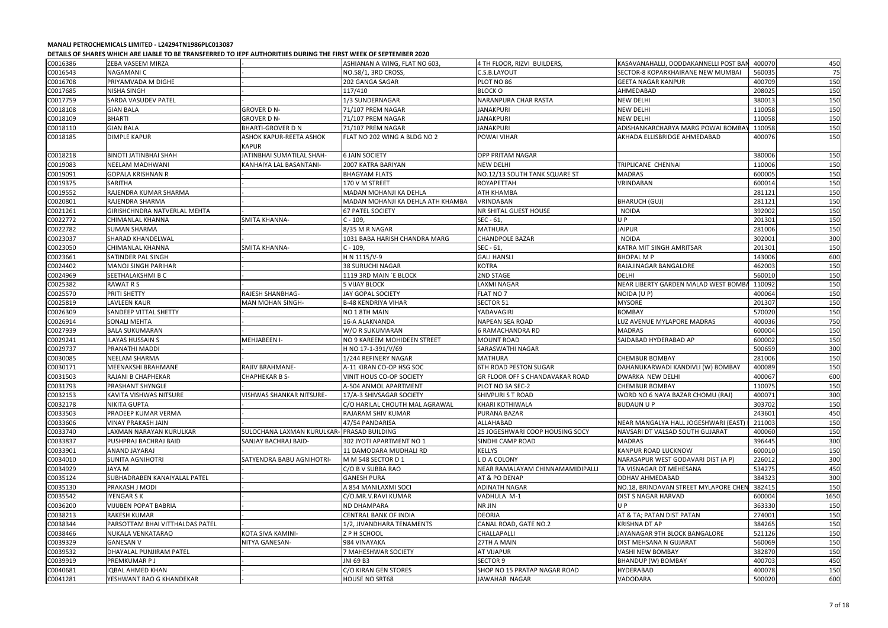| C0016386 | ZEBA VASEEM MIRZA               |                                         | ASHIANAN A WING, FLAT NO 603,     | 4 TH FLOOR, RIZVI BUILDERS,            | KASAVANAHALLI, DODDAKANNELLI POST BAI | 400070 | 450  |
|----------|---------------------------------|-----------------------------------------|-----------------------------------|----------------------------------------|---------------------------------------|--------|------|
| C0016543 | NAGAMANI C                      |                                         | NO.58/1, 3RD CROSS,               | C.S.B.LAYOUT                           | SECTOR-8 KOPARKHAIRANE NEW MUMBAI     | 560035 | 75   |
| C0016708 | PRIYAMVADA M DIGHE              |                                         | 202 GANGA SAGAR                   | PLOT NO 86                             | <b>GEETA NAGAR KANPUR</b>             | 400709 | 150  |
| C0017685 | <b>NISHA SINGH</b>              |                                         | 117/410                           | <b>BLOCK O</b>                         | AHMEDABAD                             | 208025 | 150  |
| C0017759 | SARDA VASUDEV PATEL             |                                         | 1/3 SUNDERNAGAR                   | <b>NARANPURA CHAR RASTA</b>            | <b>NEW DELHI</b>                      | 380013 | 150  |
| C0018108 | <b>GIAN BALA</b>                | <b>GROVER D N-</b>                      | 71/107 PREM NAGAR                 | <b>JANAKPURI</b>                       | <b>NEW DELHI</b>                      | 110058 | 150  |
| C0018109 | <b>BHARTI</b>                   | <b>GROVER D N-</b>                      | 71/107 PREM NAGAR                 | <b>JANAKPURI</b>                       | <b>NEW DELHI</b>                      | 110058 | 150  |
| C0018110 | <b>GIAN BALA</b>                | <b>BHARTI-GROVER D N</b>                | 71/107 PREM NAGAR                 | <b>JANAKPURI</b>                       | ADISHANKARCHARYA MARG POWAI BOMBA'    | 110058 | 150  |
| C0018185 | <b>DIMPLE KAPUR</b>             | ASHOK KAPUR-REETA ASHOK<br><b>KAPUR</b> | FLAT NO 202 WING A BLDG NO 2      | POWAI VIHAR                            | AKHADA ELLISBRIDGE AHMEDABAD          | 400076 | 150  |
| C0018218 | <b>BINOTI JATINBHAI SHAH</b>    | JATINBHAI SUMATILAL SHAH-               | <b>6 JAIN SOCIETY</b>             | <b>OPP PRITAM NAGAR</b>                |                                       | 380006 | 150  |
| C0019083 | <b>NEELAM MADHWANI</b>          | KANHAIYA LAL BASANTANI-                 | <b>2007 KATRA BARIYAN</b>         | <b>NEW DELHI</b>                       | TRIPLICANE CHENNAI                    | 110006 | 150  |
| C0019091 | <b>GOPALA KRISHNAN R</b>        |                                         | <b>BHAGYAM FLATS</b>              | NO.12/13 SOUTH TANK SQUARE ST          | <b>MADRAS</b>                         | 600005 | 150  |
| C0019375 | <b>SARITHA</b>                  |                                         | 170 V M STREET                    | <b>ROYAPETTAH</b>                      | VRINDABAN                             | 600014 | 150  |
| C0019552 | RAJENDRA KUMAR SHARMA           |                                         | MADAN MOHANJI KA DEHLA            | АТН КНАМВА                             |                                       | 281121 | 150  |
| C0020801 | RAJENDRA SHARMA                 |                                         | MADAN MOHANJI KA DEHLA ATH KHAMBA | VRINDABAN                              | <b>BHARUCH (GUJ)</b>                  | 281121 | 150  |
| C0021261 | GIRISHCHNDRA NATVERLAL MEHTA    |                                         | <b>67 PATEL SOCIETY</b>           | <b>NR SHITAL GUEST HOUSE</b>           | <b>NOIDA</b>                          | 392002 | 150  |
| C0022772 | CHIMANLAL KHANNA                | <b>SMITA KHANNA-</b>                    | $C - 109$                         | SEC - 61,                              | U P                                   | 201301 | 150  |
| C0022782 | <b>SUMAN SHARMA</b>             |                                         | 8/35 M R NAGAR                    | <b>MATHURA</b>                         | <b>JAIPUR</b>                         | 281006 | 150  |
| C0023037 | <b>SHARAD KHANDELWAL</b>        |                                         | 1031 BABA HARISH CHANDRA MARG     | <b>CHANDPOLE BAZAR</b>                 | <b>NOIDA</b>                          | 302001 | 300  |
| C0023050 | <b>CHIMANLAL KHANNA</b>         | <b>SMITA KHANNA-</b>                    | $C - 109$                         | SEC - 61,                              | KATRA MIT SINGH AMRITSAR              | 201301 | 150  |
| C0023661 | SATINDER PAL SINGH              |                                         | H N 1115/V-9                      | <b>GALI HANSLI</b>                     | <b>BHOPAL MP</b>                      | 143006 | 600  |
| C0024402 | <b>MANOJ SINGH PARIHAR</b>      |                                         | 38 SURUCHI NAGAR                  | <b>KOTRA</b>                           | RAJAJINAGAR BANGALORE                 | 462003 | 150  |
| C0024969 | SEETHALAKSHMI B C               |                                         | 1119 3RD MAIN `E BLOCK            | 2ND STAGE                              | <b>DELHI</b>                          | 560010 | 150  |
| C0025382 | RAWAT R S                       |                                         | <b>5 VIJAY BLOCK</b>              | LAXMI NAGAR                            | NEAR LIBERTY GARDEN MALAD WEST BOMB/  | 110092 | 150  |
| C0025570 | PRITI SHETTY                    | RAJESH SHANBHAG-                        | JAY GOPAL SOCIETY                 | FLAT NO 7                              | NOIDA (U P)                           | 400064 | 150  |
|          | <b>LAVLEEN KAUR</b>             |                                         | <b>B-48 KENDRIYA VIHAR</b>        | SECTOR 51                              | <b>MYSORE</b>                         | 201307 | 150  |
| C0025819 |                                 | <b>MAN MOHAN SINGH-</b>                 |                                   | YADAVAGIRI                             | <b>BOMBAY</b>                         | 570020 |      |
| C0026309 | SANDEEP VITTAL SHETTY           |                                         | NO 1 8TH MAIN                     |                                        |                                       |        | 150  |
| C0026914 | <b>SONALI MEHTA</b>             |                                         | 16-A ALAKNANDA                    | <b>NAPEAN SEA ROAD</b>                 | LUZ AVENUE MYLAPORE MADRAS            | 400036 | 750  |
| C0027939 | <b>BALA SUKUMARAN</b>           |                                         | W/O R SUKUMARAN                   | <b>6 RAMACHANDRA RD</b>                | <b>MADRAS</b>                         | 600004 | 150  |
| C0029241 | <b>ILAYAS HUSSAIN S</b>         | MEHJABEEN I-                            | NO 9 KAREEM MOHIDEEN STREET       | <b>MOUNT ROAD</b>                      | SAIDABAD HYDERABAD AP                 | 600002 | 150  |
| C0029737 | PRANATHI MADDI                  |                                         | H NO 17-1-391/V/69                | SARASWATHI NAGAR                       |                                       | 500659 | 300  |
| C0030085 | NEELAM SHARMA                   |                                         | 1/244 REFINERY NAGAR              | <b>MATHURA</b>                         | <b>CHEMBUR BOMBAY</b>                 | 281006 | 150  |
| C0030171 | MEENAKSHI BRAHMANE              | <b>RAJIV BRAHMANE-</b>                  | A-11 KIRAN CO-OP HSG SOC          | <b>6TH ROAD PESTON SUGAR</b>           | DAHANUKARWADI KANDIVLI (W) BOMBAY     | 400089 | 150  |
| C0031503 | RAJANI B CHAPHEKAR              | <b>CHAPHEKAR B S-</b>                   | VINIT HOUS CO-OP SOCIETY          | <b>GR FLOOR OFF S CHANDAVAKAR ROAD</b> | <b>DWARKA NEW DELHI</b>               | 400067 | 600  |
| C0031793 | <b>PRASHANT SHYNGLE</b>         |                                         | A-504 ANMOL APARTMENT             | PLOT NO 3A SEC-2                       | <b>CHEMBUR BOMBAY</b>                 | 110075 | 150  |
| C0032153 | KAVITA VISHWAS NITSURE          | VISHWAS SHANKAR NITSURE-                | 17/A-3 SHIVSAGAR SOCIETY          | <b>SHIVPURI S T ROAD</b>               | WORD NO 6 NAYA BAZAR CHOMU (RAJ)      | 400071 | 300  |
| C0032178 | NIKITA GUPTA                    |                                         | C/O HARILAL CHOUTH MAL AGRAWAL    | KHARI KOTHIWALA                        | <b>BUDAUN U P</b>                     | 303702 | 150  |
| C0033503 | PRADEEP KUMAR VERMA             |                                         | RAJARAM SHIV KUMAR                | <b>PURANA BAZAR</b>                    |                                       | 243601 | 450  |
| C0033606 | <b>VINAY PRAKASH JAIN</b>       |                                         | 47/54 PANDARISA                   | ALLAHABAD                              | NEAR MANGALYA HALL JOGESHWARI (EAST)  | 211003 | 150  |
| C0033740 | LAXMAN NARAYAN KURULKAR         | SULOCHANA LAXMAN KURULKAR               | - PRASAD BUILDING                 | 25 JOGESHWARI COOP HOUSING SOCY        | NAVSARI DT VALSAD SOUTH GUJARAT       | 400060 | 150  |
| C0033837 | PUSHPRAJ BACHRAJ BAID           | SANJAY BACHRAJ BAID-                    | 302 JYOTI APARTMENT NO 1          | SINDHI CAMP ROAD                       | <b>MADRAS</b>                         | 396445 | 300  |
| C0033901 | ANAND JAYARAJ                   |                                         | 11 DAMODARA MUDHALI RD            | <b>KELLYS</b>                          | KANPUR ROAD LUCKNOW                   | 600010 | 150  |
| C0034010 | <b>SUNITA AGNIHOTRI</b>         | SATYENDRA BABU AGNIHOTRI-               | M M 548 SECTOR D 1                | L D A COLONY                           | NARASAPUR WEST GODAVARI DIST (A P)    | 226012 | 300  |
| C0034929 | JAYA M                          |                                         | C/O B V SUBBA RAO                 | NEAR RAMALAYAM CHINNAMAMIDIPALLI       | TA VISNAGAR DT MEHESANA               | 534275 | 450  |
| C0035124 | SUBHADRABEN KANAIYALAL PATEL    |                                         | <b>GANESH PURA</b>                | AT & PO DENAP                          | <b>ODHAV AHMEDABAD</b>                | 384323 | 300  |
| C0035130 | PRAKASH J MODI                  |                                         | A 854 MANILAXMI SOCI              | ADINATH NAGAR                          | NO.18, BRINDAVAN STREET MYLAPORE CHEN | 382415 | 150  |
| C0035542 | <b>IYENGAR S K</b>              |                                         | C/O.MR.V.RAVI KUMAR               | VADHULA M-1                            | <b>DIST S NAGAR HARVAD</b>            | 600004 | 1650 |
| C0036200 | <b>VIJUBEN POPAT BABRIA</b>     |                                         | <b>ND DHAMPARA</b>                | <b>NR JIN</b>                          | U P                                   | 363330 | 150  |
| C0038213 | <b>RAKESH KUMAR</b>             |                                         | CENTRAL BANK OF INDIA             | <b>DEORIA</b>                          | AT & TA; PATAN DIST PATAN             | 274001 | 150  |
| C0038344 | PARSOTTAM BHAI VITTHALDAS PATEL |                                         | 1/2, JIVANDHARA TENAMENTS         | CANAL ROAD, GATE NO.2                  | KRISHNA DT AP                         | 384265 | 150  |
| C0038466 | NUKALA VENKATARAO               | KOTA SIVA KAMINI-                       | Z P H SCHOOL                      | <b>CHALLAPALLI</b>                     | JAYANAGAR 9TH BLOCK BANGALORE         | 521126 | 150  |
| C0039329 | <b>GANESAN V</b>                | NITYA GANESAN-                          | 984 VINAYAKA                      | 27TH A MAIN                            | DIST MEHSANA N GUJARAT                | 560069 | 150  |
| C0039532 | DHAYALAL PUNJIRAM PATEL         |                                         | 7 MAHESHWAR SOCIETY               | <b>AT VIJAPUR</b>                      | <b>VASHI NEW BOMBAY</b>               | 382870 | 150  |
| C0039919 | PREMKUMAR P J                   |                                         | JNI 69 B3                         | <b>SECTOR 9</b>                        | BHANDUP (W) BOMBAY                    | 400703 | 450  |
| C0040681 | <b>IQBAL AHMED KHAN</b>         |                                         | C/O KIRAN GEN STORES              | SHOP NO 15 PRATAP NAGAR ROAD           | HYDERABAD                             | 400078 | 150  |
| C0041281 | YESHWANT RAO G KHANDEKAR        |                                         | <b>HOUSE NO SRT68</b>             | JAWAHAR NAGAR                          | VADODARA                              | 500020 | 600  |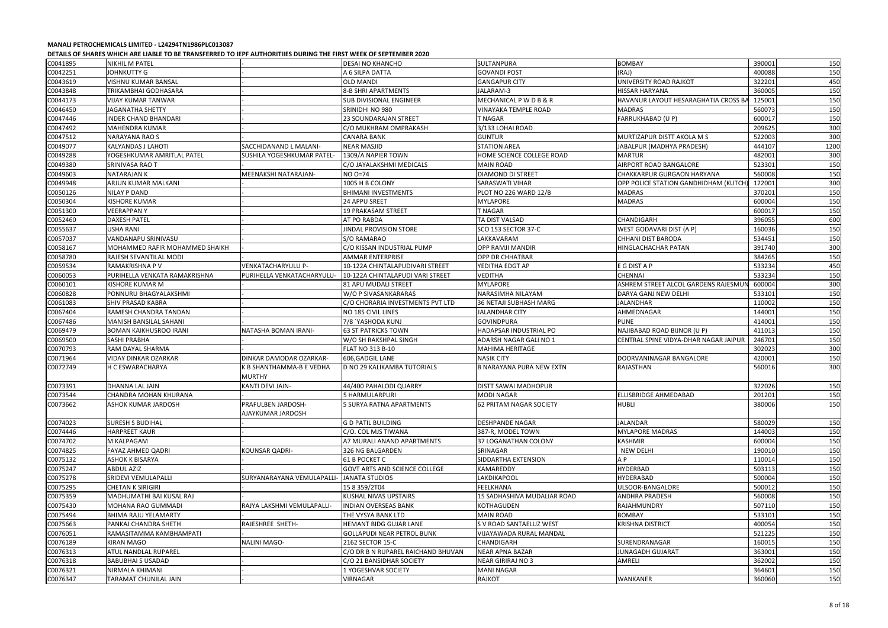| C0041895 | <b>NIKHIL M PATEL</b>          |                               | DESAI NO KHANCHO                     | <b>SULTANPURA</b>               | <b>BOMBAY</b>                         | 390001 | 150  |
|----------|--------------------------------|-------------------------------|--------------------------------------|---------------------------------|---------------------------------------|--------|------|
| C0042251 | <b>JOHNKUTTY G</b>             |                               | A 6 SILPA DATTA                      | <b>GOVANDI POST</b>             | (RAJ)                                 | 400088 | 150  |
| C0043619 | VISHNU KUMAR BANSAL            |                               | <b>OLD MANDI</b>                     | <b>GANGAPUR CITY</b>            | UNIVERSITY ROAD RAJKOT                | 322201 | 450  |
| C0043848 | TRIKAMBHAI GODHASARA           |                               | <b>8-B SHRI APARTMENTS</b>           | JALARAM-3                       | <b>HISSAR HARYANA</b>                 | 360005 | 150  |
| C0044173 | <b>VIJAY KUMAR TANWAR</b>      |                               | <b>SUB DIVISIONAL ENGINEER</b>       | MECHANICAL P W D B & R          | HAVANUR LAYOUT HESARAGHATIA CROSS BA  | 125001 | 150  |
| C0046450 | <b>JAGANATHA SHETTY</b>        |                               | SRINIDHI NO 980                      | VINAYAKA TEMPLE ROAD            | <b>MADRAS</b>                         | 560073 | 150  |
| C0047446 | <b>INDER CHAND BHANDARI</b>    |                               | 23 SOUNDARAJAN STREET                | <b>T NAGAR</b>                  | <b>FARRUKHABAD (U P)</b>              | 600017 | 150  |
| C0047492 | MAHENDRA KUMAR                 |                               | C/O MUKHRAM OMPRAKASH                | 3/133 LOHAI ROAD                |                                       | 209625 | 300  |
| C0047512 | <b>NARAYANA RAO S</b>          |                               | <b>CANARA BANK</b>                   | <b>GUNTUR</b>                   | MURTIZAPUR DISTT AKOLA M S            | 522003 | 300  |
| C0049077 | KALYANDAS J LAHOTI             | SACCHIDANAND L MALANI-        | <b>NEAR MASJID</b>                   | <b>STATION AREA</b>             | JABALPUR (MADHYA PRADESH)             | 444107 | 1200 |
| C0049288 | YOGESHKUMAR AMRITLAL PATEL     | SUSHILA YOGESHKUMAR PATEL     | 1309/A NAPIER TOWN                   | HOME SCIENCE COLLEGE ROAD       | MARTUR                                | 482001 | 300  |
| C0049380 | <b>SRINIVASA RAO T</b>         |                               | C/O JAYALAKSHMI MEDICALS             | <b>MAIN ROAD</b>                | AIRPORT ROAD BANGALORE                | 523301 | 150  |
| C0049603 | <b>NATARAJAN K</b>             | MEENAKSHI NATARAJAN-          | NO 0=74                              | <b>DIAMOND DI STREET</b>        | CHAKKARPUR GURGAON HARYANA            | 560008 | 150  |
| C0049948 | ARJUN KUMAR MALKANI            |                               | 1005 H B COLONY                      | SARASWATI VIHAR                 | OPP POLICE STATION GANDHIDHAM (KUTCH) | 122001 | 300  |
| C0050126 | <b>NILAY P DAND</b>            |                               | <b>BHIMANI INVESTMENTS</b>           | PLOT NO 226 WARD 12/B           | <b>MADRAS</b>                         | 370201 | 150  |
| C0050304 | <b>KISHORE KUMAR</b>           |                               | <b>24 APPU SREET</b>                 | <b>MYLAPORE</b>                 | <b>MADRAS</b>                         | 600004 | 150  |
| C0051300 | <b>VEERAPPANY</b>              |                               | 19 PRAKASAM STREET                   | <b>T NAGAR</b>                  |                                       | 600017 | 150  |
| C0052460 | <b>DAXESH PATEL</b>            |                               | <b>AT PO RABDA</b>                   | TA DIST VALSAD                  | CHANDIGARH                            | 396055 | 600  |
| C0055637 | <b>USHA RANI</b>               |                               | JINDAL PROVISION STORE               | SCO 153 SECTOR 37-C             | WEST GODAVARI DIST (A P)              | 160036 | 150  |
| C0057037 | VANDANAPU SRINIVASU            |                               | S/O RAMARAO                          | LAKKAVARAM                      | CHHANI DIST BARODA                    | 534451 | 150  |
| C0058167 | MOHAMMED RAFIR MOHAMMED SHAIKH |                               | C/O KISSAN INDUSTRIAL PUMP           | <b>OPP RAMJI MANDIR</b>         | HINGLACHACHAR PATAN                   | 391740 | 300  |
| C0058780 | RAJESH SEVANTILAL MODI         |                               | <b>AMMAR ENTERPRISE</b>              | OPP DR CHHATBAR                 |                                       | 384265 | 150  |
| C0059534 | RAMAKRISHNA P V                | VENKATACHARYULU P-            | 10-122A CHINTALAPUDIVARI STREET      | YEDITHA EDGT AP                 | E G DIST A P                          | 533234 | 450  |
| C0060053 | PURIHELLA VENKATA RAMAKRISHNA  | PURIHELLA VENKATACHARYULU     | 10-122A CHINTALAPUDI VARI STREET     | <b>VEDITHA</b>                  | <b>CHENNAI</b>                        | 533234 | 150  |
| C0060101 | KISHORE KUMAR M                |                               | 81 APU MUDALI STREET                 | <b>MYLAPORE</b>                 | ASHREM STREET ALCOL GARDENS RAJESMUI  | 600004 | 300  |
| C0060828 | PONNURU BHAGYALAKSHMI          |                               | W/O P SIVASANKARARAS                 | NARASIMHA NILAYAM               | DARYA GANJ NEW DELHI                  | 533101 | 150  |
| C0061083 | SHIV PRASAD KABRA              |                               | C/O CHORARIA INVESTMENTS PVT LTD     | <b>36 NETAJI SUBHASH MARG</b>   | JALANDHAR                             | 110002 | 150  |
| C0067404 | RAMESH CHANDRA TANDAN          |                               | <b>NO 185 CIVIL LINES</b>            | <b>JALANDHAR CITY</b>           | AHMEDNAGAR                            | 144001 | 150  |
| C0067486 | MANISH BANSILAL SAHANI         |                               | 7/8 `YASHODA KUNJ                    | <b>GOVINDPURA</b>               | <b>PUNE</b>                           | 414001 | 150  |
| C0069479 | <b>BOMAN KAIKHUSROO IRANI</b>  |                               |                                      | HADAPSAR INDUSTRIAL PO          | NAJIBABAD ROAD BIJNOR (U P)           | 411013 | 150  |
|          |                                | NATASHA BOMAN IRANI-          | <b>63 ST PATRICKS TOWN</b>           |                                 |                                       | 246701 |      |
| C0069500 | <b>SASHI PRABHA</b>            |                               | W/O SH RAKSHPAL SINGH                | ADARSH NAGAR GALI NO 1          | CENTRAL SPINE VIDYA-DHAR NAGAR JAIPUR |        | 150  |
| C0070793 | RAM DAYAL SHARMA               |                               | FLAT NO 313 B-10                     | MAHIMA HERITAGE                 |                                       | 302023 | 300  |
| C0071964 | VIDAY DINKAR OZARKAR           | DINKAR DAMODAR OZARKAR-       | 606, GADGIL LANE                     | <b>NASIK CITY</b>               | DOORVANINAGAR BANGALORE               | 420001 | 150  |
| C0072749 | H C ESWARACHARYA               | <b>B SHANTHAMMA-B E VEDHA</b> | D NO 29 KALIKAMBA TUTORIALS          | <b>B NARAYANA PURA NEW EXTN</b> | RAJASTHAN                             | 560016 | 300  |
|          |                                | <b>MURTHY</b>                 |                                      |                                 |                                       |        |      |
| C0073391 | DHANNA LAL JAIN                | KANTI DEVI JAIN-              | 44/400 PAHALODI QUARRY               | <b>DISTT SAWAI MADHOPUR</b>     |                                       | 322026 | 150  |
| C0073544 | CHANDRA MOHAN KHURANA          |                               | 5 HARMULARPURI                       | <b>MODI NAGAR</b>               | <b>ELLISBRIDGE AHMEDABAD</b>          | 201201 | 150  |
| C0073662 | ASHOK KUMAR JARDOSH            | PRAFULBEN JARDOSH-            | 5 SURYA RATNA APARTMENTS             | <b>62 PRITAM NAGAR SOCIETY</b>  | <b>HUBLI</b>                          | 380006 | 150  |
|          |                                | AJAYKUMAR JARDOSH             |                                      |                                 |                                       |        |      |
| C0074023 | <b>SURESH S BUDIHAL</b>        |                               | <b>G D PATIL BUILDING</b>            | <b>DESHPANDE NAGAR</b>          | <b>JALANDAR</b>                       | 580029 | 150  |
| C0074446 | <b>HARPREET KAUR</b>           |                               | C/O. COL MJS TIWANA                  | 387-R, MODEL TOWN               | <b>MYLAPORE MADRAS</b>                | 144003 | 150  |
| C0074702 | M KALPAGAM                     |                               | A7 MURALI ANAND APARTMENTS           | 37 LOGANATHAN COLONY            | KASHMIR                               | 600004 | 150  |
| C0074825 | FAYAZ AHMED QADRI              | KOUNSAR QADRI-                | 326 NG BALGARDEN                     | SRINAGAR                        | <b>NEW DELHI</b>                      | 190010 | 150  |
| C0075132 | ASHOK K BISARYA                |                               | 61 B POCKET C                        | SIDDARTHA EXTENSION             | A P                                   | 110014 | 150  |
| C0075247 | <b>ABDUL AZIZ</b>              |                               | <b>GOVT ARTS AND SCIENCE COLLEGE</b> | KAMAREDDY                       | HYDERBAD                              | 503113 | 150  |
| C0075278 | SRIDEVI VEMULAPALLI            | SURYANARAYANA VEMULAPALLI-    | JANATA STUDIOS                       | <b>LAKDIKAPOOL</b>              | HYDERABAD                             | 500004 | 150  |
| C0075295 | CHETAN K SIRIGIRI              |                               | 15 8 359/2T04                        | <b>FEELKHANA</b>                | ULSOOR-BANGALORE                      | 500012 | 150  |
| C0075359 | MADHUMATHI BAI KUSAL RAJ       |                               | KUSHAL NIVAS UPSTAIRS                | 15 SADHASHIVA MUDALIAR ROAD     | ANDHRA PRADESH                        | 560008 | 150  |
| C0075430 | MOHANA RAO GUMMADI             | RAJYA LAKSHMI VEMULAPALLI-    | <b>INDIAN OVERSEAS BANK</b>          | KOTHAGUDEN                      | RAJAHMUNDRY                           | 507110 | 150  |
| C0075494 | <b>BHIMA RAJU YELAMARTY</b>    |                               | THE VYSYA BANK LTD                   | <b>MAIN ROAD</b>                | <b>BOMBAY</b>                         | 533101 | 150  |
| C0075663 | PANKAJ CHANDRA SHETH           | RAJESHREE SHETH-              | HEMANT BIDG GUJAR LANE               | S V ROAD SANTAELUZ WEST         | <b>KRISHNA DISTRICT</b>               | 400054 | 150  |
| C0076051 | RAMASITAMMA KAMBHAMPATI        |                               | <b>GOLLAPUDI NEAR PETROL BUNK</b>    | VIJAYAWADA RURAL MANDAL         |                                       | 521225 | 150  |
| C0076189 | <b>KIRAN MAGO</b>              | <b>NALINI MAGO-</b>           | 2162 SECTOR 15-C                     | <b>CHANDIGARH</b>               | SURENDRANAGAR                         | 160015 | 150  |
| C0076313 | ATUL NANDLAL RUPAREL           |                               | C/O DR B N RUPAREL RAICHAND BHUVAN   | <b>NEAR APNA BAZAR</b>          | JUNAGADH GUJARAT                      | 363001 | 150  |
| C0076318 | <b>BABUBHAI S USADAD</b>       |                               | C/O 21 BANSIDHAR SOCIETY             | <b>NEAR GIRIRAJ NO 3</b>        | AMRELI                                | 362002 | 150  |
| C0076321 | NIRMALA KHIMANI                |                               | 1 YOGESHVAR SOCIETY                  | <b>MANI NAGAR</b>               |                                       | 364601 | 150  |
| C0076347 | TARAMAT CHUNILAL JAIN          |                               | VIRNAGAR                             | <b>RAJKOT</b>                   | WANKANER                              | 360060 | 150  |
|          |                                |                               |                                      |                                 |                                       |        |      |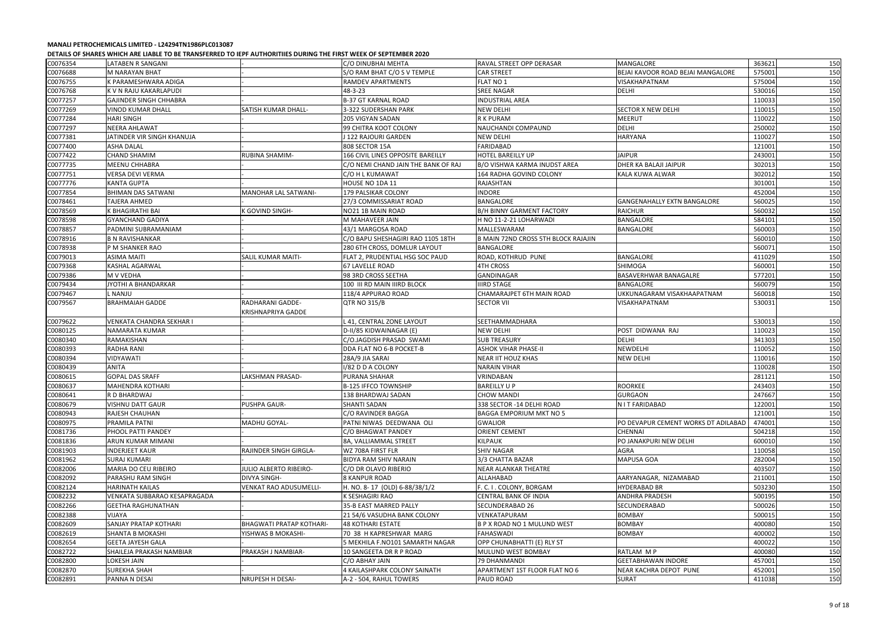| C0076354 | LATABEN R SANGANI             |                                 | C/O DINUBHAI MEHTA                  | RAVAL STREET OPP DERASAR            | MANGALORE                           | 363621 | 150 |
|----------|-------------------------------|---------------------------------|-------------------------------------|-------------------------------------|-------------------------------------|--------|-----|
| C0076688 | M NARAYAN BHAT                |                                 | S/O RAM BHAT C/O S V TEMPLE         | <b>CAR STREET</b>                   | BEJAI KAVOOR ROAD BEJAI MANGALORE   | 575001 | 150 |
| C0076755 | K PARAMESHWARA ADIGA          |                                 | <b>RAMDEV APARTMENTS</b>            | FLAT NO 1                           | <b>VISAKHAPATNAM</b>                | 575004 | 150 |
| C0076768 | K V N RAJU KAKARLAPUDI        |                                 | 48-3-23                             | <b>SREE NAGAR</b>                   | <b>DELHI</b>                        | 530016 | 150 |
| C0077257 | <b>GAJINDER SINGH CHHABRA</b> |                                 | <b>B-37 GT KARNAL ROAD</b>          | <b>INDUSTRIAL AREA</b>              |                                     | 110033 | 150 |
| C0077269 | <b>VINOD KUMAR DHALL</b>      | SATISH KUMAR DHALL-             | 3-322 SUDERSHAN PARK                | <b>NEW DELHI</b>                    | <b>SECTOR X NEW DELHI</b>           | 110015 | 150 |
| C0077284 | <b>HARI SINGH</b>             |                                 | <b>205 VIGYAN SADAN</b>             | R K PURAM                           | <b>MEERUT</b>                       | 110022 | 150 |
| C0077297 | <b>NEERA AHLAWAT</b>          |                                 | 99 CHITRA KOOT COLONY               | NAUCHANDI COMPAUND                  | <b>DELHI</b>                        | 250002 | 150 |
| C0077381 | JATINDER VIR SINGH KHANUJA    |                                 | J 122 RAJOURI GARDEN                | NEW DELHI                           | <b>HARYANA</b>                      | 110027 | 150 |
| C0077400 | <b>ASHA DALAL</b>             |                                 | 808 SECTOR 15A                      | FARIDABAD                           |                                     | 121001 | 150 |
| C0077422 | <b>CHAND SHAMIM</b>           | <b>RUBINA SHAMIM-</b>           | 166 CIVIL LINES OPPOSITE BAREILLY   | <b>HOTEL BAREILLY UP</b>            | <b>JAIPUR</b>                       | 243001 | 150 |
| C0077735 | MEENU CHHABRA                 |                                 | C/O NEMI CHAND JAIN THE BANK OF RAJ | B/O VISHWA KARMA INUDST AREA        | DHER KA BALAJI JAIPUR               | 302013 | 150 |
| C0077751 | <b>VERSA DEVI VERMA</b>       |                                 | C/O H L KUMAWAT                     | 164 RADHA GOVIND COLONY             | KALA KUWA ALWAR                     | 302012 | 150 |
| C0077776 | <b>KANTA GUPTA</b>            |                                 | HOUSE NO 1DA 11                     | RAJASHTAN                           |                                     | 301001 | 150 |
| C0077854 | <b>BHIMAN DAS SATWANI</b>     | <b>MANOHAR LAL SATWANI-</b>     | 179 PALSIKAR COLONY                 | <b>INDORE</b>                       |                                     | 452004 | 150 |
| C0078461 | <b>TAJERA AHMED</b>           |                                 | 27/3 COMMISSARIAT ROAD              | BANGALORE                           | GANGENAHALLY EXTN BANGALORE         | 560025 | 150 |
| C0078569 | K BHAGIRATHI BAI              | K GOVIND SINGH-                 | NO21 1B MAIN ROAD                   | <b>B/H BINNY GARMENT FACTORY</b>    | <b>RAICHUR</b>                      | 560032 | 150 |
| C0078598 | <b>GYANCHAND GADIYA</b>       |                                 | M MAHAVEER JAIN                     | H NO 11-2-21 LOHARWADI              | <b>BANGALORE</b>                    | 584101 | 150 |
| C0078857 | PADMINI SUBRAMANIAM           |                                 | 43/1 MARGOSA ROAD                   | <b>MALLESWARAM</b>                  | <b>BANGALORE</b>                    | 560003 | 150 |
| C0078916 | <b>B N RAVISHANKAR</b>        |                                 | C/O BAPU SHESHAGIRI RAO 1105 18TH   | B MAIN 72ND CROSS 5TH BLOCK RAJAJIN |                                     | 560010 | 150 |
| C0078938 | P M SHANKER RAO               |                                 | 280 6TH CROSS, DOMLUR LAYOUT        | <b>BANGALORE</b>                    |                                     | 560071 | 150 |
| C0079013 | <b>ASIMA MAITI</b>            | <b>SALIL KUMAR MAITI-</b>       | FLAT 2, PRUDENTIAL HSG SOC PAUD     | ROAD, KOTHRUD PUNE                  | <b>BANGALORE</b>                    | 411029 | 150 |
| C0079368 | KASHAL AGARWAL                |                                 | <b>67 LAVELLE ROAD</b>              | <b>4TH CROSS</b>                    | <b>SHIMOGA</b>                      | 560001 | 150 |
|          |                               |                                 |                                     |                                     |                                     | 577201 |     |
| C0079386 | M V VEDHA                     |                                 | 98 3RD CROSS SEETHA                 | GANDINAGAR                          | BASAVERHWAR BANAGALRE               |        | 150 |
| C0079434 | JYOTHI A BHANDARKAR           |                                 | 100 III RD MAIN IIIRD BLOCK         | <b>IIIRD STAGE</b>                  | BANGALORE                           | 560079 | 150 |
| C0079467 | NANJU                         |                                 | 118/4 APPURAO ROAD                  | CHAMARAJPET 6TH MAIN ROAD           | UKKUNAGARAM VISAKHAAPATNAM          | 560018 | 150 |
| C0079567 | <b>BRAHMAIAH GADDE</b>        | RADHARANI GADDE-                | <b>QTR NO 315/B</b>                 | <b>SECTOR VII</b>                   | VISAKHAPATNAM                       | 530031 | 150 |
|          |                               | <b>KRISHNAPRIYA GADDE</b>       |                                     |                                     |                                     |        |     |
| C0079622 | VENKATA CHANDRA SEKHAR I      |                                 | L 41, CENTRAL ZONE LAYOUT           | SEETHAMMADHARA                      |                                     | 530013 | 150 |
| C0080125 | NAMARATA KUMAR                |                                 | D-II/85 KIDWAINAGAR (E)             | <b>NEW DELHI</b>                    | POST DIDWANA RAJ                    | 110023 | 150 |
| C0080340 | RAMAKISHAN                    |                                 | C/O.JAGDISH PRASAD SWAMI            | <b>SUB TREASURY</b>                 | <b>DELHI</b>                        | 341303 | 150 |
| C0080393 | <b>RADHA RANI</b>             |                                 | DDA FLAT NO 6-B POCKET-B            | <b>ASHOK VIHAR PHASE-II</b>         | <b>NEWDELHI</b>                     | 110052 | 150 |
| C0080394 | VIDYAWATI                     |                                 | 28A/9 JIA SARAI                     | <b>NEAR IIT HOUZ KHAS</b>           | <b>NEW DELHI</b>                    | 110016 | 150 |
| C0080439 | <b>ANITA</b>                  |                                 | I/82 D D A COLONY                   | <b>NARAIN VIHAR</b>                 |                                     | 110028 | 150 |
| C0080615 | <b>GOPAL DAS SRAFF</b>        | LAKSHMAN PRASAD-                | PURANA SHAHAR                       | VRINDABAN                           |                                     | 281121 | 150 |
| C0080637 | <b>MAHENDRA KOTHARI</b>       |                                 | <b>B-125 IFFCO TOWNSHIP</b>         | <b>BAREILLY U P</b>                 | <b>ROORKEE</b>                      | 243403 | 150 |
| C0080641 | R D BHARDWAJ                  |                                 | 138 BHARDWAJ SADAN                  | <b>CHOW MANDI</b>                   | <b>GURGAON</b>                      | 247667 | 150 |
| C0080679 | VISHNU DATT GAUR              | PUSHPA GAUR-                    | <b>SHANTI SADAN</b>                 | 338 SECTOR -14 DELHI ROAD           | N I T FARIDABAD                     | 122001 | 150 |
| C0080943 | <b>RAJESH CHAUHAN</b>         |                                 | C/O RAVINDER BAGGA                  | <b>BAGGA EMPORIUM MKT NO 5</b>      |                                     | 121001 | 150 |
| C0080975 | PRAMILA PATNI                 | MADHU GOYAL-                    | PATNI NIWAS DEEDWANA OLI            | <b>GWALIOR</b>                      | PO DEVAPUR CEMENT WORKS DT ADILABAD | 474001 | 150 |
| C0081736 | PHOOL PATTI PANDEY            |                                 | C/O BHAGWAT PANDEY                  | <b>ORIENT CEMENT</b>                | CHENNAI                             | 504218 | 150 |
| C0081836 | ARUN KUMAR MIMANI             |                                 | 8A, VALLIAMMAL STREET               | <b>KILPAUK</b>                      | PO JANAKPURI NEW DELHI              | 600010 | 150 |
| C0081903 | <b>INDERJEET KAUR</b>         | <b>RAJINDER SINGH GIRGLA-</b>   | WZ 708A FIRST FLR                   | <b>SHIV NAGAR</b>                   | AGRA                                | 110058 | 150 |
| C0081962 | <b>SURAJ KUMARI</b>           |                                 | <b>BIDYA RAM SHIV NARAIN</b>        | 3/3 CHATTA BAZAR                    | MAPUSA GOA                          | 282004 | 150 |
| C0082006 | MARIA DO CEU RIBEIRO          | JULIO ALBERTO RIBEIRO-          | C/O DR OLAVO RIBERIO                | <b>NEAR ALANKAR THEATRE</b>         |                                     | 403507 | 150 |
| C0082092 | PARASHU RAM SINGH             | <b>DIVYA SINGH-</b>             | <b>8 KANPUR ROAD</b>                | <b>ALLAHABAD</b>                    | AARYANAGAR, NIZAMABAD               | 211001 | 150 |
| C0082124 | <b>HARINATH KAILAS</b>        | <b>VENKAT RAO ADUSUMELLI-</b>   | H. NO. 8-17 (OLD) 6-88/38/1/2       | F. C. I. COLONY, BORGAM             | <b>HYDERABAD BR</b>                 | 503230 | 150 |
| C0082232 | VENKATA SUBBARAO KESAPRAGADA  |                                 | K SESHAGIRI RAO                     | <b>CENTRAL BANK OF INDIA</b>        | ANDHRA PRADESH                      | 500195 | 150 |
| C0082266 | <b>GEETHA RAGHUNATHAN</b>     |                                 | 35-B EAST MARRED PALLY              | SECUNDERABAD 26                     | SECUNDERABAD                        | 500026 | 150 |
| C0082388 | VIJAYA                        |                                 | 21 54/6 VASUDHA BANK COLONY         | VENKATAPURAM                        | <b>BOMBAY</b>                       | 500015 | 150 |
| C0082609 | SANJAY PRATAP KOTHARI         | <b>BHAGWATI PRATAP KOTHARI-</b> | <b>48 KOTHARI ESTATE</b>            | B P X ROAD NO 1 MULUND WEST         | <b>BOMBAY</b>                       | 400080 | 150 |
| C0082619 | <b>SHANTA B MOKASHI</b>       | YISHWAS B MOKASHI-              | 70 38 H KAPRESHWAR MARG             | <b>FAHASWADI</b>                    | <b>BOMBAY</b>                       | 400002 | 150 |
| C0082654 | <b>GEETA JAYESH GALA</b>      |                                 | 5 MEKHILA F.NO101 SAMARTH NAGAR     | OPP CHUNABHATTI (E) RLY ST          |                                     | 400022 | 150 |
| C0082722 | SHAILEJA PRAKASH NAMBIAR      | PRAKASH J NAMBIAR-              | 10 SANGEETA DR R P ROAD             | MULUND WEST BOMBAY                  | RATLAM M P                          | 400080 | 150 |
| C0082800 | LOKESH JAIN                   |                                 | C/O ABHAY JAIN                      | 79 DHANMANDI                        | <b>GEETABHAWAN INDORE</b>           | 457001 | 150 |
| C0082870 | <b>SUREKHA SHAH</b>           |                                 | 4 KAILASHPARK COLONY SAINATH        | APARTMENT 1ST FLOOR FLAT NO 6       | NEAR KACHRA DEPOT PUNE              | 452001 | 150 |
| C0082891 | PANNA N DESAI                 | <b>NRUPESH H DESAI-</b>         | A-2 - 504, RAHUL TOWERS             | PAUD ROAD                           | <b>SURAT</b>                        | 411038 | 150 |
|          |                               |                                 |                                     |                                     |                                     |        |     |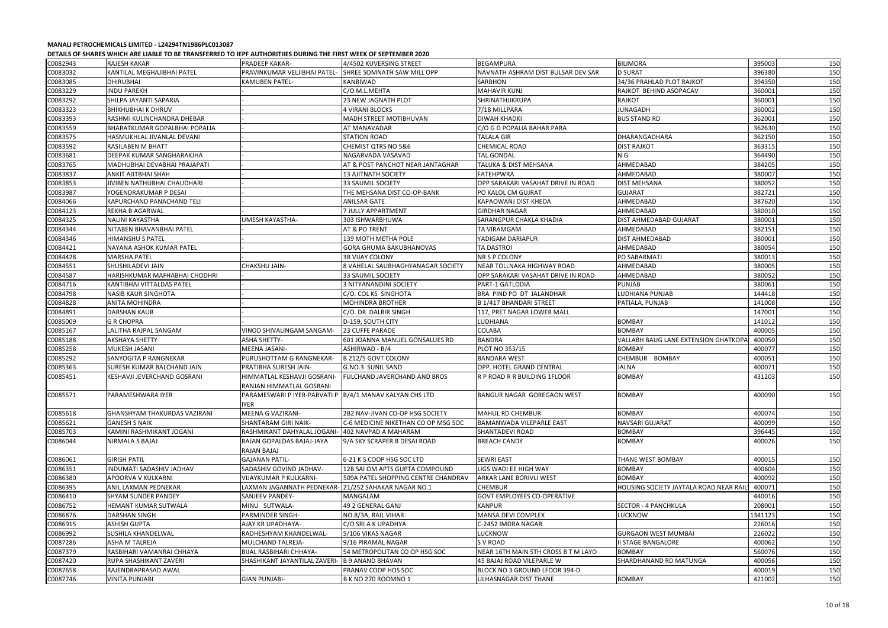| C0082943 | RAJESH KAKAR                         | <b>PRADEEP KAKAR-</b>                                             | 4/4502 KUVERSING STREET             | <b>BEGAMPURA</b>                    | <b>BILIMORA</b>                        | 395003  | 150 |
|----------|--------------------------------------|-------------------------------------------------------------------|-------------------------------------|-------------------------------------|----------------------------------------|---------|-----|
| C0083032 | KANTILAL MEGHAJIBHAI PATEL           | PRAVINKUMAR VELJIBHAI PATEL-                                      | <b>SHREE SOMNATH SAW MILL OPP</b>   | NAVNATH ASHRAM DIST BULSAR DEV SAR  | <b>D SURAT</b>                         | 396380  | 150 |
| C0083085 | <b>DHIRUBHAI</b>                     | <b>KAMUBEN PATEL-</b>                                             | <b>KANBIWAD</b>                     | <b>SARBHON</b>                      | 34/36 PRAHLAD PLOT RAJKOT              | 394350  | 150 |
| C0083229 | <b>INDU PAREKH</b>                   |                                                                   | C/O M.L.MEHTA                       | <b>MAHAVIR KUNJ</b>                 | RAJKOT BEHIND ASOPACAV                 | 360001  | 150 |
| C0083292 | SHILPA JAYANTI SAPARIA               |                                                                   | 23 NEW JAGNATH PLOT                 | SHRINATHJIKRUPA                     | <b>RAJKOT</b>                          | 360001  | 150 |
| C0083323 | <b>BHIKHUBHAI K DHRUV</b>            |                                                                   | <b>4 VIRANI BLOCKS</b>              | 7/18 MILLPARA                       | <b>JUNAGADH</b>                        | 360002  | 150 |
| C0083393 | RASHMI KULINCHANDRA DHEBAR           |                                                                   | <b>MADH STREET MOTIBHUVAN</b>       | <b>DIWAH KHADKI</b>                 | <b>BUS STAND RD</b>                    | 362001  | 150 |
| C0083559 | <b>BHARATKUMAR GOPALBHAI POPALIA</b> |                                                                   | AT MANAVADAR                        | C/O G D POPALIA BAHAR PARA          |                                        | 362630  | 150 |
| C0083575 | HASMUKHLAL JIVANLAL DEVANI           |                                                                   | <b>STATION ROAD</b>                 | TALALA GIR                          | DHARANGADHARA                          | 362150  | 150 |
| C0083592 | <b>RASILABEN M BHATT</b>             |                                                                   | <b>CHEMIST QTRS NO 5&amp;6</b>      | <b>CHEMICAL ROAD</b>                | <b>DIST RAJKOT</b>                     | 363315  | 150 |
| C0083681 | DEEPAK KUMAR SANGHARAKJHA            |                                                                   | NAGARVADA VASAVAD                   | <b>TAL GONDAL</b>                   | N G                                    | 364490  | 150 |
| C0083765 | MADHUBHAI DEVABHAI PRAJAPATI         |                                                                   | AT & POST PANCHOT NEAR JANTAGHAR    | <b>TALUKA &amp; DIST MEHSANA</b>    | AHMEDABAD                              | 384205  | 150 |
| C0083837 | <b>ANKIT AJITBHAI SHAH</b>           |                                                                   | <b>13 AJITNATH SOCIETY</b>          | <b>FATEHPWRA</b>                    | AHMEDABAD                              | 380007  | 150 |
| C0083853 | JIVIBEN NATHUBHAI CHAUDHARI          |                                                                   | 33 SAUMIL SOCIETY                   | OPP SARAKARI VASAHAT DRIVE IN ROAD  | <b>DIST MEHSANA</b>                    | 380052  | 150 |
| C0083987 | YOGENDRAKUMAR P DESAI                |                                                                   | THE MEHSANA DIST CO-OP-BANK         | PO KALOL CM GUJRAT                  | <b>GUJARAT</b>                         | 382721  | 150 |
| C0084066 | KAPURCHAND PANACHAND TELI            |                                                                   | <b>ANILSAR GATE</b>                 | <b>KAPAOWANJ DIST KHEDA</b>         | AHMEDABAD                              | 387620  | 150 |
| C0084123 | REKHA B AGARWAL                      |                                                                   | 7 JULLY APPARTMENT                  | GIRDHAR NAGAR                       | AHMEDABAD                              | 380010  | 150 |
| C0084325 | NALINI KAYASTHA                      | <b>UMESH KAYASTHA-</b>                                            | 303 ISHWARBHUWA                     | <b>SARANGPUR CHAKLA KHADIA</b>      | <b>DIST AHMEDABAD GUJARAT</b>          | 380001  | 150 |
| C0084344 | NITABEN BHAVANBHAI PATEL             |                                                                   | AT & PO TRENT                       | <b>TA VIRAMGAM</b>                  | AHMEDABAD                              | 382151  | 150 |
| C0084346 | <b>HIMANSHU S PATEL</b>              |                                                                   | 139 MOTH METHA POLE                 | YADIGAM DARIAPUR                    | <b>DIST AHMEDABAD</b>                  | 380001  | 150 |
| C0084421 | NAYANA ASHOK KUMAR PATEL             |                                                                   | <b>GORA GHUMA BAKUBHANOVAS</b>      | <b>TA DASTROI</b>                   | AHMEDABAD                              | 380054  | 150 |
| C0084428 | <b>MARSHA PATEL</b>                  |                                                                   | <b>3B VIJAY COLONY</b>              | NR S P COLONY                       | PO SABARMATI                           | 380013  | 150 |
|          |                                      |                                                                   |                                     |                                     |                                        |         |     |
| C0084551 | SHUSHILADEVI JAIN                    | <b>CHAKSHU JAIN-</b>                                              | 8 VAHELAL SAUBHAGHYANAGAR SOCIETY   | NEAR TOLLNAKA HIGHWAY ROAD          | AHMEDABAD                              | 380005  | 150 |
| C0084587 | HARISHKUMAR MAFHABHAI CHODHRI        |                                                                   | 33 SAUMIL SOCIETY                   | OPP SARAKARI VASAHAT DRIVE IN ROAD  | AHMEDABAD                              | 380052  | 150 |
| C0084716 | KANTIBHAI VITTALDAS PATEL            |                                                                   | <b>3 NITYANANDINI SOCIETY</b>       | PART-1 GATLODIA                     | <b>PUNJAB</b>                          | 380061  | 150 |
| C0084798 | NASIB KAUR SINGHOTA                  |                                                                   | C/O. COL KS SINGHOTA                | BRA PIND PO DT JALANDHAR            | LUDHIANA PUNJAB                        | 144418  | 150 |
| C0084828 | <b>ANITA MOHINDRA</b>                |                                                                   | <b>MOHINDRA BROTHER</b>             | B 1/417 BHANDARI STREET             | PATIALA, PUNJAB                        | 141008  | 150 |
| C0084891 | <b>DARSHAN KAUR</b>                  |                                                                   | C/O. DR DALBIR SINGH                | 117, PRET NAGAR LOWER MALL          |                                        | 147001  | 150 |
| C0085009 | <b>G R CHOPRA</b>                    |                                                                   | D-159, SOUTH CITY                   | LUDHIANA                            | <b>BOMBAY</b>                          | 141012  | 150 |
| C0085167 | LALITHA RAJPAL SANGAM                | VINOD SHIVALINGAM SANGAM-                                         | <b>23 CUFFE PARADE</b>              | <b>COLABA</b>                       | <b>BOMBAY</b>                          | 400005  | 150 |
| C0085188 | <b>AKSHAYA SHETTY</b>                | <b>ASHA SHETTY-</b>                                               | 601 JOANNA MANUEL GONSALUES RD      | <b>BANDRA</b>                       | VALLABH BAUG LANE EXTENSION GHATKOPA   | 400050  | 150 |
| C0085258 | <b>MUKESH JASANI</b>                 | MEENA JASANI-                                                     | <b>ASHIRWAD - B/4</b>               | PLOT NO 353/15                      | <b>BOMBAY</b>                          | 400077  | 150 |
| C0085292 | SANYOGITA P RANGNEKAR                | PURUSHOTTAM G RANGNEKAR-                                          | B 212/5 GOVT COLONY                 | <b>BANDARA WEST</b>                 | CHEMBUR BOMBAY                         | 400051  | 150 |
| C0085363 | SURESH KUMAR BALCHAND JAIN           | PRATIBHA SURESH JAIN-                                             | G.NO.3 SUNIL SAND                   | <b>OPP. HOTEL GRAND CENTRAL</b>     | JALNA                                  | 400071  | 150 |
| C0085451 | KESHAVJI JEVERCHAND GOSRANI          | HIMMATLAL KESHAVJI GOSRANI-<br>RANJAN HIMMATLAL GOSRANI           | FULCHAND JAVERCHAND AND BROS        | <b>R P ROAD R R BUILDING 1FLOOR</b> | <b>BOMBAY</b>                          | 431203  | 150 |
| C0085571 | PARAMESHWARA IYER                    | PARAMESWARI P IYER-PARVATI P   B/4/1 MANAV KALYAN CHS LTD<br>IYER |                                     | BANGUR NAGAR GOREGAON WEST          | <b>BOMBAY</b>                          | 400090  | 150 |
| C0085618 | <b>GHANSHYAM THAKURDAS VAZIRANI</b>  | <b>MEENA G VAZIRANI-</b>                                          | 2B2 NAV-JIVAN CO-OP HSG SOCIETY     | MAHUL RD CHEMBUR                    | <b>BOMBAY</b>                          | 400074  | 150 |
| C0085621 | <b>GANESH S NAIK</b>                 | <b>SHANTARAM GIRI NAIK-</b>                                       | C-6 MEDICINE NIKETHAN CO OP MSG SOC | <b>BAMANWADA VILEPARLE EAST</b>     | NAVSARI GUJARAT                        | 400099  | 150 |
| C0085703 | KAMINI RASHMIKANT JOGANI             | RASHMIKANT DAHYALAL JOGANI                                        | 402 NAVPAD A MAHARAM                | <b>SHANTADEVI ROAD</b>              | <b>BOMBAY</b>                          | 396445  | 150 |
| C0086044 | NIRMALA S BAJAJ                      | RAJAN GOPALDAS BAJAJ-JAYA<br>RAJAN BAJAJ                          | 9/A SKY SCRAPER B DESAI ROAD        | <b>BREACH CANDY</b>                 | BOMBAY                                 | 400026  | 150 |
| C0086061 | <b>GIRISH PATIL</b>                  | <b>GAJANAN PATIL-</b>                                             | 6-21 K S COOP HSG SOC LTD           | <b>SEWRI EAST</b>                   | THANE WEST BOMBAY                      | 400015  | 150 |
| C0086351 | INDUMATI SADASHIV JADHAV             | SADASHIV GOVIND JADHAV-                                           | 12B SAI OM APTS GUPTA COMPOUND      | LIGS WADI EE HIGH WAY               | <b>BOMBAY</b>                          | 400604  | 150 |
| C0086380 | <b>APOORVA V KULKARNI</b>            | VIJAYKUMAR P KULKARNI-                                            | 509A PATEL SHOPPING CENTRE CHANDRAV | <b>ARKAR LANE BORIVLI WEST</b>      | <b>BOMBAY</b>                          | 400092  | 150 |
| C0086395 | ANIL LAXMAN PEDNEKAR                 | LAXMAN JAGANNATH PEDNEKAR                                         | 21/252 SAHAKAR NAGAR NO.1           | <b>CHEMBUR</b>                      | HOUSING SOCIETY JAYTALA ROAD NEAR RAIL | 400071  | 150 |
| C0086410 | <b>SHYAM SUNDER PANDEY</b>           | <b>SANJEEV PANDEY-</b>                                            | MANGALAM                            | <b>GOVT EMPLOYEES CO-OPERATIVE</b>  |                                        | 440016  | 150 |
| C0086752 | HEMANT KUMAR SUTWALA                 | MINU SUTWALA-                                                     | 49 2 GENERAL GANJ                   | <b>KANPUR</b>                       | <b>SECTOR - 4 PANCHKULA</b>            | 208001  | 150 |
|          |                                      |                                                                   |                                     |                                     |                                        |         |     |
| C0086876 | <b>DARSHAN SINGH</b>                 | PARMINDER SINGH-                                                  | NO.8/3A, RAIL VIHAR                 | MANSA DEVI COMPLEX                  | <b>LUCKNOW</b>                         | 1341123 | 150 |
| C0086915 | <b>ASHISH GUPTA</b>                  | AJAY KR UPADHAYA-                                                 | C/O SRI A K UPADHYA                 | C-2452 IMDRA NAGAR                  |                                        | 226016  | 150 |
| C0086992 | <b>SUSHILA KHANDELWAL</b>            | RADHESHYAM KHANDELWAL-                                            | 5/106 VIKAS NAGAR                   | <b>LUCKNOW</b>                      | <b>GURGAON WEST MUMBAI</b>             | 226022  | 150 |
| C0087286 | ASHA M TALREJA                       | MULCHAND TALREJA-                                                 | 9/16 PIRAMAL NAGAR                  | S V ROAD                            | <b>II STAGE BANGALORE</b>              | 400062  | 150 |
| C0087379 | RASBIHARI VAMANRAI CHHAYA            | <b>BIJAL RASBIHARI CHHAYA-</b>                                    | 54 METROPOLITAN CO OP HSG SOC       | NEAR 16TH MAIN 5TH CROSS B T M LAYO | <b>BOMBAY</b>                          | 560076  | 150 |
| C0087420 | <b>RUPA SHASHIKANT ZAVERI</b>        | SHASHIKANT JAYANTILAL ZAVERI-                                     | <b>B 9 ANAND BHAVAN</b>             | 45 BAJAJ ROAD VILEPARLE W           | SHARDHANAND RD MATUNGA                 | 400056  | 150 |
| C0087658 | RAJENDRAPRASAD AWAL                  |                                                                   | PRANAV COOP HOS SOC                 | BLOCK NO 3 GROUND LFOOR 394-D       |                                        | 400019  | 150 |
| C0087746 | <b>VINITA PUNJABI</b>                | <b>GIAN PUNJABI-</b>                                              | B K NO 270 ROOMNO 1                 | ULHASNAGAR DIST THANE               | <b>BOMBAY</b>                          | 421002  | 150 |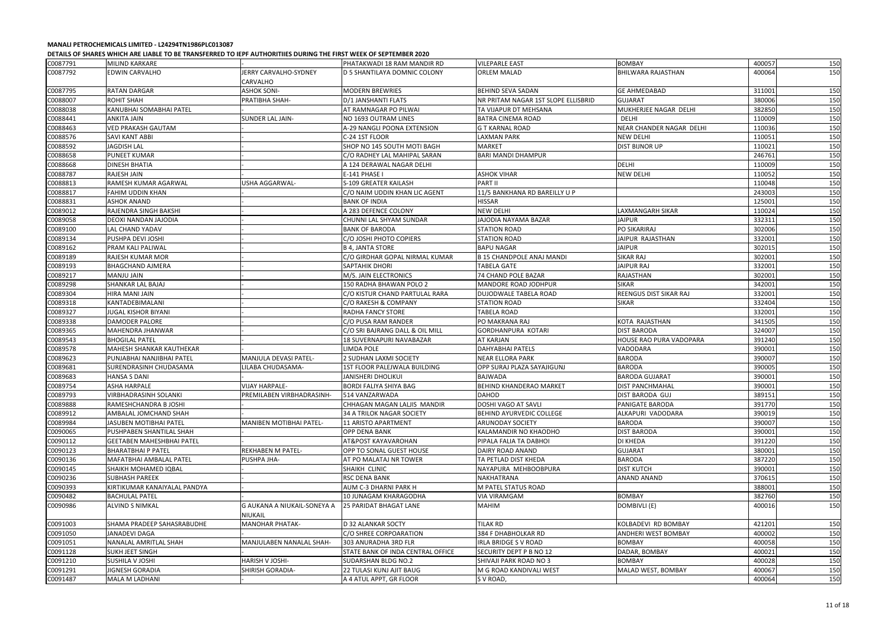|          |                                  | ספטפוריונט ויי טווייניט וייניט וייניט טוויוטי וייניט וייניט וייניט וייניט וייניט וייניט וייניט וייניט וייניט וי |                                   |                                          |                            |                  |     |
|----------|----------------------------------|-----------------------------------------------------------------------------------------------------------------|-----------------------------------|------------------------------------------|----------------------------|------------------|-----|
| C0087791 | MILIND KARKARE                   |                                                                                                                 | PHATAKWADI 18 RAM MANDIR RD       | <b>VILEPARLE EAST</b>                    | BOMBAY                     | 400057           | 150 |
| C0087792 | <b>EDWIN CARVALHO</b>            | JERRY CARVALHO-SYDNEY<br>CARVALHO                                                                               | ID 5 SHANTILAYA DOMNIC COLONY     | ORLEM MALAD                              | <b>BHILWARA RAJASTHAN</b>  | 400064           | 150 |
| C0087795 | <b>RATAN DARGAR</b>              | <b>ASHOK SONI-</b>                                                                                              | <b>MODERN BREWRIES</b>            | <b>BEHIND SEVA SADAN</b>                 | <b>GE AHMEDABAD</b>        | 311001           | 150 |
| C0088007 | ROHIT SHAH                       | PRATIBHA SHAH-                                                                                                  | D/1 JANSHANTI FLATS               | NR PRITAM NAGAR 1ST SLOPE ELLISBRID      | <b>GUJARAT</b>             | 380006           | 150 |
| C0088038 | KANUBHAI SOMABHAI PATEL          |                                                                                                                 | AT RAMNAGAR PO PILWAI             | TA VIJAPUR DT MEHSANA                    | MUKHERJEE NAGAR DELHI      | 382850           | 150 |
| C0088441 | ANKITA JAIN                      | <b>SUNDER LAL JAIN-</b>                                                                                         | NO 1693 OUTRAM LINES              | <b>BATRA CINEMA ROAD</b>                 | DELHI                      | 110009           | 150 |
| C0088463 | VED PRAKASH GAUTAM               |                                                                                                                 | A-29 NANGLI POONA EXTENSION       | <b>G T KARNAL ROAD</b>                   | NEAR CHANDER NAGAR DELHI   | 110036           | 150 |
| C0088576 | SAVI KANT ABBI                   |                                                                                                                 | C-24 1ST FLOOR                    | <b>LAXMAN PARK</b>                       | <b>NEW DELHI</b>           | 110051           | 150 |
| C0088592 | <b>JAGDISH LAL</b>               |                                                                                                                 | SHOP NO 145 SOUTH MOTI BAGH       | <b>MARKET</b>                            | <b>DIST BIJNOR UP</b>      | 110021           | 150 |
| C0088658 | <b>PUNEET KUMAR</b>              |                                                                                                                 | C/O RADHEY LAL MAHIPAL SARAN      | <b>BARI MANDI DHAMPUR</b>                |                            | 246761           | 150 |
| C0088668 | <b>DINESH BHATIA</b>             |                                                                                                                 | A 124 DERAWAL NAGAR DELHI         |                                          | <b>DELHI</b>               | 110009           | 150 |
| C0088787 | RAJESH JAIN                      |                                                                                                                 | E-141 PHASE I                     | <b>ASHOK VIHAR</b>                       | <b>NEW DELHI</b>           | 110052           | 150 |
| C0088813 | RAMESH KUMAR AGARWAL             | <b>USHA AGGARWAL-</b>                                                                                           | S-109 GREATER KAILASH             | <b>PART II</b>                           |                            | 110048           | 150 |
| C0088817 | FAHIM UDDIN KHAN                 |                                                                                                                 | C/O NAIM UDDIN KHAN LIC AGENT     | 11/5 BANKHANA RD BAREILLY U P            |                            | 243003           | 150 |
| C0088831 | <b>ASHOK ANAND</b>               |                                                                                                                 | <b>BANK OF INDIA</b>              | <b>HISSAR</b>                            |                            | 125001           | 150 |
| C0089012 | RAJENDRA SINGH BAKSHI            |                                                                                                                 | A 283 DEFENCE COLONY              | <b>NEW DELHI</b>                         | LAXMANGARH SIKAR           | 110024           | 150 |
| C0089058 | DEOXI NANDAN JAJODIA             |                                                                                                                 | CHUNNI LAL SHYAM SUNDAR           | JAJODIA NAYAMA BAZAR                     | <b>JAIPUR</b>              | 332311           | 150 |
| C0089100 | <b>LAL CHAND YADAV</b>           |                                                                                                                 | <b>BANK OF BARODA</b>             | STATION ROAD                             | PO SIKARIRAJ               | 302006           | 150 |
|          |                                  |                                                                                                                 |                                   |                                          | JAIPUR RAJASTHAN           |                  |     |
| C0089134 | PUSHPA DEVI JOSHI                |                                                                                                                 | C/O JOSHI PHOTO COPIERS           | <b>STATION ROAD</b><br><b>BAPU NAGAR</b> |                            | 332001<br>302015 | 150 |
| C0089162 | PRAM KALI PALIWAL                |                                                                                                                 | <b>B 4, JANTA STORE</b>           |                                          | <b>JAIPUR</b>              |                  | 150 |
| C0089189 | RAJESH KUMAR MOR                 |                                                                                                                 | C/O GIRDHAR GOPAL NIRMAL KUMAR    | <b>B 15 CHANDPOLE ANAJ MANDI</b>         | <b>SIKAR RAJ</b>           | 302001           | 150 |
| C0089193 | <b>BHAGCHAND AJMERA</b>          |                                                                                                                 | <b>SAPTAHIK DHORI</b>             | <b>TABELA GATE</b>                       | <b>JAIPUR RAJ</b>          | 332001           | 150 |
| C0089217 | <b>MANJU JAIN</b>                |                                                                                                                 | M/S. JAIN ELECTRONICS             | 74 CHAND POLE BAZAR                      | RAJASTHAN                  | 302001           | 150 |
| C0089298 | SHANKAR LAL BAJAJ                |                                                                                                                 | 150 RADHA BHAWAN POLO 2           | MANDORE ROAD JODHPUR                     | <b>SIKAR</b>               | 342001           | 150 |
| C0089304 | HIRA MANI JAIN                   |                                                                                                                 | C/O KISTUR CHAND PARTULAL RARA    | DUJODWALE TABELA ROAD                    | REENGUS DIST SIKAR RAJ     | 332001           | 150 |
| C0089318 | KANTADEBIMALANI                  |                                                                                                                 | C/O RAKESH & COMPANY              | <b>STATION ROAD</b>                      | <b>SIKAR</b>               | 332404           | 150 |
| C0089327 | <b>JUGAL KISHOR BIYANI</b>       |                                                                                                                 | <b>RADHA FANCY STORE</b>          | <b>TABELA ROAD</b>                       |                            | 332001           | 150 |
| C0089338 | <b>DAMODER PALORE</b>            |                                                                                                                 | C/O PUSA RAM RANDER               | PO MAKRANA RAJ                           | KOTA RAJASTHAN             | 341505           | 150 |
| C0089365 | MAHENDRA JHANWAR                 |                                                                                                                 | C/O SRI BAJRANG DALL & OIL MILL   | <b>GORDHANPURA KOTARI</b>                | <b>DIST BARODA</b>         | 324007           | 150 |
| C0089543 | <b>BHOGILAL PATEL</b>            |                                                                                                                 | 18 SUVERNAPURI NAVABAZAR          | <b>AT KARJAN</b>                         | HOUSE RAO PURA VADOPARA    | 391240           | 150 |
| C0089578 | MAHESH SHANKAR KAUTHEKAR         |                                                                                                                 | <b>LIMDA POLE</b>                 | <b>DAHYABHAI PATELS</b>                  | VADODARA                   | 390001           | 150 |
| C0089623 | PUNJABHAI NANJIBHAI PATEL        | MANJULA DEVASI PATEL-                                                                                           | 2 SUDHAN LAXMI SOCIETY            | <b>NEAR ELLORA PARK</b>                  | <b>BARODA</b>              | 390007           | 150 |
| C0089681 | SURENDRASINH CHUDASAMA           | LILABA CHUDASAMA-                                                                                               | 1ST FLOOR PALEJWALA BUILDING      | OPP SURAJ PLAZA SAYAJIGUNJ               | <b>BARODA</b>              | 390005           | 150 |
| C0089683 | <b>HANSA S DANI</b>              |                                                                                                                 | JANISHERI DHOLIKUI                | <b>BAJWADA</b>                           | <b>BARODA GUJARAT</b>      | 390001           | 150 |
| C0089754 | <b>ASHA HARPALE</b>              | <b>VIJAY HARPALE-</b>                                                                                           | <b>BORDI FALIYA SHIYA BAG</b>     | <b>BEHIND KHANDERAO MARKET</b>           | <b>DIST PANCHMAHAL</b>     | 390001           | 150 |
| C0089793 | <b>VIRBHADRASINH SOLANKI</b>     | PREMILABEN VIRBHADRASINH-                                                                                       | 514 VANZARWADA                    | <b>DAHOD</b>                             | <b>DIST BARODA GUJ</b>     | 389151           | 150 |
| C0089888 | RAMESHCHANDRA B JOSHI            |                                                                                                                 | CHHAGAN MAGAN LALJIS MANDIR       | DOSHI VAGO AT SAVLI                      | PANIGATE BARODA            | 391770           | 150 |
| C0089912 | AMBALAL JOMCHAND SHAH            |                                                                                                                 | 34 A TRILOK NAGAR SOCIETY         | <b>BEHIND AYURVEDIC COLLEGE</b>          | ALKAPURI VADODARA          | 390019           | 150 |
| C0089984 | JASUBEN MOTIBHAI PATEL           | MANIBEN MOTIBHAI PATEL-                                                                                         | 11 ARISTO APARTMENT               | <b>ARUNODAY SOCIETY</b>                  | <b>BARODA</b>              | 390007           | 150 |
| C0090065 | PUSHPABEN SHANTILAL SHAH         |                                                                                                                 | <b>OPP DENA BANK</b>              | KALAMANDIR NO KHAODHO                    | <b>DIST BARODA</b>         | 390001           | 150 |
| C0090112 | <b>GEETABEN MAHESHBHAI PATEL</b> |                                                                                                                 | AT&POST KAYAVAROHAN               | PIPALA FALIA TA DABHOI                   | <b>DI KHEDA</b>            | 391220           | 150 |
| C0090123 | <b>BHARATBHAI P PATEL</b>        | <b>REKHABEN M PATEL-</b>                                                                                        | OPP TO SONAL GUEST HOUSE          | DAIRY ROAD ANAND                         | <b>GUJARAT</b>             | 380001           | 150 |
| C0090136 | MAFATBHAI AMBALAL PATEL          | PUSHPA JHA-                                                                                                     | AT PO MALATAJ NR TOWER            | TA PETLAD DIST KHEDA                     | <b>BARODA</b>              | 387220           | 150 |
| C0090145 | SHAIKH MOHAMED IQBAL             |                                                                                                                 | SHAIKH CLINIC                     | NAYAPURA MEHBOOBPURA                     | <b>DIST KUTCH</b>          | 390001           | 150 |
| C0090236 | <b>SUBHASH PAREEK</b>            |                                                                                                                 | <b>RSC DENA BANK</b>              | NAKHATRANA                               | ANAND ANAND                | 370615           | 150 |
| C0090393 | KIRTIKUMAR KANAIYALAL PANDYA     |                                                                                                                 | AUM C-3 DHARNI PARK H             | M PATEL STATUS ROAD                      |                            | 388001           | 150 |
| C0090482 | <b>BACHULAL PATEL</b>            |                                                                                                                 | 10 JUNAGAM KHARAGODHA             | <b>VIA VIRAMGAM</b>                      | <b>BOMBAY</b>              | 382760           | 150 |
| C0090986 | ALVIND S NIMKAL                  | G AUKANA A NIUKAIL-SONEYA A<br>NIUKAIL                                                                          | <b>25 PARIDAT BHAGAT LANE</b>     | <b>MAHIM</b>                             | DOMBIVLI (E)               | 400016           | 150 |
| C0091003 | SHAMA PRADEEP SAHASRABUDHE       | <b>MANOHAR PHATAK-</b>                                                                                          | D 32 ALANKAR SOCTY                | <b>TILAK RD</b>                          | KOLBADEVI RD BOMBAY        | 421201           | 150 |
| C0091050 | <b>JANADEVI DAGA</b>             |                                                                                                                 | C/O SHREE CORPOARATION            | 384 F DHABHOLKAR RD                      | <b>ANDHERI WEST BOMBAY</b> | 400002           | 150 |
| C0091051 | NANALAL AMRITLAL SHAH            | MANJULABEN NANALAL SHAH-                                                                                        | 303 ANURADHA 3RD FLR              | IRLA BRIDGE S V ROAD                     | <b>BOMBAY</b>              | 400058           | 150 |
| C0091128 | SUKH JEET SINGH                  |                                                                                                                 | STATE BANK OF INDA CENTRAL OFFICE | SECURITY DEPT P B NO 12                  | DADAR, BOMBAY              | 400021           | 150 |
| C0091210 | <b>SUSHILA V JOSHI</b>           | HARISH V JOSHI-                                                                                                 | <b>SUDARSHAN BLDG NO.2</b>        | SHIVAJI PARK ROAD NO 3                   | <b>BOMBAY</b>              | 400028           | 150 |
| C0091291 | JIGNESH GORADIA                  | SHIRISH GORADIA-                                                                                                | 22 TULASI KUNJ AJIT BAUG          | M G ROAD KANDIVALI WEST                  | MALAD WEST, BOMBAY         | 400067           | 150 |
| C0091487 | MALA M LADHANI                   |                                                                                                                 | A 4 ATUL APPT, GR FLOOR           | S V ROAD,                                |                            | 400064           | 150 |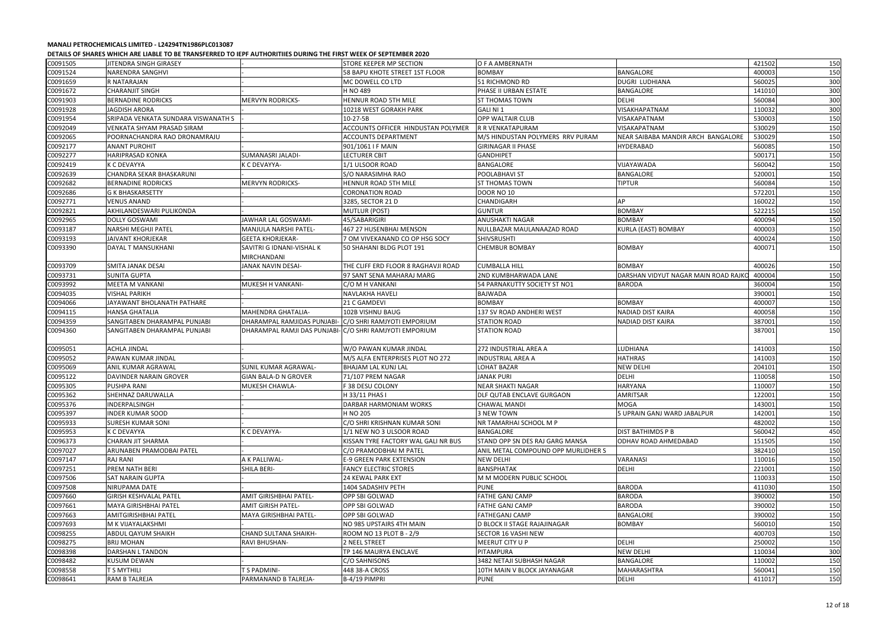|          | DETAILS OF SHARES WHICH ARE LIADLE TO DE TRANSI ERRED TO IEFT AUTHORITIES DORING THE HRST WEEK OF SEFTENDER 2020 |                                                         |                                     |                                     |                                      |        |     |
|----------|------------------------------------------------------------------------------------------------------------------|---------------------------------------------------------|-------------------------------------|-------------------------------------|--------------------------------------|--------|-----|
| C0091505 | JITENDRA SINGH GIRASEY                                                                                           |                                                         | STORE KEEPER MP SECTION             | O F A AMBERNATH                     |                                      | 421502 | 150 |
| C0091524 | <b>NARENDRA SANGHVI</b>                                                                                          |                                                         | 58 BAPU KHOTE STREET 1ST FLOOR      | <b>BOMBAY</b>                       | <b>BANGALORE</b>                     | 400003 | 150 |
| C0091659 | R NATARAJAN                                                                                                      |                                                         | MC DOWELL CO LTD                    | 51 RICHMOND RD                      | <b>DUGRI LUDHIANA</b>                | 560025 | 300 |
| C0091672 | <b>CHARANJIT SINGH</b>                                                                                           |                                                         | H NO 489                            | PHASE II URBAN ESTATE               | <b>BANGALORE</b>                     | 141010 | 300 |
| C0091903 | <b>BERNADINE RODRICKS</b>                                                                                        | <b>MERVYN RODRICKS-</b>                                 | HENNUR ROAD 5TH MILE                | <b>ST THOMAS TOWN</b>               | <b>DELHI</b>                         | 560084 | 300 |
| C0091928 | <b>JAGDISH ARORA</b>                                                                                             |                                                         | 10218 WEST GORAKH PARK              | GALINI1                             | VISAKHAPATNAM                        | 110032 | 300 |
| C0091954 | SRIPADA VENKATA SUNDARA VISWANATH S                                                                              |                                                         | 10-27-5B                            | <b>OPP WALTAIR CLUB</b>             | VISAKAPATNAM                         | 530003 | 150 |
| C0092049 | VENKATA SHYAM PRASAD SIRAM                                                                                       |                                                         | ACCOUNTS OFFICER HINDUSTAN POLYMER  | R R VENKATAPURAM                    | VISAKAPATNAM                         | 530029 | 150 |
| C0092065 | POORNACHANDRA RAO DRONAMRAJU                                                                                     |                                                         | <b>ACCOUNTS DEPARTMENT</b>          | M/S HINDUSTAN POLYMERS RRV PURAM    | NEAR SAIBABA MANDIR ARCH BANGALORE   | 530029 | 150 |
| C0092177 | <b>ANANT PUROHIT</b>                                                                                             |                                                         | 901/1061 I F MAIN                   | <b>GIRINAGAR II PHASE</b>           | <b>HYDERABAD</b>                     | 560085 | 150 |
| C0092277 | HARIPRASAD KONKA                                                                                                 | <b>SUMANASRI JALADI-</b>                                | <b>LECTURER CBIT</b>                | <b>GANDHIPET</b>                    |                                      | 500171 | 150 |
| C0092419 | <b>K C DEVAYYA</b>                                                                                               | K C DEVAYYA-                                            | 1/1 ULSOOR ROAD                     | BANGALORE                           | VIJAYAWADA                           | 560042 | 150 |
| C0092639 | CHANDRA SEKAR BHASKARUNI                                                                                         |                                                         | S/O NARASIMHA RAO                   | POOLABHAVI ST                       | <b>BANGALORE</b>                     | 520001 | 150 |
| C0092682 | <b>BERNADINE RODRICKS</b>                                                                                        | <b>MERVYN RODRICKS-</b>                                 | HENNUR ROAD 5TH MILE                | <b>ST THOMAS TOWN</b>               | <b>TIPTUR</b>                        | 560084 | 150 |
| C0092686 | <b>G K BHASKARSETTY</b>                                                                                          |                                                         | <b>CORONATION ROAD</b>              | <b>DOOR NO 10</b>                   |                                      | 572201 | 150 |
| C0092771 | <b>VENUS ANAND</b>                                                                                               |                                                         | 3285. SECTOR 21 D                   | <b>CHANDIGARH</b>                   | AP                                   | 160022 | 150 |
| C0092821 | AKHILANDESWARI PULIKONDA                                                                                         |                                                         | <b>MUTLUR (POST)</b>                | <b>GUNTUR</b>                       | <b>BOMBAY</b>                        | 522215 | 150 |
| C0092965 | <b>DOLLY GOSWAMI</b>                                                                                             | JAWHAR LAL GOSWAMI-                                     | 45/SABARIGIRI                       | ANUSHAKTI NAGAR                     | <b>BOMBAY</b>                        | 400094 | 150 |
| C0093187 | <b>NARSHI MEGHJI PATEL</b>                                                                                       | MANJULA NARSHI PATEL-                                   | 467 27 HUSENBHAI MENSON             | NULLBAZAR MAULANAAZAD ROAD          | <b>KURLA (EAST) BOMBAY</b>           | 400003 | 150 |
| C0093193 | <b>JAIVANT KHORJEKAR</b>                                                                                         | <b>GEETA KHORJEKAR-</b>                                 | 7 OM VIVEKANAND CO OP HSG SOCY      | <b>SHIVSRUSHTI</b>                  |                                      | 400024 | 150 |
| C0093390 | DAYAL T MANSUKHANI                                                                                               | SAVITRI G IDNANI-VISHAL K                               | 50 SHAHANI BLDG PLOT 191            | <b>CHEMBUR BOMBAY</b>               | <b>BOMBAY</b>                        | 400071 | 150 |
|          |                                                                                                                  | <b>MIRCHANDANI</b>                                      |                                     |                                     |                                      |        |     |
| C0093709 | <b>SMITA JANAK DESAI</b>                                                                                         | JANAK NAVIN DESAI-                                      | THE CLIFF ERD FLOOR 8 RAGHAVJI ROAD | <b>CUMBALLA HILL</b>                | <b>BOMBAY</b>                        | 400026 | 150 |
| C0093731 | SUNITA GUPTA                                                                                                     |                                                         | 97 SANT SENA MAHARAJ MARG           | 2ND KUMBHARWADA LANE                | DARSHAN VIDYUT NAGAR MAIN ROAD RAJK( | 400004 | 150 |
| C0093992 | <b>MEETA M VANKANI</b>                                                                                           | MUKESH H VANKANI-                                       | C/O M H VANKANI                     | 54 PARNAKUTTY SOCIETY ST NO1        | <b>BARODA</b>                        | 360004 | 150 |
| C0094035 | VISHAL PARIKH                                                                                                    |                                                         | <b>NAVLAKHA HAVELI</b>              | <b>BAJWADA</b>                      |                                      | 390001 | 150 |
| C0094066 | JAYAWANT BHOLANATH PATHARE                                                                                       |                                                         | 21 C GAMDEVI                        | <b>BOMBAY</b>                       | <b>BOMBAY</b>                        | 400007 | 150 |
| C0094115 | <b>HANSA GHATALIA</b>                                                                                            | MAHENDRA GHATALIA-                                      | 102B VISHNU BAUG                    | 137 SV ROAD ANDHERI WEST            | <b>NADIAD DIST KAIRA</b>             | 400058 | 150 |
| C0094359 | SANGITABEN DHARAMPAL PUNJABI                                                                                     | DHARAMPAL RAMJIDAS PUNJABI                              | C/O SHRI RAMJYOTI EMPORIUM          | STATION ROAD                        | <b>NADIAD DIST KAIRA</b>             | 387001 | 150 |
| C0094360 | SANGITABEN DHARAMPAL PUNJABI                                                                                     | DHARAMPAL RAMJI DAS PUNJABI- C/O SHRI RAMJYOTI EMPORIUM |                                     | <b>STATION ROAD</b>                 |                                      | 387001 | 150 |
|          |                                                                                                                  |                                                         |                                     |                                     |                                      |        |     |
| C0095051 | <b>ACHLA JINDAL</b>                                                                                              |                                                         | W/O PAWAN KUMAR JINDAL              | 272 INDUSTRIAL AREA A               | LUDHIANA                             | 141003 | 150 |
| C0095052 | PAWAN KUMAR JINDAL                                                                                               |                                                         | M/S ALFA ENTERPRISES PLOT NO 272    | <b>INDUSTRIAL AREA A</b>            | <b>HATHRAS</b>                       | 141003 | 150 |
| C0095069 | ANIL KUMAR AGRAWAL                                                                                               | SUNIL KUMAR AGRAWAL-                                    | <b>BHAJAM LAL KUNJ LAL</b>          | <b>LOHAT BAZAR</b>                  | <b>NEW DELHI</b>                     | 204101 | 150 |
| C0095122 | <b>DAVINDER NARAIN GROVER</b>                                                                                    | <b>GIAN BALA-D N GROVER</b>                             | 71/107 PREM NAGAR                   | <b>JANAK PURI</b>                   | <b>DELHI</b>                         | 110058 | 150 |
| C0095305 | <b>PUSHPA RANI</b>                                                                                               | MUKESH CHAWLA-                                          | F 38 DESU COLONY                    | <b>NEAR SHAKTI NAGAR</b>            | <b>HARYANA</b>                       | 110007 | 150 |
| C0095362 | SHEHNAZ DARUWALLA                                                                                                |                                                         | H 33/11 PHAS I                      | <b>DLF QUTAB ENCLAVE GURGAON</b>    | <b>AMRITSAR</b>                      | 122001 | 150 |
| C0095376 | INDERPALSINGH                                                                                                    |                                                         | DARBAR HARMONIAM WORKS              | <b>CHAWAL MANDI</b>                 | <b>MOGA</b>                          | 143001 | 150 |
| C0095397 | <b>INDER KUMAR SOOD</b>                                                                                          |                                                         | H NO 205                            | 3 NEW TOWN                          | 5 UPRAIN GANJ WARD JABALPUR          | 142001 | 150 |
| C0095933 | <b>SURESH KUMAR SONI</b>                                                                                         |                                                         | C/O SHRI KRISHNAN KUMAR SONI        | NR TAMARHAI SCHOOL M P              |                                      | 482002 | 150 |
| C0095953 | K C DEVAYYA                                                                                                      | K C DEVAYYA-                                            | 1/1 NEW NO 3 ULSOOR ROAD            | <b>BANGALORE</b>                    | <b>DIST BATHIMDS P B</b>             | 560042 | 450 |
| C0096373 | CHARAN JIT SHARMA                                                                                                |                                                         | KISSAN TYRE FACTORY WAL GALI NR BUS | STAND OPP SN DES RAJ GARG MANSA     | ODHAV ROAD AHMEDABAD                 | 151505 | 150 |
| C0097027 | ARUNABEN PRAMODBAI PATEL                                                                                         |                                                         | C/O PRAMODBHAI M PATEL              | ANIL METAL COMPOUND OPP MURLIDHER S |                                      | 382410 | 150 |
| C0097147 | <b>RAJ RANI</b>                                                                                                  | A K PALLIWAL-                                           | <b>E-9 GREEN PARK EXTENSION</b>     | <b>NEW DELHI</b>                    | VARANASI                             | 110016 | 150 |
| C0097251 | PREM NATH BERI                                                                                                   | <b>SHILA BERI-</b>                                      | <b>FANCY ELECTRIC STORES</b>        | <b>BANSPHATAK</b>                   | <b>DELHI</b>                         | 221001 | 150 |
| C0097506 | <b>SAT NARAIN GUPTA</b>                                                                                          |                                                         | 24 KEWAL PARK EXT                   | M M MODERN PUBLIC SCHOOL            |                                      | 110033 | 150 |
| C0097508 | NIRUPAMA DATE                                                                                                    |                                                         | 1404 SADASHIV PETH                  | <b>PUNE</b>                         | <b>BARODA</b>                        | 411030 | 150 |
| C0097660 | <b>GIRISH KESHVALAL PATEL</b>                                                                                    | AMIT GIRISHBHAI PATEL-                                  | OPP SBI GOLWAD                      | FATHE GANJ CAMP                     | <b>BARODA</b>                        | 390002 | 150 |
| C0097661 | <b>MAYA GIRISHBHAI PATEL</b>                                                                                     | <b>AMIT GIRISH PATEL-</b>                               | OPP SBI GOLWAD                      | <b>FATHE GANJ CAMP</b>              | <b>BARODA</b>                        | 390002 | 150 |
| C0097663 | <b>AMITGIRISHBHAI PATEL</b>                                                                                      | MAYA GIRISHBHAI PATEL-                                  | OPP SBI GOLWAD                      | <b>FATHEGANJ CAMP</b>               | <b>BANGALORE</b>                     | 390002 | 150 |
| C0097693 | M K VIJAYALAKSHMI                                                                                                |                                                         | NO 985 UPSTAIRS 4TH MAIN            | <b>D BLOCK II STAGE RAJAJINAGAR</b> | <b>BOMBAY</b>                        | 560010 | 150 |
| C0098255 | ABDUL QAYUM SHAIKH                                                                                               | CHAND SULTANA SHAIKH-                                   | ROOM NO 13 PLOT B - 2/9             | <b>SECTOR 16 VASHI NEW</b>          |                                      | 400703 | 150 |
| C0098275 | <b>BRIJ MOHAN</b>                                                                                                | <b>RAVI BHUSHAN-</b>                                    | 2 NEEL STREET                       | MEERUT CITY U P                     | <b>DELHI</b>                         | 250002 | 150 |
| C0098398 | DARSHAN L TANDON                                                                                                 |                                                         | TP 146 MAURYA ENCLAVE               | PITAMPURA                           | <b>NEW DELHI</b>                     | 110034 | 300 |
| C0098482 | KUSUM DEWAN                                                                                                      |                                                         | C/O SAHNISONS                       | 3482 NETAJI SUBHASH NAGAR           | <b>BANGALORE</b>                     | 110002 | 150 |
| C0098558 | T S MYTHILI                                                                                                      | S PADMINI-                                              | 448 38-A CROSS                      | 10TH MAIN V BLOCK JAYANAGAR         | MAHARASHTRA                          | 560041 | 150 |
| C0098641 | RAM B TALREJA                                                                                                    | PARMANAND B TALREJA-                                    | B-4/19 PIMPRI                       | <b>PUNE</b>                         | DELHI                                | 411017 | 150 |
|          |                                                                                                                  |                                                         |                                     |                                     |                                      |        |     |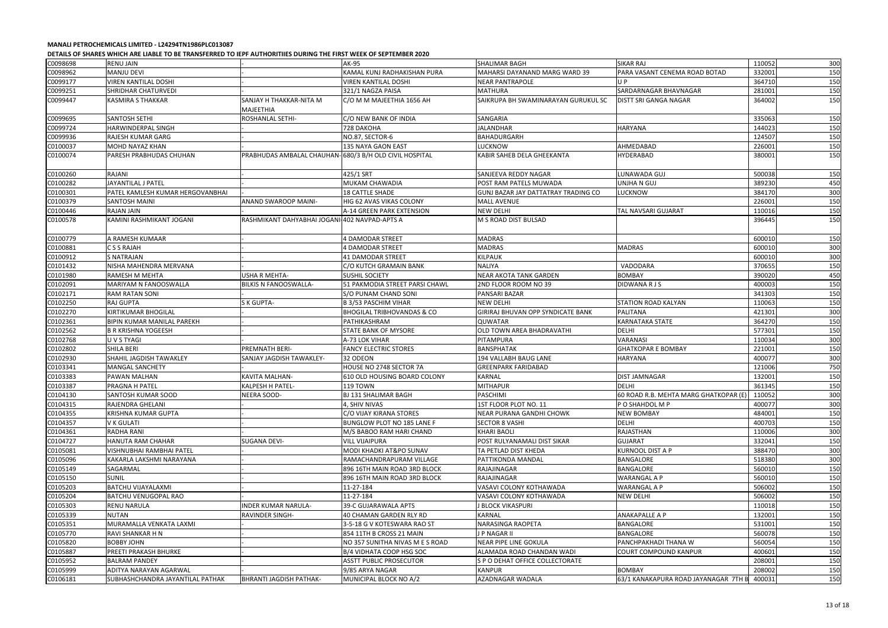| C0098698 | <b>RENU JAIN</b>                 |                                                        | <b>AK-95</b>                          | SHALIMAR BAGH                       | <b>SIKAR RAJ</b>                             | 110052 | 300 |
|----------|----------------------------------|--------------------------------------------------------|---------------------------------------|-------------------------------------|----------------------------------------------|--------|-----|
| C0098962 | MANJU DEVI                       |                                                        | KAMAL KUNJ RADHAKISHAN PURA           | MAHARSI DAYANAND MARG WARD 39       | PARA VASANT CENEMA ROAD BOTAD                | 332001 | 150 |
| C0099177 | VIREN KANTILAL DOSHI             |                                                        | <b>VIREN KANTILAL DOSHI</b>           | <b>NEAR PANTRAPOLE</b>              | UP.                                          | 364710 | 150 |
| C0099251 | SHRIDHAR CHATURVEDI              |                                                        | 321/1 NAGZA PAISA                     | <b>MATHURA</b>                      | SARDARNAGAR BHAVNAGAR                        | 281001 | 150 |
| C0099447 | <b>KASMIRA S THAKKAR</b>         | SANJAY H THAKKAR-NITA M<br><b>MAJEETHIA</b>            | C/O M M MAJEETHIA 1656 AH             | SAIKRUPA BH SWAMINARAYAN GURUKUL SC | DISTT SRI GANGA NAGAR                        | 364002 | 150 |
| C0099695 | <b>SANTOSH SETHI</b>             | <b>ROSHANLAL SETHI-</b>                                | C/O NEW BANK OF INDIA                 | SANGARIA                            |                                              | 335063 | 150 |
| C0099724 | HARWINDERPAL SINGH               |                                                        | 728 DAKOHA                            | <b>JALANDHAR</b>                    | <b>HARYANA</b>                               | 144023 | 150 |
| C0099936 | RAJESH KUMAR GARG                |                                                        | NO.87, SECTOR-6                       | <b>BAHADURGARH</b>                  |                                              | 124507 | 150 |
| C0100037 | MOHD NAYAZ KHAN                  |                                                        | 135 NAYA GAON EAST                    | LUCKNOW                             | AHMEDABAD                                    | 226001 | 150 |
| C0100074 | PARESH PRABHUDAS CHUHAN          | PRABHUDAS AMBALAL CHAUHAN-680/3 B/H OLD CIVIL HOSPITAL |                                       | KABIR SAHEB DELA GHEEKANTA          | HYDERABAD                                    | 380001 | 150 |
| C0100260 | RAJANI                           |                                                        | 425/1 SRT                             | SANJEEVA REDDY NAGAR                | LUNAWADA GUJ                                 | 500038 | 150 |
| C0100282 | JAYANTILAL J PATEL               |                                                        | MUKAM CHAWADIA                        | POST RAM PATELS MUWADA              | UNJHA N GUJ                                  | 389230 | 450 |
| C0100301 | PATEL KAMLESH KUMAR HERGOVANBHAI |                                                        | <b>18 CATTLE SHADE</b>                | GUNJ BAZAR JAY DATTATRAY TRADING CO | LUCKNOW                                      | 384170 | 300 |
| C0100379 | <b>SANTOSH MAINI</b>             | <b>ANAND SWAROOP MAINI-</b>                            | HIG 62 AVAS VIKAS COLONY              | <b>MALL AVENUE</b>                  |                                              | 226001 | 150 |
| C0100446 | <b>RAJAN JAIN</b>                |                                                        | A-14 GREEN PARK EXTENSION             | <b>NEW DELHI</b>                    | TAL NAVSARI GUJARAT                          | 110016 | 150 |
| C0100578 | KAMINI RASHMIKANT JOGANI         | RASHMIKANT DAHYABHAI JOGANI-402 NAVPAD-APTS A          |                                       | <b>M S ROAD DIST BULSAD</b>         |                                              | 396445 | 150 |
| C0100779 | A RAMESH KUMAAR                  |                                                        | 4 DAMODAR STREET                      | <b>MADRAS</b>                       |                                              | 600010 | 150 |
| C0100881 | C S S RAJAH                      |                                                        | <b>4 DAMODAR STREET</b>               | <b>MADRAS</b>                       | <b>MADRAS</b>                                | 600010 | 300 |
| C0100912 | <b>S NATRAJAN</b>                |                                                        | 41 DAMODAR STREET                     | <b>KILPAUK</b>                      |                                              | 600010 | 300 |
| C0101432 | NISHA MAHENDRA MERVANA           |                                                        | C/O KUTCH GRAMAIN BANK                | <b>NALIYA</b>                       | VADODARA                                     | 370655 | 150 |
| C0101980 | <b>RAMESH M MEHTA</b>            | <b>USHA R MEHTA-</b>                                   | <b>SUSHIL SOCIETY</b>                 | <b>NEAR AKOTA TANK GARDEN</b>       | <b>BOMBAY</b>                                | 390020 | 450 |
| C0102091 | MARIYAM N FANOOSWALLA            | <b>BILKIS N FANOOSWALLA-</b>                           | 51 PAKMODIA STREET PARSI CHAWL        | 2ND FLOOR ROOM NO 39                | DIDWANA RJS                                  | 400003 | 150 |
| C0102171 | RAM RATAN SONI                   |                                                        | S/O PUNAM CHAND SONI                  | PANSARI BAZAR                       |                                              | 341303 | 150 |
| C0102250 | RAJ GUPTA                        | S K GUPTA-                                             | <b>B3/53 PASCHIM VIHAR</b>            | <b>NEW DELHI</b>                    | <b>STATION ROAD KALYAN</b>                   | 110063 | 150 |
| C0102270 | KIRTIKUMAR BHOGILAL              |                                                        | <b>BHOGILAL TRIBHOVANDAS &amp; CO</b> | GIRIRAJ BHUVAN OPP SYNDICATE BANK   | <b>PALITANA</b>                              | 421301 | 300 |
| C0102361 | BIPIN KUMAR MANILAL PAREKH       |                                                        | PATHIKASHRAM                          | <b>QUWATAR</b>                      | <b>KARNATAKA STATE</b>                       | 364270 | 150 |
| C0102562 | <b>B R KRISHNA YOGEESH</b>       |                                                        | STATE BANK OF MYSORE                  | OLD TOWN AREA BHADRAVATHI           | DELHI                                        | 577301 | 150 |
| C0102768 | U V S TYAGI                      |                                                        | A-73 LOK VIHAR                        | PITAMPURA                           | VARANASI                                     | 110034 | 300 |
| C0102802 | SHILA BERI                       | PREMNATH BERI-                                         | <b>FANCY ELECTRIC STORES</b>          | <b>BANSPHATAK</b>                   | <b>GHATKOPAR E BOMBAY</b>                    | 221001 | 150 |
| C0102930 | SHAHIL JAGDISH TAWAKLEY          | SANJAY JAGDISH TAWAKLEY-                               | 32 ODEON                              | 194 VALLABH BAUG LANE               | HARYANA                                      | 400077 | 300 |
| C0103341 | <b>MANGAL SANCHETY</b>           |                                                        | HOUSE NO 2748 SECTOR 7A               | <b>GREENPARK FARIDABAD</b>          |                                              | 121006 | 750 |
| C0103383 | PAWAN MALHAN                     | <b>KAVITA MALHAN-</b>                                  | 610 OLD HOUSING BOARD COLONY          | <b>KARNAL</b>                       | <b>DIST JAMNAGAR</b>                         | 132001 | 150 |
| C0103387 | PRAGNA H PATEL                   | <b>KALPESH H PATEL-</b>                                | 119 TOWN                              | <b>MITHAPUR</b>                     | <b>DELHI</b>                                 | 361345 | 150 |
| C0104130 | <b>SANTOSH KUMAR SOOD</b>        | <b>NEERA SOOD-</b>                                     | <b>BJ 131 SHALIMAR BAGH</b>           | <b>PASCHIMI</b>                     | 60 ROAD R.B. MEHTA MARG GHATKOPAR (E) 110052 |        | 300 |
| C0104315 | RAJENDRA GHELANI                 |                                                        | 4, SHIV NIVAS                         | 1ST FLOOR PLOT NO. 11               | P O SHAHDOL M P                              | 400077 | 300 |
| C0104355 | <b>KRISHNA KUMAR GUPTA</b>       |                                                        | C/O VIJAY KIRANA STORES               | NEAR PURANA GANDHI CHOWK            | <b>NEW BOMBAY</b>                            | 484001 | 150 |
| C0104357 | <b>V K GULATI</b>                |                                                        | BUNGLOW PLOT NO 185 LANE F            | <b>SECTOR 8 VASHI</b>               | DELHI                                        | 400703 | 150 |
| C0104361 | <b>RADHA RANI</b>                |                                                        | M/S BABOO RAM HARI CHAND              | <b>KHARI BAOLI</b>                  | RAJASTHAN                                    | 110006 | 300 |
| C0104727 | <b>HANUTA RAM CHAHAR</b>         | <b>SUGANA DEVI-</b>                                    | <b>VILL VIJAIPURA</b>                 | POST RULYANAMALI DIST SIKAR         | <b>GUJARAT</b>                               | 332041 | 150 |
| C0105081 | VISHNUBHAI RAMBHAI PATEL         |                                                        | MODI KHADKI AT&PO SUNAV               | TA PETLAD DIST KHEDA                | <b>KURNOOL DIST A P</b>                      | 388470 | 300 |
| C0105096 | KAKARLA LAKSHMI NARAYANA         |                                                        | RAMACHANDRAPURAM VILLAGE              | PATTIKONDA MANDAL                   | BANGALORE                                    | 518380 | 300 |
| C0105149 | SAGARMAL                         |                                                        | 896 16TH MAIN ROAD 3RD BLOCK          | RAJAJINAGAR                         | <b>BANGALORE</b>                             | 560010 | 150 |
| C0105150 | <b>SUNIL</b>                     |                                                        | 896 16TH MAIN ROAD 3RD BLOCK          | RAJAJINAGAR                         | <b>WARANGAL A P</b>                          | 560010 | 150 |
| C0105203 | <b>BATCHU VIJAYALAXMI</b>        |                                                        | 11-27-184                             | VASAVI COLONY KOTHAWADA             | <b>WARANGAL A P</b>                          | 506002 | 150 |
| C0105204 | <b>BATCHU VENUGOPAL RAO</b>      |                                                        | 11-27-184                             | VASAVI COLONY KOTHAWADA             | <b>NEW DELHI</b>                             | 506002 | 150 |
| C0105303 | <b>RENU NARULA</b>               | <b>INDER KUMAR NARULA-</b>                             | 39-C GUJARAWALA APTS                  | J BLOCK VIKASPURI                   |                                              | 110018 | 150 |
| C0105339 | <b>NUTAN</b>                     | <b>RAVINDER SINGH-</b>                                 | 40 CHAMAN GARDEN RLY RD               | <b>KARNAL</b>                       | ANAKAPALLE A P                               | 132001 | 150 |
| C0105351 | MURAMALLA VENKATA LAXMI          |                                                        | 3-5-18 G V KOTESWARA RAO ST           | <b>NARASINGA RAOPETA</b>            | <b>BANGALORE</b>                             | 531001 | 150 |
| C0105770 | RAVI SHANKAR H N                 |                                                        | 854 11TH B CROSS 21 MAIN              | J P NAGAR II                        | BANGALORE                                    | 560078 | 150 |
| C0105820 | <b>BOBBY JOHN</b>                |                                                        | NO 357 SUNITHA NIVAS M E S ROAD       | NEAR PIPE LINE GOKULA               | PANCHPAKHADI THANA W                         | 560054 | 150 |
| C0105887 | <b>PREETI PRAKASH BHURKE</b>     |                                                        | B/4 VIDHATA COOP HSG SOC              | ALAMADA ROAD CHANDAN WADI           | <b>COURT COMPOUND KANPUR</b>                 | 400601 | 150 |
| C0105952 | <b>BALRAM PANDEY</b>             |                                                        | <b>ASSTT PUBLIC PROSECUTOR</b>        | S P O DEHAT OFFICE COLLECTORATE     |                                              | 208001 | 150 |
| C0105999 | ADITYA NARAYAN AGARWAL           |                                                        | 9/85 ARYA NAGAR                       | <b>KANPUR</b>                       | <b>BOMBAY</b>                                | 208002 | 150 |
| C0106181 | SUBHASHCHANDRA JAYANTILAL PATHAK | <b>BHRANTI JAGDISH PATHAK-</b>                         | MUNICIPAL BLOCK NO A/2                | AZADNAGAR WADALA                    | 63/1 KANAKAPURA ROAD JAYANAGAR 7TH B         | 400031 | 150 |
|          |                                  |                                                        |                                       |                                     |                                              |        |     |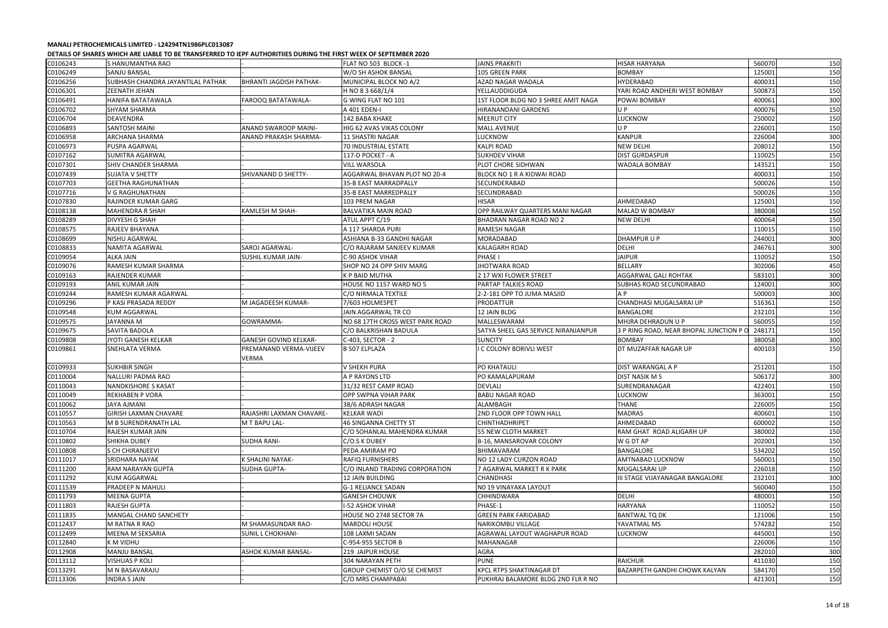|                      | שפטא השמוזים ושכי ושירושות שווה שירותים של היה והשוויש ושירותים ומוזיקה ומודרתים של השמוזיטים של השמוש של השמו |                                |                                                   |                                                                       |                                         |                  |            |
|----------------------|----------------------------------------------------------------------------------------------------------------|--------------------------------|---------------------------------------------------|-----------------------------------------------------------------------|-----------------------------------------|------------------|------------|
| C0106243             | S HANUMANTHA RAO                                                                                               |                                | FLAT NO 503 BLOCK -1                              | <b>JAINS PRAKRITI</b>                                                 | <b>HISAR HARYANA</b>                    | 560070           | 150        |
| C0106249             | <b>SANJU BANSAL</b>                                                                                            |                                | W/O SH ASHOK BANSAL                               | 105 GREEN PARK                                                        | <b>BOMBAY</b>                           | 125001           | 150        |
| C0106256             | SUBHASH CHANDRA JAYANTILAL PATHAK                                                                              | <b>BHRANTI JAGDISH PATHAK-</b> | MUNICIPAL BLOCK NO A/2                            | AZAD NAGAR WADALA                                                     | <b>HYDERABAD</b>                        | 400031           | 150        |
| C0106301             | ZEENATH JEHAN                                                                                                  |                                | H NO 8 3 668/1/4                                  | YELLAUDDIGUDA                                                         | YARI ROAD ANDHERI WEST BOMBAY           | 500873           | 150        |
| C0106491             | HANIFA BATATAWALA                                                                                              | FAROOQ BATATAWALA-             | G WING FLAT NO 101                                | 1ST FLOOR BLDG NO 3 SHREE AMIT NAGA                                   | POWAI BOMBAY                            | 400061           | 300        |
| C0106702             | SHYAM SHARMA                                                                                                   |                                | A 401 EDEN-I                                      | HIRANANDANI GARDENS                                                   | UP.                                     | 400076           | 150        |
| C0106704             | DEAVENDRA                                                                                                      |                                | 142 BABA KHAKE                                    | <b>MEERUT CITY</b>                                                    | LUCKNOW                                 | 250002           | 150        |
| C0106893             | SANTOSH MAINI                                                                                                  | <b>ANAND SWAROOP MAINI-</b>    | <b>HIG 62 AVAS VIKAS COLONY</b>                   | <b>MALL AVENUE</b>                                                    | UP                                      | 226001           | 150        |
| C0106958             | ARCHANA SHARMA                                                                                                 | <b>ANAND PRAKASH SHARMA-</b>   | <b>11 SHASTRI NAGAR</b>                           | LUCKNOW                                                               | <b>KANPUR</b>                           | 226004           | 300        |
| C0106973             | PUSPA AGARWAL                                                                                                  |                                | 70 INDUSTRIAL ESTATE                              | <b>KALPI ROAD</b>                                                     | <b>NEW DELHI</b>                        | 208012           | 150        |
| C0107162             | SUMITRA AGARWAL                                                                                                |                                | 117-D POCKET - A                                  | <b>SUKHDEV VIHAR</b>                                                  | <b>DIST GURDASPUR</b>                   | 110025           | 150        |
| C0107301             | SHIV CHANDER SHARMA                                                                                            |                                | <b>VILL WARSOLA</b>                               | PLOT CHORE SIDHWAN                                                    | <b>WADALA BOMBAY</b>                    | 143521           | 150        |
| C0107439             | <b>SUJATA V SHETTY</b>                                                                                         | SHIVANAND D SHETTY-            | AGGARWAL BHAVAN PLOT NO 20-4                      | BLOCK NO 1 R A KIDWAI ROAD                                            |                                         | 400031           | 150        |
| C0107703             | <b>GEETHA RAGHUNATHAN</b>                                                                                      |                                | 35-B EAST MARRADPALLY                             | SECUNDERABAD                                                          |                                         | 500026           | 150        |
| C0107716             | V G RAGHUNATHAN                                                                                                |                                | 35-B EAST MARREDPALLY                             | SECUNDRABAD                                                           |                                         | 500026           | 150        |
| C0107830             | RAJINDER KUMAR GARG                                                                                            |                                | 103 PREM NAGAR                                    | <b>HISAR</b>                                                          | AHMEDABAD                               | 125001           | 150        |
| C0108138             | <b>MAHENDRA R SHAH</b>                                                                                         | <b>KAMLESH M SHAH-</b>         | <b>BALVATIKA MAIN ROAD</b>                        | OPP RAILWAY QUARTERS MANI NAGAR                                       | <b>MALAD W BOMBAY</b>                   | 380008           | 150        |
| C0108289             | <b>DIVYESH G SHAH</b>                                                                                          |                                | ATUL APPT C/19                                    | <b>BHADRAN NAGAR ROAD NO 2</b>                                        | <b>NEW DELHI</b>                        | 400064           | 150        |
| C0108575             | RAJEEV BHAYANA                                                                                                 |                                | A 117 SHARDA PURI                                 | <b>RAMESH NAGAR</b>                                                   |                                         | 110015           | 150        |
| C0108699             | NISHU AGARWAL                                                                                                  |                                | ASHIANA B-33 GANDHI NAGAR                         | MORADABAD                                                             | DHAMPUR U P                             | 244001           | 300        |
| C0108833             | NAMITA AGARWAL                                                                                                 | SAROJ AGARWAL-                 | C/O RAJARAM SANJEEV KUMAR                         | <b>KALAGARH ROAD</b>                                                  | <b>DELHI</b>                            | 246761           | 300        |
| C0109054             | ALKA JAIN                                                                                                      | SUSHIL KUMAR JAIN-             | C-90 ASHOK VIHAR                                  | <b>PHASE I</b>                                                        | <b>JAIPUR</b>                           | 110052           | 150        |
| C0109076             | RAMESH KUMAR SHARMA                                                                                            |                                | SHOP NO 24 OPP SHIV MARG                          | <b>JHOTWARA ROAD</b>                                                  | <b>BELLARY</b>                          | 302006           | 450        |
| C0109163             | RAJENDER KUMAR                                                                                                 |                                | <b>K P BAID MUTHA</b>                             | 2 17 WXI FLOWER STREET                                                | AGGARWAL GALI ROHTAK                    | 583101           | 300        |
| C0109193             | ANIL KUMAR JAIN                                                                                                |                                | HOUSE NO 1157 WARD NO 5                           | PARTAP TALKIES ROAD                                                   | SUBHAS ROAD SECUNDRABAD                 | 124001           | 300        |
| C0109244             | RAMESH KUMAR AGARWAL                                                                                           |                                | C/O NIRMALA TEXTILE                               | 2-2-181 OPP TO JUMA MASJID                                            | A P                                     | 500003           | 300        |
| C0109296             | P KASI PRASADA REDDY                                                                                           | M JAGADEESH KUMAR-             | 7/603 HOLMESPET                                   | <b>PRODATTUR</b>                                                      | CHANDHASI MUGALSARAI UP                 | 516361           | 150        |
| C0109548             | <b>KUM AGGARWAL</b>                                                                                            |                                | JAIN AGGARWAL TR CO                               | 12 JAIN BLDG                                                          | BANGALORE                               | 232101           | 150        |
| C0109575             | JAYANNA M                                                                                                      | GOWRAMMA-                      | NO 68 17TH CROSS WEST PARK ROAD                   | <b>MALLESWARAM</b>                                                    | MHJRA DEHRADUN U P                      | 560055           | 150        |
| C0109675             | SAVITA BADOLA                                                                                                  |                                | C/O BALKRISHAN BADULA                             | SATYA SHEEL GAS SERVICE NIRANJANPUR                                   | 3 P RING ROAD, NEAR BHOPAL JUNCTION P O | 248171           | 150        |
| C0109808             | JYOTI GANESH KELKAR                                                                                            | <b>GANESH GOVIND KELKAR-</b>   | C-403, SECTOR - 2                                 | <b>SUNCITY</b>                                                        | <b>BOMBAY</b>                           | 380058           | 300        |
| C0109861             | SNEHLATA VERMA                                                                                                 | PREMANAND VERMA-VIJEEV         | <b>B 507 ELPLAZA</b>                              | I C COLONY BORIVLI WEST                                               | DT MUZAFFAR NAGAR UP                    | 400103           | 150        |
|                      |                                                                                                                | VERMA                          |                                                   |                                                                       |                                         |                  |            |
| C0109933             | <b>SUKHBIR SINGH</b>                                                                                           |                                | <b>V SHEKH PURA</b>                               | PO KHATAULI                                                           | DIST WARANGAL A P                       | 251201           | 150        |
| C0110004             | NALLURI PADMA RAO                                                                                              |                                | A P RAYONS LTD                                    | PO KAMALAPURAM                                                        | DIST NASIK M S                          | 506172           | 300        |
| C0110043             | <b>NANDKISHORE S KASAT</b>                                                                                     |                                | 31/32 REST CAMP ROAD                              | <b>DEVLALI</b>                                                        | <b>SURENDRANAGAR</b>                    | 422401           | 150        |
| C0110049             | <b>REKHABEN P VORA</b>                                                                                         |                                | <b>OPP SWPNA VIHAR PARK</b>                       | <b>BABU NAGAR ROAD</b>                                                | <b>LUCKNOW</b>                          | 363001           | 150        |
| C0110062             | <b>JAYA AJMANI</b>                                                                                             |                                | 38/6 ADRASH NAGAR                                 | ALAMBAGH                                                              | <b>THANE</b>                            | 226005           | 150        |
| C0110557             | <b>GIRISH LAXMAN CHAVARE</b>                                                                                   | RAJASHRI LAXMAN CHAVARE-       | <b>KELKAR WADI</b>                                | 2ND FLOOR OPP TOWN HALL                                               | <b>MADRAS</b>                           | 400601           | 150        |
| C0110563             | M B SURENDRANATH LAL                                                                                           | M T BAPU LAL-                  | 46 SINGANNA CHETTY ST                             | <b>CHINTHADHRIPET</b>                                                 | AHMEDABAD                               | 600002           |            |
| C0110704             | RAJESH KUMAR JAIN                                                                                              |                                | C/O SOHANLAL MAHENDRA KUMAR                       | 55 NEW CLOTH MARKET                                                   | RAM GHAT ROAD ALIGARH UP                | 380002           | 150        |
| C0110802             | <b>SHIKHA DUBEY</b>                                                                                            | <b>SUDHA RANI-</b>             | C/O.S K DUBEY                                     | B-16, MANSAROVAR COLONY                                               | W G DT AP                               | 202001           | 150<br>150 |
| C0110808             | <b>S CH CHIRANJEEVI</b>                                                                                        |                                | PEDA AMIRAM PO                                    | <b>BHIMAVARAM</b>                                                     | BANGALORE                               | 534202           | 150        |
|                      |                                                                                                                |                                |                                                   | NO 12 LADY CURZON ROAD                                                |                                         |                  |            |
| C0111017             | <b>SRIDHARA NAYAK</b>                                                                                          | K SHALINI NAYAK-               | <b>RAFIQ FURNISHERS</b>                           |                                                                       | AMTNABAD LUCKNOW                        | 560001           | 150        |
| C0111200             | RAM NARAYAN GUPTA                                                                                              | <b>SUDHA GUPTA-</b>            | C/O INLAND TRADING CORPORATION                    | 7 AGARWAL MARKET R K PARK                                             | MUGALSARAI UP                           | 226018           | 150        |
| C0111292             | <b>KUM AGGARWAL</b>                                                                                            |                                | <b>12 JAIN BUILDING</b>                           | <b>CHANDHASI</b>                                                      | III STAGE VIJAYANAGAR BANGALORE         | 232101           | 300        |
| C0111539             | PRADEEP N MAHULI                                                                                               |                                | <b>G-1 RELIANCE SADAN</b>                         | NO 19 VINAYAKA LAYOUT                                                 |                                         | 560040           | 150        |
| C0111793             | <b>MEENA GUPTA</b>                                                                                             |                                | <b>GANESH CHOUWK</b>                              | <b>CHHINDWARA</b>                                                     | <b>DELHI</b>                            | 480001           | 150        |
| C0111803             | <b>RAJESH GUPTA</b>                                                                                            |                                | <b>I-52 ASHOK VIHAR</b>                           | PHASE-1                                                               | <b>HARYANA</b>                          | 110052           | 150        |
| C0111835             | <b>MANGAL CHAND SANCHETY</b>                                                                                   |                                | HOUSE NO 2748 SECTOR 7A                           | <b>GREEN PARK FARIDABAD</b>                                           | <b>BANTWAL TQ DK</b>                    | 121006           | 150        |
| C0112437             | M RATNA R RAO                                                                                                  | M SHAMASUNDAR RAO-             | <b>MARDOLI HOUSE</b>                              | NARIKOMBU VILLAGE                                                     | YAVATMAL MS                             | 574282           | 150        |
| C0112499             | MEENA M SEKSARIA                                                                                               | <b>SUNIL L CHOKHANI-</b>       | 108 LAXMI SADAN                                   | AGRAWAL LAYOUT WAGHAPUR ROAD                                          | LUCKNOW                                 | 445001           | 150        |
| C0112840             | K M VIDHU                                                                                                      |                                | C-954-955 SECTOR B                                | <b>MAHANAGAR</b>                                                      |                                         | 226006           | 150        |
| C0112908             |                                                                                                                |                                |                                                   | <b>AGRA</b>                                                           |                                         | 282010           | 300        |
|                      | MANJU BANSAL                                                                                                   | <b>ASHOK KUMAR BANSAL-</b>     | 219 JAIPUR HOUSE                                  |                                                                       |                                         |                  |            |
| C0113112             | <b>VISHUAS P KOLI</b>                                                                                          |                                | 304 NARAYAN PETH                                  | <b>PUNE</b>                                                           | <b>RAICHUR</b>                          | 411030           | 150        |
| C0113291<br>C0113306 | M N BASAVARAJU<br><b>INDRA S JAIN</b>                                                                          |                                | GROUP CHEMIST O/O SE CHEMIST<br>C/O MRS CHAMPABAI | <b>KPCL RTPS SHAKTINAGAR DT</b><br>PUKHRAJ BALAMORE BLDG 2ND FLR R NO | BAZARPETH GANDHI CHOWK KALYAN           | 584170<br>421301 | 150<br>150 |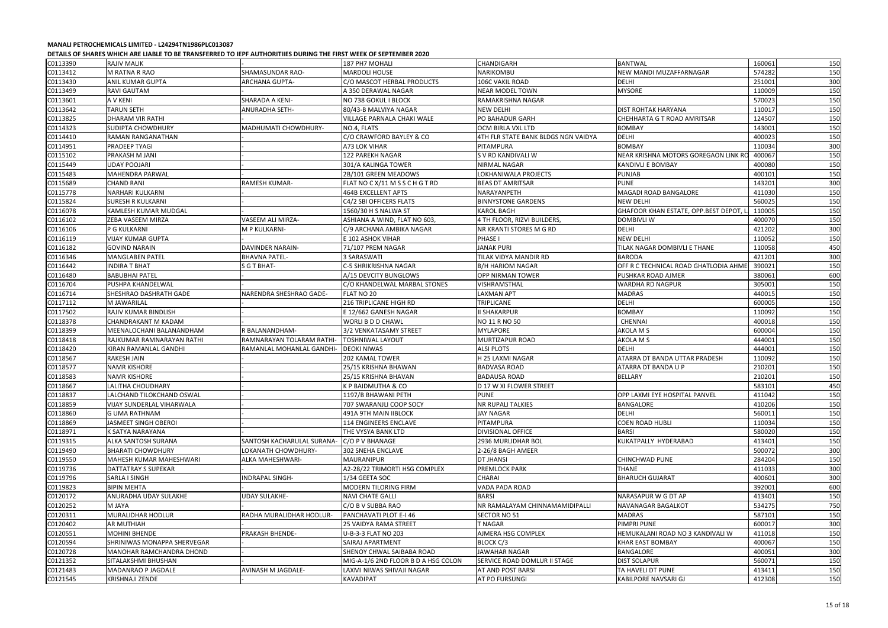| C0113390 | <b>RAJIV MALIK</b>               |                            | 187 PH7 MOHALI                      | <b>CHANDIGARH</b>                   | <b>BANTWAL</b>                       | 160061<br>150 |
|----------|----------------------------------|----------------------------|-------------------------------------|-------------------------------------|--------------------------------------|---------------|
|          |                                  |                            |                                     | NARIKOMBU                           |                                      | 574282        |
| C0113412 | <b>M RATNA R RAO</b>             | SHAMASUNDAR RAO-           | <b>MARDOLI HOUSE</b>                |                                     | NEW MANDI MUZAFFARNAGAR              | 150           |
| C0113430 | ANIL KUMAR GUPTA                 | ARCHANA GUPTA-             | C/O MASCOT HERBAL PRODUCTS          | 106C VAKIL ROAD                     | DELHI                                | 300<br>251001 |
| C0113499 | <b>RAVI GAUTAM</b>               |                            | A 350 DERAWAL NAGAR                 | <b>NEAR MODEL TOWN</b>              | <b>MYSORE</b>                        | 150<br>110009 |
| C0113601 | A V KENI                         | SHARADA A KENI-            | NO 738 GOKUL I BLOCK                | RAMAKRISHNA NAGAR                   |                                      | 150<br>570023 |
| C0113642 | <b>TARUN SETH</b>                | ANURADHA SETH-             | 80/43-B MALVIYA NAGAR               | <b>NEW DELHI</b>                    | <b>DIST ROHTAK HARYANA</b>           | 150<br>110017 |
| C0113825 | <b>DHARAM VIR RATHI</b>          |                            | VILLAGE PARNALA CHAKI WALE          | PO BAHADUR GARH                     | CHEHHARTA G T ROAD AMRITSAR          | 150<br>124507 |
| C0114323 | <b>SUDIPTA CHOWDHURY</b>         | MADHUMATI CHOWDHURY-       | NO.4, FLATS                         | OCM BIRLA VXL LTD                   | <b>BOMBAY</b>                        | 150<br>143001 |
| C0114410 | <b>RAMAN RANGANATHAN</b>         |                            | C/O CRAWFORD BAYLEY & CO            | 4TH FLR STATE BANK BLDGS NGN VAIDYA | <b>DELHI</b>                         | 150<br>400023 |
| C0114951 | PRADEEP TYAGI                    |                            | A73 LOK VIHAR                       | PITAMPURA                           | <b>BOMBAY</b>                        | 300<br>110034 |
| C0115102 | PRAKASH M JANI                   |                            | 122 PAREKH NAGAR                    | S V RD KANDIVALI W                  | NEAR KRISHNA MOTORS GOREGAON LINK R  | 150<br>400067 |
| C0115449 | <b>UDAY POOJARI</b>              |                            | 301/A KALINGA TOWER                 | NIRMAL NAGAR                        | KANDIVLI E BOMBAY                    | 150<br>400080 |
| C0115483 | MAHENDRA PARWAL                  |                            | 2B/101 GREEN MEADOWS                | LOKHANIWALA PROJECTS                | PUNJAB                               | 150<br>400101 |
| C0115689 | <b>CHAND RANI</b>                | RAMESH KUMAR-              | FLAT NO C X/11 M S S C H G T RD     | <b>BEAS DT AMRITSAR</b>             | <b>PUNE</b>                          | 300<br>143201 |
| C0115778 | NARHARI KULKARNI                 |                            | 464B EXCELLENT APTS                 | NARAYANPETH                         | MAGADI ROAD BANGALORE                | 150<br>411030 |
| C0115824 | <b>SURESH R KULKARNI</b>         |                            | C4/2 SBI OFFICERS FLATS             | <b>BINNYSTONE GARDENS</b>           | <b>NEW DELHI</b>                     | 150<br>560025 |
| C0116078 | KAMLESH KUMAR MUDGAL             |                            | 1560/30 H S NALWA ST                | <b>KAROL BAGH</b>                   | GHAFOOR KHAN ESTATE, OPP.BEST DEPOT  | 150<br>110005 |
| C0116102 | ZEBA VASEEM MIRZA                | VASEEM ALI MIRZA-          | ASHIANA A WIND, FLAT NO 603,        | 4 TH FLOOR, RIZVI BUILDERS,         | <b>DOMBIVLI W</b>                    | 150<br>400070 |
|          | P G KULKARNI                     |                            | C/9 ARCHANA AMBIKA NAGAR            | NR KRANTI STORES M G RD             | DELHI                                | 300<br>421202 |
| C0116106 |                                  | M P KULKARNI-              |                                     |                                     |                                      |               |
| C0116119 | <b>VIJAY KUMAR GUPTA</b>         |                            | E 102 ASHOK VIHAR                   | <b>PHASE I</b>                      | <b>NEW DELHI</b>                     | 150<br>110052 |
| C0116182 | <b>GOVIND NARAIN</b>             | DAVINDER NARAIN-           | 71/107 PREM NAGAR                   | <b>JANAK PURI</b>                   | TILAK NAGAR DOMBIVLI E THANE         | 450<br>110058 |
| C0116346 | <b>MANGLABEN PATEL</b>           | <b>BHAVNA PATEL-</b>       | 3 SARASWATI                         | <b>TILAK VIDYA MANDIR RD</b>        | <b>BARODA</b>                        | 300<br>421201 |
| C0116442 | <b>INDIRA T BHAT</b>             | S G T BHAT-                | C-5 SHRIKRISHNA NAGAR               | <b>B/H HARIOM NAGAR</b>             | OFF R C TECHNICAL ROAD GHATLODIA AHM | 150<br>390021 |
| C0116480 | <b>BABUBHAI PATEL</b>            |                            | A/15 DEVCITY BUNGLOWS               | <b>OPP NIRMAN TOWER</b>             | PUSHKAR ROAD AJMER                   | 600<br>380061 |
| C0116704 | PUSHPA KHANDELWAL                |                            | C/O KHANDELWAL MARBAL STONES        | VISHRAMSTHAL                        | WARDHA RD NAGPUR                     | 150<br>305001 |
| C0116714 | SHESHRAO DASHRATH GADE           | NARENDRA SHESHRAO GADE-    | FLAT NO 20                          | LAXMAN APT                          | <b>MADRAS</b>                        | 150<br>440015 |
| C0117112 | M JAWARILAL                      |                            | 216 TRIPLICANE HIGH RD              | TRIPLICANE                          | DELHI                                | 150<br>600005 |
| C0117502 | RAJIV KUMAR BINDLISH             |                            | E 12/662 GANESH NAGAR               | II SHAKARPUR                        | <b>BOMBAY</b>                        | 150<br>110092 |
| C0118378 | CHANDRAKANT M KADAM              |                            | WORLI B D D CHAWL                   | <b>NO 11 R NO 50</b>                | CHENNAI                              | 150<br>400018 |
| C0118399 | MEENALOCHANI BALANANDHAM         | R BALANANDHAM-             | 3/2 VENKATASAMY STREET              | <b>MYLAPORE</b>                     | AKOLA M S                            | 150<br>600004 |
| C0118418 | RAJKUMAR RAMNARAYAN RATHI        | RAMNARAYAN TOLARAM RATHI-  | <b>TOSHNIWAL LAYOUT</b>             | MURTIZAPUR ROAD                     | AKOLA M S                            | 150<br>444001 |
| C0118420 | KIRAN RAMANLAL GANDHI            | RAMANLAL MOHANLAL GANDHI-  | <b>DEOKI NIWAS</b>                  | <b>ALSI PLOTS</b>                   | DELHI                                | 150<br>444001 |
| C0118567 | RAKESH JAIN                      |                            | 202 KAMAL TOWER                     | H 25 LAXMI NAGAR                    | ATARRA DT BANDA UTTAR PRADESH        | 150<br>110092 |
| C0118577 | <b>NAMR KISHORE</b>              |                            | 25/15 KRISHNA BHAWAN                | <b>BADVASA ROAD</b>                 | ATARRA DT BANDA U P                  | 150<br>210201 |
| C0118583 | <b>NAMR KISHORE</b>              |                            | 25/15 KRISHNA BHAVAN                | <b>BADAUSA ROAD</b>                 | <b>BELLARY</b>                       | 150<br>210201 |
| C0118667 | LALITHA CHOUDHARY                |                            | K P BAIDMUTHA & CO                  | D 17 W XI FLOWER STREET             |                                      | 583101<br>450 |
| C0118837 | LALCHAND TILOKCHAND OSWAL        |                            | 1197/B BHAWANI PETH                 | <b>PUNE</b>                         | OPP LAXMI EYE HOSPITAL PANVEL        | 150<br>411042 |
| C0118859 | <b>VIJAY SUNDERLAL VIHARWALA</b> |                            | 707 SWARANJLI COOP SOCY             | <b>NR RUPALI TALKIES</b>            | BANGALORE                            | 150<br>410206 |
| C0118860 | <b>G UMA RATHNAM</b>             |                            | 491A 9TH MAIN IIBLOCK               | <b>JAY NAGAR</b>                    | <b>DELHI</b>                         | 560011<br>150 |
| C0118869 | JASMEET SINGH OBEROI             |                            | 114 ENGINEERS ENCLAVE               | PITAMPURA                           | <b>COEN ROAD HUBLI</b>               | 110034<br>150 |
| C0118971 | K SATYA NARAYANA                 |                            | THE VYSYA BANK LTD                  | <b>DIVISIONAL OFFICE</b>            | <b>BARSI</b>                         | 150<br>580020 |
| C0119315 | ALKA SANTOSH SURANA              | SANTOSH KACHARULAL SURANA- | C/O P V BHANAGE                     | 2936 MURLIDHAR BOL                  | KUKATPALLY HYDERABAD                 | 150<br>413401 |
| C0119490 | <b>BHARATI CHOWDHURY</b>         | LOKANATH CHOWDHURY-        | 302 SNEHA ENCLAVE                   | 2-26/8 BAGH AMEER                   |                                      | 300<br>500072 |
| C0119550 | MAHESH KUMAR MAHESHWARI          | ALKA MAHESHWARI-           | MAURANIPUR                          | <b>DT JHANSI</b>                    | CHINCHWAD PUNE                       | 150<br>284204 |
| C0119736 | DATTATRAY S SUPEKAR              |                            | A2-28/22 TRIMORTI HSG COMPLEX       | PREMLOCK PARK                       | THANE                                | 300<br>411033 |
| C0119796 | <b>SARLA I SINGH</b>             | <b>INDRAPAL SINGH-</b>     | 1/34 GEETA SOC                      | CHARAI                              | <b>BHARUCH GUJARAT</b>               | 300<br>400601 |
| C0119823 | <b>BIPIN MEHTA</b>               |                            | MODERN TILORING FIRM                | VADA PADA ROAD                      |                                      | 600<br>392001 |
| C0120172 | ANURADHA UDAY SULAKHE            | <b>UDAY SULAKHE-</b>       | <b>NAVI CHATE GALLI</b>             | <b>BARSI</b>                        | NARASAPUR W G DT AP                  | 150<br>413401 |
| C0120252 | M JAYA                           |                            | C/O B V SUBBA RAO                   | NR RAMALAYAM CHINNAMAMIDIPALLI      | NAVANAGAR BAGALKOT                   | 750<br>534275 |
| C0120311 | <b>MURALIDHAR HODLUR</b>         | RADHA MURALIDHAR HODLUR-   | PANCHAVATI PLOT E-I 46              | <b>SECTOR NO 51</b>                 | <b>MADRAS</b>                        | 587101<br>150 |
| C0120402 | <b>AR MUTHIAH</b>                |                            | 25 VAIDYA RAMA STREET               | <b>T NAGAR</b>                      | PIMPRI PUNE                          | 300<br>600017 |
| C0120551 | <b>MOHINI BHENDE</b>             | PRAKASH BHENDE-            | U-B-3-3 FLAT NO 203                 | AJMERA HSG COMPLEX                  | HEMUKALANI ROAD NO 3 KANDIVALI W     | 150<br>411018 |
| C0120594 | SHRINIWAS MONAPPA SHERVEGAR      |                            | SAIRAJ APARTMENT                    | <b>BLOCK C/3</b>                    | KHAR EAST BOMBAY                     | 400067<br>150 |
| C0120728 | MANOHAR RAMCHANDRA DHOND         |                            | SHENOY CHWAL SAIBABA ROAD           | JAWAHAR NAGAR                       | BANGALORE                            | 300<br>400051 |
| C0121352 | SITALAKSHMI BHUSHAN              |                            | MIG-A-1/6 2ND FLOOR B D A HSG COLON | <b>SERVICE ROAD DOMLUR II STAGE</b> | <b>DIST SOLAPUR</b>                  | 150<br>560071 |
|          |                                  |                            |                                     |                                     |                                      |               |
| C0121483 | MADANRAO P JAGDALE               | AVINASH M JAGDALE-         | LAXMI NIWAS SHIVAJI NAGAR           | AT AND POST BARSI                   | TA HAVELI DT PUNE                    | 150<br>413411 |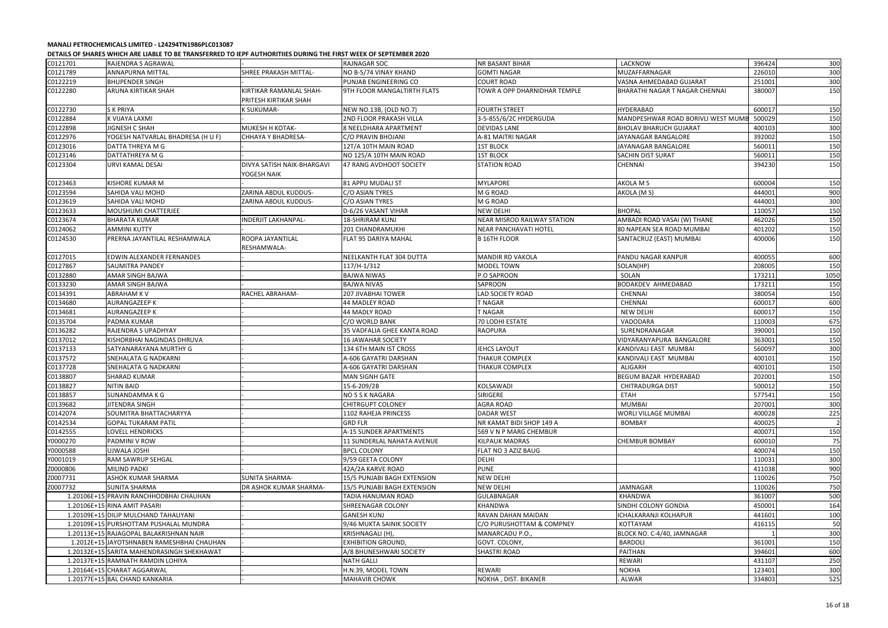|          | ובנהונט טו טוויווט ואינו טוויוטט טוויוט ווערווט וביט וטווים וטוויווט וויס ווערוויווט וויס וויס וויס וויס טוויוט |                                                  |                             |                              |                                    |        |                |
|----------|-----------------------------------------------------------------------------------------------------------------|--------------------------------------------------|-----------------------------|------------------------------|------------------------------------|--------|----------------|
| C0121701 | RAJENDRA S AGRAWAL                                                                                              |                                                  | <b>RAJNAGAR SOC</b>         | <b>NR BASANT BIHAR</b>       | LACKNOW                            | 396424 | 300            |
| C0121789 | <b>ANNAPURNA MITTAL</b>                                                                                         | SHREE PRAKASH MITTAL-                            | NO B-5/74 VINAY KHAND       | <b>GOMTI NAGAR</b>           | MUZAFFARNAGAR                      | 226010 | 300            |
| C0122219 | <b>BHUPENDER SINGH</b>                                                                                          |                                                  | PUNJAB ENGINEERING CO       | <b>COURT ROAD</b>            | VASNA AHMEDABAD GUJARAT            | 251001 | 300            |
| C0122280 | ARUNA KIRTIKAR SHAH                                                                                             | KIRTIKAR RAMANLAL SHAH-<br>PRITESH KIRTIKAR SHAH | 9TH FLOOR MANGALTIRTH FLATS | TOWR A OPP DHARNIDHAR TEMPLE | BHARATHI NAGAR T NAGAR CHENNAI     | 380007 | 150            |
| C0122730 | <b>SK PRIYA</b>                                                                                                 | <b>K SUKUMAR-</b>                                | NEW NO.13B, (OLD NO.7)      | <b>FOURTH STREET</b>         | <b>HYDERABAD</b>                   | 600017 | 150            |
| C0122884 | K VIJAYA LAXMI                                                                                                  |                                                  | 2ND FLOOR PRAKASH VILLA     | 3-5-855/6/2C HYDERGUDA       | MANDPESHWAR ROAD BORIVLI WEST MUME | 500029 | 150            |
| C0122898 | <b>JIGNESH C SHAH</b>                                                                                           | MUKESH H KOTAK-                                  | 8 NEELDHARA APARTMENT       | DEVIDAS LANE                 | <b>BHOLAV BHARUCH GUJARAT</b>      | 400103 | 300            |
| C0122976 | YOGESH NATVARLAL BHADRESA (H U F)                                                                               | CHHAYA Y BHADRESA-                               | C/O PRAVIN BHOJANI          | A-81 MAITRI NAGAR            | JAYANAGAR BANGALORE                | 392002 | 150            |
| C0123016 | DATTA THREYA M G                                                                                                |                                                  | 12T/A 10TH MAIN ROAD        | <b>1ST BLOCK</b>             | JAYANAGAR BANGALORE                | 560011 | 150            |
| C0123146 | DATTATHREYA M G                                                                                                 |                                                  | NO 125/A 10TH MAIN ROAD     | <b>1ST BLOCK</b>             | <b>SACHIN DIST SURAT</b>           | 560011 | 150            |
| C0123304 | URVI KAMAL DESAI                                                                                                | DIVYA SATISH NAIK-BHARGAVI<br>YOGESH NAIK        | 47 RANG AVDHOOT SOCIETY     | <b>STATION ROAD</b>          | CHENNAI                            | 394230 | 150            |
| C0123463 | <b>KISHORE KUMAR M</b>                                                                                          |                                                  | 81 APPU MUDALI ST           | <b>MYLAPORE</b>              | AKOLA M S                          | 600004 | 150            |
| C0123594 | SAHIDA VALI MOHD                                                                                                | ZARINA ABDUL KUDDUS-                             | C/O ASIAN TYRES             | M G ROAD                     | AKOLA (MS)                         | 444001 | 900            |
| C0123619 | SAHIDA VALI MOHD                                                                                                | ZARINA ABDUL KUDDUS-                             | C/O ASIAN TYRES             | M G ROAD                     |                                    | 444001 | 300            |
| C0123633 | <b>MOUSHUMI CHATTERJEE</b>                                                                                      |                                                  | D-6/26 VASANT VIHAR         | <b>NEW DELHI</b>             | <b>BHOPAL</b>                      | 110057 | 150            |
| C0123674 | <b>BHARATA KUMAR</b>                                                                                            | <b>INDERJIT LAKHANPAL-</b>                       | <b>18-SHRIRAM KUNJ</b>      | NEAR MISROD RAILWAY STATION  | AMBADI ROAD VASAI (W) THANE        | 462026 | 150            |
| C0124062 | <b>AMMINI KUTTY</b>                                                                                             |                                                  | 201 CHANDRAMUKHI            | <b>NEAR PANCHAVATI HOTEL</b> | 80 NAPEAN SEA ROAD MUMBAI          | 401202 | 150            |
| C0124530 | PRERNA JAYANTILAL RESHAMWALA                                                                                    | ROOPA JAYANTILAL<br>RESHAMWALA-                  | <b>FLAT 95 DARIYA MAHAL</b> | <b>B 16TH FLOOR</b>          | SANTACRUZ (EAST) MUMBAI            | 400006 | 150            |
| C0127015 | EDWIN ALEXANDER FERNANDES                                                                                       |                                                  | NEELKANTH FLAT 304 DUTTA    | <b>MANDIR RD VAKOLA</b>      | PANDU NAGAR KANPUR                 | 400055 | 600            |
| C0127867 | SAUMITRA PANDEY                                                                                                 |                                                  | 117/H-1/312                 | MODEL TOWN                   | SOLAN(HP)                          | 208005 | 150            |
|          |                                                                                                                 |                                                  |                             |                              |                                    | 173211 |                |
| C0132880 | AMAR SINGH BAJWA                                                                                                |                                                  | <b>BAJWA NIWAS</b>          | P.O SAPROON                  | SOLAN                              |        | 1050           |
| C0133230 | AMAR SINGH BAJWA                                                                                                |                                                  | <b>BAJWA NIVAS</b>          | SAPROON                      | BODAKDEV AHMEDABAD                 | 173211 | 150            |
| C0134391 | ABRAHAM K V                                                                                                     | <b>RACHEL ABRAHAM-</b>                           | <b>207 JIVABHAI TOWER</b>   | LAD SOCIETY ROAD             | <b>CHENNAI</b>                     | 380054 | 150            |
| C0134680 | <b>AURANGAZEEP K</b>                                                                                            |                                                  | 44 MADLEY ROAD              | T NAGAR                      | CHENNAI                            | 600017 | 600            |
| C0134681 | AURANGAZEEP K                                                                                                   |                                                  | 44 MADLY ROAD               | T NAGAR                      | <b>NEW DELHI</b>                   | 600017 | 150            |
| C0135704 | PADMA KUMAR                                                                                                     |                                                  | C/O WORLD BANK              | 70 LODHI ESTATE              | VADODARA                           | 110003 | 675            |
| C0136282 | RAJENDRA S UPADHYAY                                                                                             |                                                  | 35 VADFALIA GHEE KANTA ROAD | <b>RAOPURA</b>               | SURENDRANAGAR                      | 390001 | 150            |
| C0137012 | KISHORBHAI NAGINDAS DHRUVA                                                                                      |                                                  | <b>16 JAWAHAR SOCIETY</b>   |                              | VIDYARANYAPURA BANGALORE           | 363001 | 150            |
| C0137133 | SATYANARAYANA MURTHY G                                                                                          |                                                  | 134 6TH MAIN IST CROSS      | <b>IEHCS LAYOUT</b>          | KANDIVALI EAST MUMBAI              | 560097 | 300            |
| C0137572 | SNEHALATA G NADKARNI                                                                                            |                                                  | A-606 GAYATRI DARSHAN       | THAKUR COMPLEX               | KANDIVALI EAST MUMBAI              | 400101 | 150            |
| C0137728 | SNEHALATA G NADKARNI                                                                                            |                                                  | A-606 GAYATRI DARSHAN       | <b>THAKUR COMPLEX</b>        | ALIGARH                            | 400101 | 150            |
| C0138807 | <b>SHARAD KUMAR</b>                                                                                             |                                                  | <b>MAN SIGNH GATE</b>       |                              | BEGUM BAZAR HYDERABAD              | 202001 | 150            |
| C0138827 | <b>NITIN BAID</b>                                                                                               |                                                  | 15-6-209/2B                 | KOLSAWADI                    | <b>CHITRADURGA DIST</b>            | 500012 | 150            |
| C0138857 | SUNANDAMMAKG                                                                                                    |                                                  | NO 5 S K NAGARA             | SIRIGERE                     | ETAH                               | 577541 | 150            |
| C0139682 | JITENDRA SINGH                                                                                                  |                                                  | <b>CHITRGUPT COLONEY</b>    | <b>AGRA ROAD</b>             | <b>MUMBAI</b>                      | 207001 | 300            |
| C0142074 | SOUMITRA BHATTACHARYYA                                                                                          |                                                  | 1102 RAHEJA PRINCESS        | <b>DADAR WEST</b>            | WORLI VILLAGE MUMBAI               | 400028 | 225            |
| C0142534 | <b>GOPAL TUKARAM PATIL</b>                                                                                      |                                                  | <b>GRD FLR</b>              | NR KAMAT BIDI SHOP 149 A     | <b>BOMBAY</b>                      | 400025 | $\overline{2}$ |
| C0142555 | LOVELL HENDRICKS                                                                                                |                                                  | A-15 SUNDER APARTMENTS      | 569 V N P MARG CHEMBUR       |                                    | 400071 | 150            |
| Y0000270 | PADMINI V ROW                                                                                                   |                                                  | 11 SUNDERLAL NAHATA AVENUE  | <b>KILPAUK MADRAS</b>        | CHEMBUR BOMBAY                     | 600010 | 75             |
| Y0000588 | UJWALA JOSHI                                                                                                    |                                                  | <b>BPCL COLONY</b>          | FLAT NO 3 AZIZ BAUG          |                                    | 400074 | 150            |
| Y0001019 | <b>RAM SAWRUP SEHGAL</b>                                                                                        |                                                  | 9/59 GEETA COLONY           | <b>DELHI</b>                 |                                    | 110031 | 300            |
| Z0000806 | <b>MILIND PADKI</b>                                                                                             |                                                  | 42A/2A KARVE ROAD           | <b>PUNE</b>                  |                                    | 411038 | 900            |
| Z0007731 | ASHOK KUMAR SHARMA                                                                                              | <b>SUNITA SHARMA-</b>                            | 15/5 PUNJABI BAGH EXTENSION | <b>NEW DELHI</b>             |                                    | 110026 | 750            |
| Z0007732 | <b>SUNITA SHARMA</b>                                                                                            | DR ASHOK KUMAR SHARMA-                           | 15/5 PUNJABI BAGH EXTENSION | <b>NEW DELHI</b>             | JAMNAGAR                           | 110026 | 750            |
|          | 1.20106E+15 PRAVIN RANCHHODBHAI CHAUHAN                                                                         |                                                  | <b>TADIA HANUMAN ROAD</b>   | <b>GULABNAGAR</b>            | KHANDWA                            | 361007 | 500            |
|          | 1.20106E+15 RINA AMIT PASARI                                                                                    |                                                  | SHREENAGAR COLONY           | <b>KHANDWA</b>               | SINDHI COLONY GONDIA               | 450001 | 164            |
|          | 1.20109E+15 DILIP MULCHAND TAHALIYANI                                                                           |                                                  | <b>GANESH KUNJ</b>          | RAVAN DAHAN MAIDAN           | ICHALKARANJI KOLHAPUR              | 441601 | 100            |
|          | 1.20109E+15 PURSHOTTAM PUSHALAL MUNDRA                                                                          |                                                  | 9/46 MUKTA SAINIK SOCIETY   | C/O PURUSHOTTAM & COMPNEY    | KOTTAYAM                           | 416115 | 50             |
|          | 1.20113E+15 RAJAGOPAL BALAKRISHNAN NAIR                                                                         |                                                  | KRISHNAGALI (H),            | MANARCADU P.O.,              | BLOCK NO. C-4/40, JAMNAGAR         |        | 300            |
|          | 1.2012E+15 JAYOTSHNABEN RAMESHBHAI CHAUHAN                                                                      |                                                  | <b>EXHIBITION GROUND,</b>   | GOVT. COLONY,                | <b>BARDOLI</b>                     | 361001 | 150            |
|          | 1.20132E+15 SARITA MAHENDRASINGH SHEKHAWAT                                                                      |                                                  | A/8 BHUNESHWARI SOCIETY     | <b>SHASTRI ROAD</b>          | <b>PAITHAN</b>                     | 394601 | 600            |
|          | 1.20137E+15 RAMNATH RAMDIN LOHIYA                                                                               |                                                  | <b>NATH GALLI</b>           |                              | <b>REWARI</b>                      | 431107 | 250            |
|          | 1.20164E+15 CHARAT AGGARWAL                                                                                     |                                                  | H.N.39, MODEL TOWN          | REWARI                       | <b>NOKHA</b>                       | 123401 | 300            |
|          | 1.20177E+15 BAL CHAND KANKARIA                                                                                  |                                                  | <b>MAHAVIR CHOWK</b>        | NOKHA, DIST. BIKANER         | . ALWAR                            | 334803 | 525            |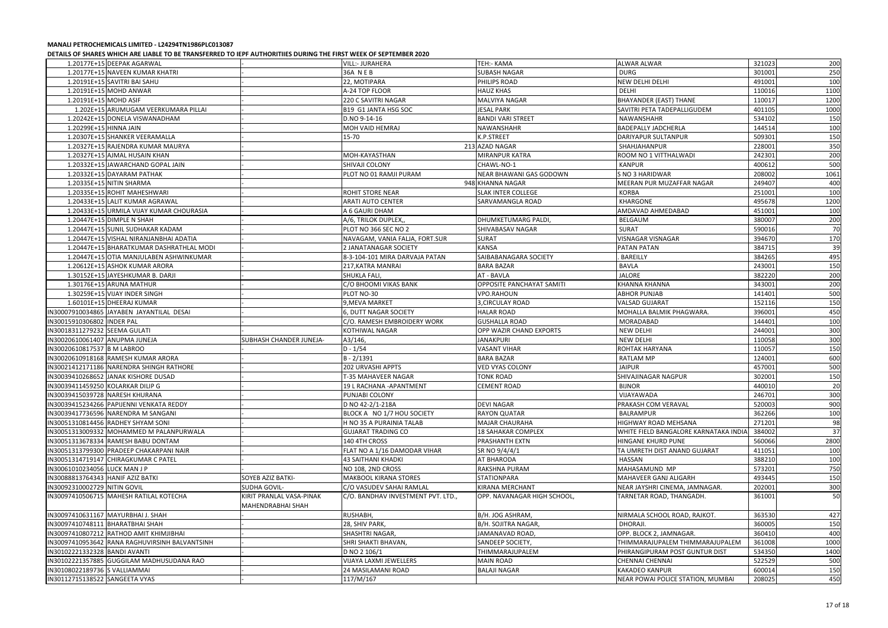|                                   | פנו אופן טויסט אין אין דער פון פון פער האט א פון דער פון א דער האט א פון דער האט א דער האט א דער האט א דער האט |                                               |                                    |                             |                                       |        |      |
|-----------------------------------|----------------------------------------------------------------------------------------------------------------|-----------------------------------------------|------------------------------------|-----------------------------|---------------------------------------|--------|------|
|                                   | 1.20177E+15 DEEPAK AGARWAL                                                                                     |                                               | <b>VILL:- JURAHERA</b>             | <b>TEH:- KAMA</b>           | <b>ALWAR ALWAR</b>                    | 321023 | 200  |
|                                   | 1.20177E+15 NAVEEN KUMAR KHATRI                                                                                |                                               | 36A NEB                            | <b>SUBASH NAGAR</b>         | <b>DURG</b>                           | 301001 | 250  |
|                                   | 1.20191E+15 SAVITRI BAI SAHU                                                                                   |                                               | 22, MOTIPARA                       | PHILIPS ROAD                | <b>NEW DELHI DELHI</b>                | 491001 | 100  |
|                                   | 1.20191E+15 MOHD ANWAR                                                                                         |                                               | A-24 TOP FLOOR                     | <b>HAUZ KHAS</b>            | DELHI                                 | 110016 | 1100 |
|                                   | 1.20191E+15 MOHD ASIF                                                                                          |                                               | 220 C SAVITRI NAGAR                | MALVIYA NAGAR               | <b>BHAYANDER (EAST) THANE</b>         | 110017 | 1200 |
|                                   | 1.202E+15 ARUMUGAM VEERKUMARA PILLAI                                                                           |                                               | B19 G1 JANTA HSG SOC               | <b>JESAL PARK</b>           | SAVITRI PETA TADEPALLIGUDEM           | 401105 | 1000 |
|                                   | 1.20242E+15 DONELA VISWANADHAM                                                                                 |                                               | D.NO 9-14-16                       | <b>BANDI VARI STREET</b>    | NAWANSHAHR                            | 534102 | 150  |
|                                   | 1.20299E+15 HINNA JAIN                                                                                         |                                               | MOH VAID HEMRAJ                    | <b>NAWANSHAHR</b>           | <b>BADEPALLY JADCHERLA</b>            | 144514 | 100  |
|                                   | 1.20307E+15 SHANKER VEERAMALLA                                                                                 |                                               | 15-70                              | K.P.STREET                  | <b>DARIYAPUR SULTANPUR</b>            | 509301 | 150  |
|                                   | 1.20327E+15 RAJENDRA KUMAR MAURYA                                                                              |                                               |                                    | 213 AZAD NAGAR              | SHAHJAHANPUR                          | 228001 | 350  |
|                                   | 1.20327E+15 AJMAL HUSAIN KHAN                                                                                  |                                               | MOH-KAYASTHAN                      | MIRANPUR KATRA              | ROOM NO 1 VITTHALWADI                 | 242301 | 200  |
|                                   | 1.20332E+15 JAWARCHAND GOPAL JAIN                                                                              |                                               | SHIVAJI COLONY                     | CHAWL-NO-1                  | KANPUR                                | 400612 | 500  |
|                                   | 1.20332E+15 DAYARAM PATHAK                                                                                     |                                               | PLOT NO 01 RAMJI PURAM             | NEAR BHAWANI GAS GODOWN     | S NO 3 HARIDWAR                       | 208002 | 1061 |
|                                   | 1.20335E+15 NITIN SHARMA                                                                                       |                                               |                                    | 948 KHANNA NAGAR            | MEERAN PUR MUZAFFAR NAGAR             | 249407 | 400  |
|                                   | 1.20335E+15 ROHIT MAHESHWARI                                                                                   |                                               | ROHIT STORE NEAR                   | <b>SLAK INTER COLLEGE</b>   | <b>KORBA</b>                          | 251001 | 100  |
|                                   | 1.20433E+15 LALIT KUMAR AGRAWAL                                                                                |                                               | <b>ARATI AUTO CENTER</b>           | <b>SARVAMANGLA ROAD</b>     | <b>KHARGONE</b>                       | 495678 | 1200 |
|                                   | 1.20433E+15 URMILA VIJAY KUMAR CHOURASIA                                                                       |                                               | A 6 GAURI DHAM                     |                             | AMDAVAD AHMEDABAD                     | 451001 | 100  |
|                                   | 1.20447E+15 DIMPLE N SHAH                                                                                      |                                               | A/6, TRILOK DUPLEX,                | <b>DHUMKETUMARG PALDI</b>   | BELGAUM                               | 380007 | 200  |
|                                   | 1.20447E+15 SUNIL SUDHAKAR KADAM                                                                               |                                               | PLOT NO 366 SEC NO 2               | SHIVABASAV NAGAR            | <b>SURAT</b>                          | 590016 | 70   |
|                                   | 1.20447E+15 VISHAL NIRANJANBHAI ADATIA                                                                         |                                               | NAVAGAM, VANIA FALJA, FORT.SUR     | <b>SURAT</b>                | <b>VISNAGAR VISNAGAR</b>              | 394670 | 170  |
|                                   | 1.20447E+15 BHARATKUMAR DASHRATHLAL MODI                                                                       |                                               | 2 JANATANAGAR SOCIETY              | <b>KANSA</b>                | PATAN PATAN                           | 384715 | 39   |
|                                   | 1.20447E+15 OTIA MANJULABEN ASHWINKUMAR                                                                        |                                               | 8-3-104-101 MIRA DARVAJA PATAN     | SAIBABANAGARA SOCIETY       | <b>BAREILLY</b>                       | 384265 | 495  |
|                                   | 1.20612E+15 ASHOK KUMAR ARORA                                                                                  |                                               | 217, KATRA MANRAI                  | <b>BARA BAZAR</b>           | BAVLA                                 | 243001 | 150  |
|                                   | 1.30152E+15 JAYESHKUMAR B. DARJI                                                                               |                                               | SHUKLA FALI,                       | AT - BAVLA                  | JALORE                                | 382220 | 200  |
|                                   | 1.30176E+15 ARUNA MATHUR                                                                                       |                                               | C/O BHOOMI VIKAS BANK              | OPPOSITE PANCHAYAT SAMITI   | KHANNA KHANNA                         | 343001 | 200  |
|                                   | 1.30259E+15 VIJAY INDER SINGH                                                                                  |                                               | PLOT NO-30                         | VPO.RAHOUN                  | <b>ABHOR PUNJAB</b>                   | 141401 | 500  |
|                                   | 1.60101E+15 DHEERAJ KUMAR                                                                                      |                                               | 9, MEVA MARKET                     | 3, CIRCULAY ROAD            | <b>VALSAD GUJARAT</b>                 | 152116 | 150  |
|                                   | IN30007910034865 JAYABEN JAYANTILAL DESAI                                                                      |                                               | 6, DUTT NAGAR SOCIETY              | <b>HALAR ROAD</b>           | MOHALLA BALMIK PHAGWARA.              | 396001 | 450  |
| IN30015910306802 INDER PAL        |                                                                                                                |                                               | C/O. RAMESH EMBROIDERY WORK        | <b>GUSHALLA ROAD</b>        | MORADABAD                             | 144401 | 100  |
| IN30018311279232 SEEMA GULATI     |                                                                                                                |                                               | KOTHIWAL NAGAR                     | OPP WAZIR CHAND EXPORTS     | <b>NEW DELHI</b>                      | 244001 | 300  |
| IN30020610061407 ANUPMA JUNEJA    |                                                                                                                | SUBHASH CHANDER JUNEJA-                       | A3/146,                            | <b>JANAKPURI</b>            | <b>NEW DELHI</b>                      | 110058 | 300  |
| IN30020610817537 B M LABROO       |                                                                                                                |                                               | $D - 1/54$                         | <b>VASANT VIHAR</b>         | ROHTAK HARYANA                        | 110057 | 150  |
|                                   | IN30020610918168 RAMESH KUMAR ARORA                                                                            |                                               | $B - 2/1391$                       | <b>BARA BAZAR</b>           | <b>RATLAM MP</b>                      | 124001 | 600  |
|                                   | IN30021412171186 NARENDRA SHINGH RATHORE                                                                       |                                               | <b>202 URVASHI APPTS</b>           | <b>VED VYAS COLONY</b>      | <b>JAIPUR</b>                         | 457001 | 500  |
|                                   | IN30039410268652 JANAK KISHORE DUSAD                                                                           |                                               | T-35 MAHAVEER NAGAR                | <b>TONK ROAD</b>            | SHIVAJINAGAR NAGPUR                   | 302001 | 150  |
| IN30039411459250 KOLARKAR DILIP G |                                                                                                                |                                               | 19 L RACHANA - APANTMENT           | <b>CEMENT ROAD</b>          | <b>BIJNOR</b>                         | 440010 | 20   |
|                                   | IN30039415039728 NARESH KHURANA                                                                                |                                               | PUNJABI COLONY                     |                             | VIJAYAWADA                            | 246701 | 300  |
|                                   | IN30039415234266 PAPIJENNI VENKATA REDDY                                                                       |                                               | D NO 42-2/1-218A                   | <b>DEVI NAGAR</b>           | PRAKASH COM VERAVAL                   | 520003 | 900  |
|                                   | IN30039417736596 NARENDRA M SANGANI                                                                            |                                               | BLOCK A NO 1/7 HOU SOCIETY         | <b>RAYON QUATAR</b>         | <b>BALRAMPUR</b>                      | 362266 | 100  |
|                                   | IN30051310814456 RADHEY SHYAM SONI                                                                             |                                               | H NO 35 A PURAINIA TALAB           | <b>MAJAR CHAURAHA</b>       | HIGHWAY ROAD MEHSANA                  | 271201 | 98   |
|                                   | IN30051313009332 MOHAMMED M PALANPURWALA                                                                       |                                               | <b>GUJARAT TRADING CO</b>          | <b>18 SAHAKAR COMPLEX</b>   | WHITE FIELD BANGALORE KARNATAKA INDIA | 384002 | 37   |
|                                   | IN30051313678334 RAMESH BABU DONTAM                                                                            |                                               | 140 4TH CROSS                      | PRASHANTH EXTN              | <b>HINGANE KHURD PUNE</b>             | 560066 | 2800 |
|                                   | IN30051313799300 PRADEEP CHAKARPANI NAIR                                                                       |                                               | FLAT NO A 1/16 DAMODAR VIHAR       | SR NO 9/4/4/1               | TA UMRETH DIST ANAND GUJARAT          | 411051 | 100  |
|                                   | IN30051314719147 CHIRAGKUMAR C PATEL                                                                           |                                               | <b>43 SAITHANI KHADKI</b>          | AT BHARODA                  | <b>HASSAN</b>                         | 388210 | 100  |
| IN30061010234056 LUCK MAN J P     |                                                                                                                |                                               | NO 108, 2ND CROSS                  | RAKSHNA PURAM               | MAHASAMUND MP                         | 573201 | 750  |
| IN30088813764343 HANIF AZIZ BATKI |                                                                                                                | <b>SOYEB AZIZ BATKI-</b>                      | <b>MAKBOOL KIRANA STORES</b>       | <b>STATIONPARA</b>          | MAHAVEER GANJ ALIGARH                 | 493445 |      |
| IN30092310002729 NITIN GOVIL      |                                                                                                                | SUDHA GOVIL-                                  | C/O VASUDEV SAHAI RAMLAL           | KIRANA MERCHANT             | NEAR JAYSHRI CINEMA, JAMNAGAR.        | 202001 | 150  |
|                                   |                                                                                                                |                                               | C/O. BANDHAV INVESTMENT PVT. LTD., |                             |                                       |        | 300  |
|                                   | IN30097410506715 MAHESH RATILAL KOTECHA                                                                        | KIRIT PRANLAL VASA-PINAK<br>MAHENDRABHAI SHAH |                                    | OPP. NAVANAGAR HIGH SCHOOL, | TARNETAR ROAD, THANGADH.              | 361001 | 50   |
|                                   | IN30097410631167 MAYURBHAI J. SHAH                                                                             |                                               | RUSHABH,                           | B/H. JOG ASHRAM,            | NIRMALA SCHOOL ROAD, RAJKOT.          | 363530 | 427  |
|                                   | IN30097410748111 BHARATBHAI SHAH                                                                               |                                               | 28, SHIV PARK,                     | B/H. SOJITRA NAGAR,         | DHORAJI.                              | 360005 | 150  |
|                                   | IN30097410807212 RATHOD AMIT KHIMJIBHAI                                                                        |                                               | SHASHTRI NAGAR,                    | JAMANAVAD ROAD,             | OPP. BLOCK 2, JAMNAGAR.               | 360410 | 400  |
|                                   | IN30097410953642 RANA RAGHUVIRSINH BALVANTSINH                                                                 |                                               | SHRI SHAKTI BHAVAN,                | SANDEEP SOCIETY,            | THIMMARAJUPALEM THIMMARAJUPALEM       | 361008 | 1000 |
| IN30102221332328 BANDI AVANTI     |                                                                                                                |                                               | D NO 2 106/1                       | THIMMARAJUPALEM             | PHIRANGIPURAM POST GUNTUR DIST        | 534350 | 1400 |
|                                   | IN30102221357885 GUGGILAM MADHUSUDANA RAO                                                                      |                                               | VIJAYA LAXMI JEWELLERS             | <b>MAIN ROAD</b>            | <b>CHENNAI CHENNAI</b>                | 522529 | 500  |
| IN30108022189736 S VALLIAMMAI     |                                                                                                                |                                               | 24 MASILAMANI ROAD                 | <b>BALAJI NAGAR</b>         | <b>KAKADEO KANPUR</b>                 | 600014 | 150  |
| IN30112715138522 SANGEETA VYAS    |                                                                                                                |                                               | 117/M/167                          |                             | NEAR POWAI POLICE STATION, MUMBAI     | 208025 | 450  |
|                                   |                                                                                                                |                                               |                                    |                             |                                       |        |      |